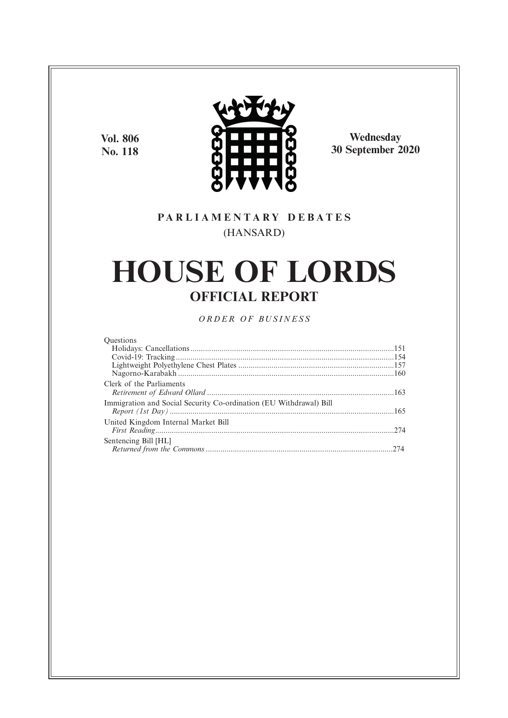**Vol. 806 No. 118**



**Wednesday 30 September 2020**

### **P A R L I A M E N T A R Y D E B A T E S** (HANSARD)

# **HOUSE OF LORDS OFFICIAL REPORT**

*O R D E R O F BU S I N E S S*

| Questions                                                          |  |
|--------------------------------------------------------------------|--|
|                                                                    |  |
|                                                                    |  |
|                                                                    |  |
|                                                                    |  |
| Clerk of the Parliaments                                           |  |
| Immigration and Social Security Co-ordination (EU Withdrawal) Bill |  |
| United Kingdom Internal Market Bill                                |  |
| Sentencing Bill [HL]                                               |  |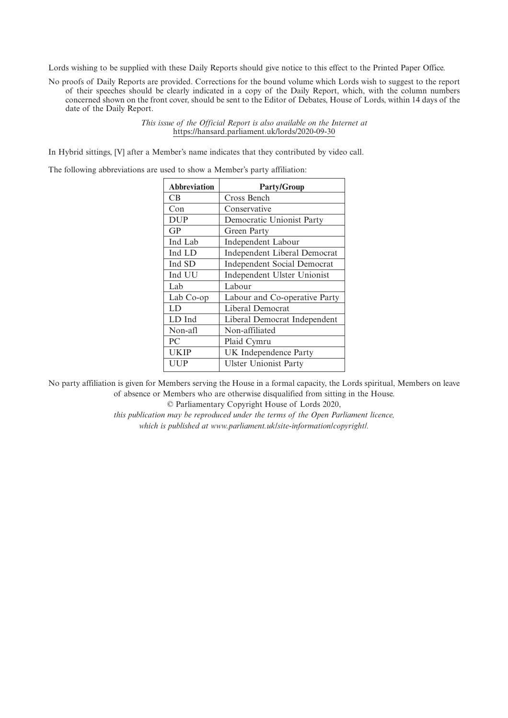Lords wishing to be supplied with these Daily Reports should give notice to this effect to the Printed Paper Office.

No proofs of Daily Reports are provided. Corrections for the bound volume which Lords wish to suggest to the report of their speeches should be clearly indicated in a copy of the Daily Report, which, with the column numbers concerned shown on the front cover, should be sent to the Editor of Debates, House of Lords, within 14 days of the date of the Daily Report.

> *This issue of the Official Report is also available on the Internet at* https://hansard.parliament.uk/lords/2020-09-30

In Hybrid sittings, [V] after a Member's name indicates that they contributed by video call.

The following abbreviations are used to show a Member's party affiliation:

| <b>Abbreviation</b> | <b>Party/Group</b>                 |
|---------------------|------------------------------------|
| CВ                  | Cross Bench                        |
| Con                 | Conservative                       |
| <b>DUP</b>          | Democratic Unionist Party          |
| GP                  | Green Party                        |
| Ind Lab             | Independent Labour                 |
| Ind LD              | Independent Liberal Democrat       |
| Ind SD              | <b>Independent Social Democrat</b> |
| Ind UU              | Independent Ulster Unionist        |
| Lab                 | Labour                             |
| Lab Co-op           | Labour and Co-operative Party      |
| LD                  | Liberal Democrat                   |
| LD Ind              | Liberal Democrat Independent       |
| Non-afl             | Non-affiliated                     |
| PC.                 | Plaid Cymru                        |
| UKIP                | UK Independence Party              |
| UUP                 | <b>Ulster Unionist Party</b>       |
|                     |                                    |

No party affiliation is given for Members serving the House in a formal capacity, the Lords spiritual, Members on leave of absence or Members who are otherwise disqualified from sitting in the House.

© Parliamentary Copyright House of Lords 2020,

*this publication may be reproduced under the terms of the Open Parliament licence, which is published at www.parliament.uk/site-information/copyright/.*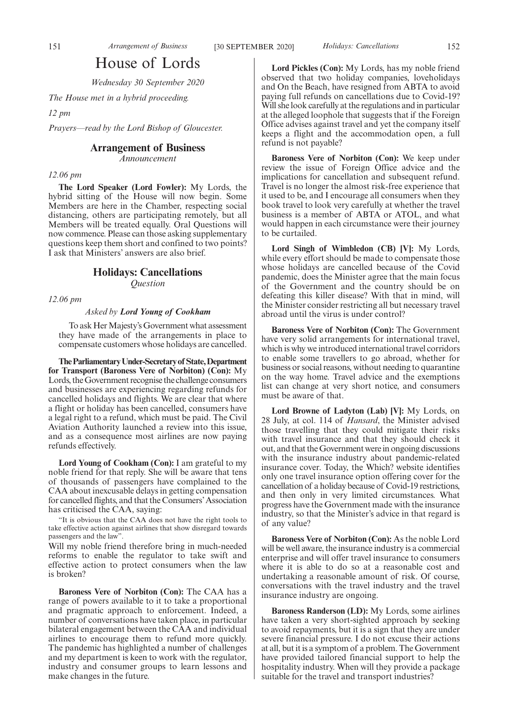### House of Lords

*Wednesday 30 September 2020*

*The House met in a hybrid proceeding.*

*12 pm*

*Prayers—read by the Lord Bishop of Gloucester.*

#### **Arrangement of Business**

*Announcement*

#### *12.06 pm*

**The Lord Speaker (Lord Fowler):** My Lords, the hybrid sitting of the House will now begin. Some Members are here in the Chamber, respecting social distancing, others are participating remotely, but all Members will be treated equally. Oral Questions will now commence. Please can those asking supplementary questions keep them short and confined to two points? I ask that Ministers' answers are also brief.

#### **Holidays: Cancellations**

*Question*

*12.06 pm*

#### *Asked by Lord Young of Cookham*

To ask Her Majesty's Government what assessment they have made of the arrangements in place to compensate customers whose holidays are cancelled.

**TheParliamentaryUnder-Secretaryof State,Department for Transport (Baroness Vere of Norbiton) (Con):** My Lords, the Government recognise the challenge consumers and businesses are experiencing regarding refunds for cancelled holidays and flights. We are clear that where a flight or holiday has been cancelled, consumers have a legal right to a refund, which must be paid. The Civil Aviation Authority launched a review into this issue, and as a consequence most airlines are now paying refunds effectively.

**Lord Young of Cookham (Con):** I am grateful to my noble friend for that reply. She will be aware that tens of thousands of passengers have complained to the CAA about inexcusable delays in getting compensation for cancelled flights, and that the Consumers'Association has criticised the CAA, saying:

"It is obvious that the CAA does not have the right tools to take effective action against airlines that show disregard towards passengers and the law".

Will my noble friend therefore bring in much-needed reforms to enable the regulator to take swift and effective action to protect consumers when the law is broken?

**Baroness Vere of Norbiton (Con):** The CAA has a range of powers available to it to take a proportional and pragmatic approach to enforcement. Indeed, a number of conversations have taken place, in particular bilateral engagement between the CAA and individual airlines to encourage them to refund more quickly. The pandemic has highlighted a number of challenges and my department is keen to work with the regulator, industry and consumer groups to learn lessons and make changes in the future.

**Lord Pickles (Con):** My Lords, has my noble friend observed that two holiday companies, loveholidays and On the Beach, have resigned from ABTA to avoid paying full refunds on cancellations due to Covid-19? Will she look carefully at the regulations and in particular at the alleged loophole that suggests that if the Foreign Office advises against travel and yet the company itself keeps a flight and the accommodation open, a full refund is not payable?

**Baroness Vere of Norbiton (Con):** We keep under review the issue of Foreign Office advice and the implications for cancellation and subsequent refund. Travel is no longer the almost risk-free experience that it used to be, and I encourage all consumers when they book travel to look very carefully at whether the travel business is a member of ABTA or ATOL, and what would happen in each circumstance were their journey to be curtailed.

**Lord Singh of Wimbledon (CB) [V]:** My Lords, while every effort should be made to compensate those whose holidays are cancelled because of the Covid pandemic, does the Minister agree that the main focus of the Government and the country should be on defeating this killer disease? With that in mind, will the Minister consider restricting all but necessary travel abroad until the virus is under control?

**Baroness Vere of Norbiton (Con):** The Government have very solid arrangements for international travel, which is why we introduced international travel corridors to enable some travellers to go abroad, whether for business or social reasons, without needing to quarantine on the way home. Travel advice and the exemptions list can change at very short notice, and consumers must be aware of that.

**Lord Browne of Ladyton (Lab) [V]:** My Lords, on 28 July, at col. 114 of *Hansard*, the Minister advised those travelling that they could mitigate their risks with travel insurance and that they should check it out, and that the Government were in ongoing discussions with the insurance industry about pandemic-related insurance cover. Today, the Which? website identifies only one travel insurance option offering cover for the cancellation of a holiday because of Covid-19 restrictions, and then only in very limited circumstances. What progress have the Government made with the insurance industry, so that the Minister's advice in that regard is of any value?

**Baroness Vere of Norbiton (Con):** As the noble Lord will be well aware, the insurance industry is a commercial enterprise and will offer travel insurance to consumers where it is able to do so at a reasonable cost and undertaking a reasonable amount of risk. Of course, conversations with the travel industry and the travel insurance industry are ongoing.

**Baroness Randerson (LD):** My Lords, some airlines have taken a very short-sighted approach by seeking to avoid repayments, but it is a sign that they are under severe financial pressure. I do not excuse their actions at all, but it is a symptom of a problem. The Government have provided tailored financial support to help the hospitality industry. When will they provide a package suitable for the travel and transport industries?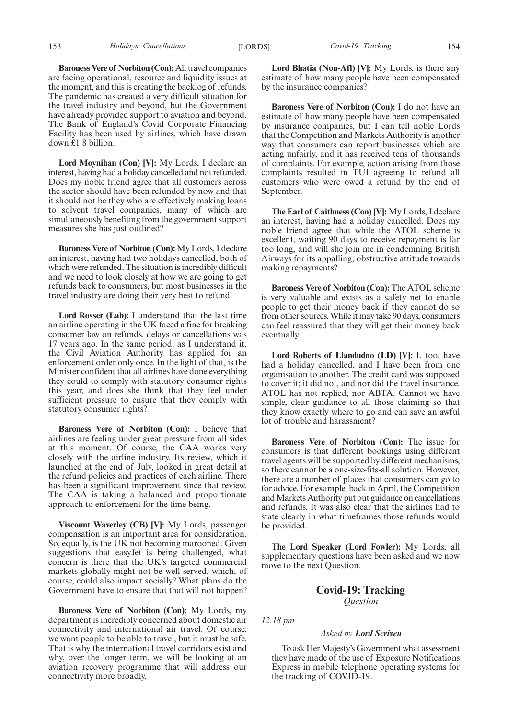**Baroness Vere of Norbiton (Con):** All travel companies are facing operational, resource and liquidity issues at the moment, and this is creating the backlog of refunds. The pandemic has created a very difficult situation for the travel industry and beyond, but the Government have already provided support to aviation and beyond. The Bank of England's Covid Corporate Financing Facility has been used by airlines, which have drawn down £1.8 billion.

**Lord Moynihan (Con) [V]:** My Lords, I declare an interest, having had a holiday cancelled and not refunded. Does my noble friend agree that all customers across the sector should have been refunded by now and that it should not be they who are effectively making loans to solvent travel companies, many of which are simultaneously benefiting from the government support measures she has just outlined?

**Baroness Vere of Norbiton (Con):** My Lords, I declare an interest, having had two holidays cancelled, both of which were refunded. The situation is incredibly difficult and we need to look closely at how we are going to get refunds back to consumers, but most businesses in the travel industry are doing their very best to refund.

**Lord Rosser (Lab):** I understand that the last time an airline operating in the UK faced a fine for breaking consumer law on refunds, delays or cancellations was 17 years ago. In the same period, as I understand it, the Civil Aviation Authority has applied for an enforcement order only once. In the light of that, is the Minister confident that all airlines have done everything they could to comply with statutory consumer rights this year, and does she think that they feel under sufficient pressure to ensure that they comply with statutory consumer rights?

**Baroness Vere of Norbiton (Con):** I believe that airlines are feeling under great pressure from all sides at this moment. Of course, the CAA works very closely with the airline industry. Its review, which it launched at the end of July, looked in great detail at the refund policies and practices of each airline. There has been a significant improvement since that review. The CAA is taking a balanced and proportionate approach to enforcement for the time being.

**Viscount Waverley (CB) [V]:** My Lords, passenger compensation is an important area for consideration. So, equally, is the UK not becoming marooned. Given suggestions that easyJet is being challenged, what concern is there that the UK's targeted commercial markets globally might not be well served, which, of course, could also impact socially? What plans do the Government have to ensure that that will not happen?

**Baroness Vere of Norbiton (Con):** My Lords, my department is incredibly concerned about domestic air connectivity and international air travel. Of course, we want people to be able to travel, but it must be safe. That is why the international travel corridors exist and why, over the longer term, we will be looking at an aviation recovery programme that will address our connectivity more broadly.

**Lord Bhatia (Non-Afl) [V]:** My Lords, is there any estimate of how many people have been compensated by the insurance companies?

**Baroness Vere of Norbiton (Con):** I do not have an estimate of how many people have been compensated by insurance companies, but I can tell noble Lords that the Competition and Markets Authority is another way that consumers can report businesses which are acting unfairly, and it has received tens of thousands of complaints. For example, action arising from those complaints resulted in TUI agreeing to refund all customers who were owed a refund by the end of September.

**The Earl of Caithness (Con) [V]:** My Lords, I declare an interest, having had a holiday cancelled. Does my noble friend agree that while the ATOL scheme is excellent, waiting 90 days to receive repayment is far too long, and will she join me in condemning British Airways for its appalling, obstructive attitude towards making repayments?

**Baroness Vere of Norbiton (Con):** The ATOL scheme is very valuable and exists as a safety net to enable people to get their money back if they cannot do so from other sources. While it may take 90 days, consumers can feel reassured that they will get their money back eventually.

**Lord Roberts of Llandudno (LD) [V]:** I, too, have had a holiday cancelled, and I have been from one organisation to another. The credit card was supposed to cover it; it did not, and nor did the travel insurance. ATOL has not replied, nor ABTA. Cannot we have simple, clear guidance to all those claiming so that they know exactly where to go and can save an awful lot of trouble and harassment?

**Baroness Vere of Norbiton (Con):** The issue for consumers is that different bookings using different travel agents will be supported by different mechanisms, so there cannot be a one-size-fits-all solution. However, there are a number of places that consumers can go to for advice. For example, back in April, the Competition and Markets Authority put out guidance on cancellations and refunds. It was also clear that the airlines had to state clearly in what timeframes those refunds would be provided.

**The Lord Speaker (Lord Fowler):** My Lords, all supplementary questions have been asked and we now move to the next Question.

> **Covid-19: Tracking** *Question*

*12.18 pm*

#### *Asked by Lord Scriven*

To ask Her Majesty's Government what assessment they have made of the use of Exposure Notifications Express in mobile telephone operating systems for the tracking of COVID-19.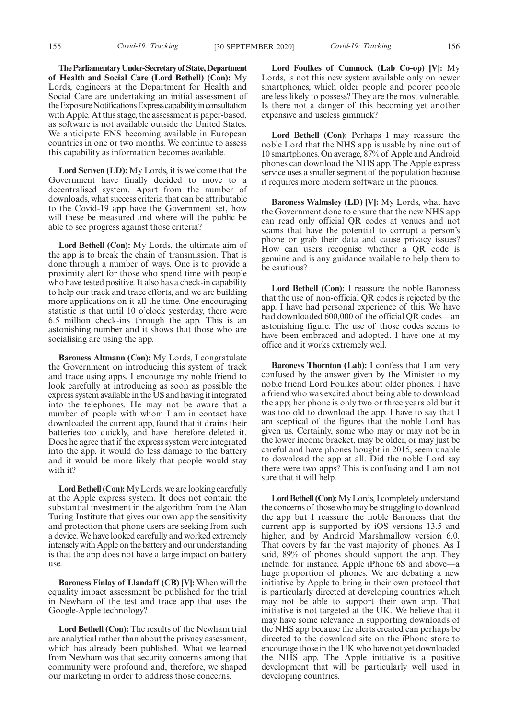**TheParliamentaryUnder-Secretaryof State,Department of Health and Social Care (Lord Bethell) (Con):** My Lords, engineers at the Department for Health and Social Care are undertaking an initial assessment of the Exposure Notifications Express capability in consultation with Apple. At this stage, the assessment is paper-based, as software is not available outside the United States. We anticipate ENS becoming available in European countries in one or two months. We continue to assess this capability as information becomes available.

**Lord Scriven (LD):** My Lords, it is welcome that the Government have finally decided to move to a decentralised system. Apart from the number of downloads, what success criteria that can be attributable to the Covid-19 app have the Government set, how will these be measured and where will the public be able to see progress against those criteria?

**Lord Bethell (Con):** My Lords, the ultimate aim of the app is to break the chain of transmission. That is done through a number of ways. One is to provide a proximity alert for those who spend time with people who have tested positive. It also has a check-in capability to help our track and trace efforts, and we are building more applications on it all the time. One encouraging statistic is that until 10 o'clock yesterday, there were 6.5 million check-ins through the app. This is an astonishing number and it shows that those who are socialising are using the app.

**Baroness Altmann (Con):** My Lords, I congratulate the Government on introducing this system of track and trace using apps. I encourage my noble friend to look carefully at introducing as soon as possible the express system available in the US and having it integrated into the telephones. He may not be aware that a number of people with whom I am in contact have downloaded the current app, found that it drains their batteries too quickly, and have therefore deleted it. Does he agree that if the express system were integrated into the app, it would do less damage to the battery and it would be more likely that people would stay with it?

**Lord Bethell (Con):**My Lords, we are looking carefully at the Apple express system. It does not contain the substantial investment in the algorithm from the Alan Turing Institute that gives our own app the sensitivity and protection that phone users are seeking from such a device. We have looked carefully and worked extremely intensely with Apple on the battery and our understanding is that the app does not have a large impact on battery use.

**Baroness Finlay of Llandaff (CB) [V]:** When will the equality impact assessment be published for the trial in Newham of the test and trace app that uses the Google-Apple technology?

**Lord Bethell (Con):** The results of the Newham trial are analytical rather than about the privacy assessment, which has already been published. What we learned from Newham was that security concerns among that community were profound and, therefore, we shaped our marketing in order to address those concerns.

**Lord Foulkes of Cumnock (Lab Co-op) [V]:** My Lords, is not this new system available only on newer smartphones, which older people and poorer people are less likely to possess? They are the most vulnerable. Is there not a danger of this becoming yet another expensive and useless gimmick?

**Lord Bethell (Con):** Perhaps I may reassure the noble Lord that the NHS app is usable by nine out of 10 smartphones. On average, 87% of Apple and Android phones can download the NHS app. The Apple express service uses a smaller segment of the population because it requires more modern software in the phones.

**Baroness Walmsley (LD) [V]:** My Lords, what have the Government done to ensure that the new NHS app can read only official QR codes at venues and not scams that have the potential to corrupt a person's phone or grab their data and cause privacy issues? How can users recognise whether a QR code is genuine and is any guidance available to help them to be cautious?

**Lord Bethell (Con):** I reassure the noble Baroness that the use of non-official QR codes is rejected by the app. I have had personal experience of this. We have had downloaded 600,000 of the official QR codes—an astonishing figure. The use of those codes seems to have been embraced and adopted. I have one at my office and it works extremely well.

**Baroness Thornton (Lab):** I confess that I am very confused by the answer given by the Minister to my noble friend Lord Foulkes about older phones. I have a friend who was excited about being able to download the app; her phone is only two or three years old but it was too old to download the app. I have to say that I am sceptical of the figures that the noble Lord has given us. Certainly, some who may or may not be in the lower income bracket, may be older, or may just be careful and have phones bought in 2015, seem unable to download the app at all. Did the noble Lord say there were two apps? This is confusing and I am not sure that it will help.

**Lord Bethell (Con):**My Lords, I completely understand the concerns of those who may be struggling to download the app but I reassure the noble Baroness that the current app is supported by iOS versions 13.5 and higher, and by Android Marshmallow version 6.0. That covers by far the vast majority of phones. As I said, 89% of phones should support the app. They include, for instance, Apple iPhone 6S and above—a huge proportion of phones. We are debating a new initiative by Apple to bring in their own protocol that is particularly directed at developing countries which may not be able to support their own app. That initiative is not targeted at the UK. We believe that it may have some relevance in supporting downloads of the NHS app because the alerts created can perhaps be directed to the download site on the iPhone store to encourage those in the UK who have not yet downloaded the NHS app. The Apple initiative is a positive development that will be particularly well used in developing countries.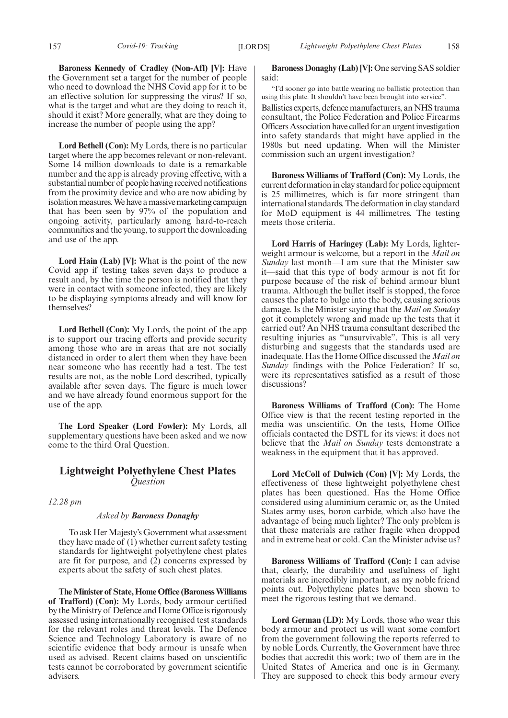**Baroness Kennedy of Cradley (Non-Afl) [V]:** Have the Government set a target for the number of people who need to download the NHS Covid app for it to be an effective solution for suppressing the virus? If so, what is the target and what are they doing to reach it, should it exist? More generally, what are they doing to increase the number of people using the app?

**Lord Bethell (Con):** My Lords, there is no particular target where the app becomes relevant or non-relevant. Some 14 million downloads to date is a remarkable number and the app is already proving effective, with a substantial number of people having received notifications from the proximity device and who are now abiding by isolation measures. We have a massive marketing campaign that has been seen by 97% of the population and ongoing activity, particularly among hard-to-reach communities and the young, to support the downloading and use of the app.

**Lord Hain (Lab) [V]:** What is the point of the new Covid app if testing takes seven days to produce a result and, by the time the person is notified that they were in contact with someone infected, they are likely to be displaying symptoms already and will know for themselves?

**Lord Bethell (Con):** My Lords, the point of the app is to support our tracing efforts and provide security among those who are in areas that are not socially distanced in order to alert them when they have been near someone who has recently had a test. The test results are not, as the noble Lord described, typically available after seven days. The figure is much lower and we have already found enormous support for the use of the app.

**The Lord Speaker (Lord Fowler):** My Lords, all supplementary questions have been asked and we now come to the third Oral Question.

#### **Lightweight Polyethylene Chest Plates** *Question*

*12.28 pm*

#### *Asked by Baroness Donaghy*

To ask Her Majesty's Government what assessment they have made of (1) whether current safety testing standards for lightweight polyethylene chest plates are fit for purpose, and (2) concerns expressed by experts about the safety of such chest plates.

**The Minister of State, Home Office (Baroness Williams of Trafford) (Con):** My Lords, body armour certified by the Ministry of Defence and Home Office is rigorously assessed using internationally recognised test standards for the relevant roles and threat levels. The Defence Science and Technology Laboratory is aware of no scientific evidence that body armour is unsafe when used as advised. Recent claims based on unscientific tests cannot be corroborated by government scientific advisers.

**Baroness Donaghy (Lab) [V]:** One serving SAS soldier said:

"I'd sooner go into battle wearing no ballistic protection than using this plate. It shouldn't have been brought into service".

Ballistics experts, defence manufacturers, an NHS trauma consultant, the Police Federation and Police Firearms Officers Association have called for an urgent investigation into safety standards that might have applied in the 1980s but need updating. When will the Minister commission such an urgent investigation?

**Baroness Williams of Trafford (Con):** My Lords, the current deformation in clay standard for police equipment is 25 millimetres, which is far more stringent than international standards. The deformation in clay standard for MoD equipment is 44 millimetres. The testing meets those criteria.

**Lord Harris of Haringey (Lab):** My Lords, lighterweight armour is welcome, but a report in the *Mail on Sunday* last month—I am sure that the Minister saw it—said that this type of body armour is not fit for purpose because of the risk of behind armour blunt trauma. Although the bullet itself is stopped, the force causes the plate to bulge into the body, causing serious damage. Is the Minister saying that the *Mail on Sunday* got it completely wrong and made up the tests that it carried out? An NHS trauma consultant described the resulting injuries as "unsurvivable". This is all very disturbing and suggests that the standards used are inadequate. Has the Home Office discussed the *Mail on Sunday* findings with the Police Federation? If so, were its representatives satisfied as a result of those discussions?

**Baroness Williams of Trafford (Con):** The Home Office view is that the recent testing reported in the media was unscientific. On the tests, Home Office officials contacted the DSTL for its views: it does not believe that the *Mail on Sunday* tests demonstrate a weakness in the equipment that it has approved.

**Lord McColl of Dulwich (Con) [V]:** My Lords, the effectiveness of these lightweight polyethylene chest plates has been questioned. Has the Home Office considered using aluminium ceramic or, as the United States army uses, boron carbide, which also have the advantage of being much lighter? The only problem is that these materials are rather fragile when dropped and in extreme heat or cold. Can the Minister advise us?

**Baroness Williams of Trafford (Con):** I can advise that, clearly, the durability and usefulness of light materials are incredibly important, as my noble friend points out. Polyethylene plates have been shown to meet the rigorous testing that we demand.

**Lord German (LD):** My Lords, those who wear this body armour and protect us will want some comfort from the government following the reports referred to by noble Lords. Currently, the Government have three bodies that accredit this work; two of them are in the United States of America and one is in Germany. They are supposed to check this body armour every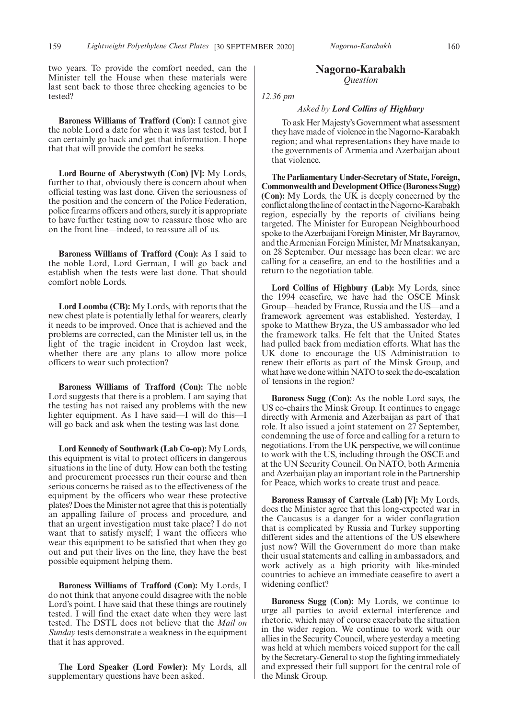two years. To provide the comfort needed, can the Minister tell the House when these materials were last sent back to those three checking agencies to be tested?

**Baroness Williams of Trafford (Con):** I cannot give the noble Lord a date for when it was last tested, but I can certainly go back and get that information. I hope that that will provide the comfort he seeks.

**Lord Bourne of Aberystwyth (Con) [V]:** My Lords, further to that, obviously there is concern about when official testing was last done. Given the seriousness of the position and the concern of the Police Federation, police firearms officers and others, surely it is appropriate to have further testing now to reassure those who are on the front line—indeed, to reassure all of us.

**Baroness Williams of Trafford (Con):** As I said to the noble Lord, Lord German, I will go back and establish when the tests were last done. That should comfort noble Lords.

**Lord Loomba (CB):** My Lords, with reports that the new chest plate is potentially lethal for wearers, clearly it needs to be improved. Once that is achieved and the problems are corrected, can the Minister tell us, in the light of the tragic incident in Croydon last week, whether there are any plans to allow more police officers to wear such protection?

**Baroness Williams of Trafford (Con):** The noble Lord suggests that there is a problem. I am saying that the testing has not raised any problems with the new lighter equipment. As I have said—I will do this—I will go back and ask when the testing was last done.

**Lord Kennedy of Southwark (Lab Co-op):** My Lords, this equipment is vital to protect officers in dangerous situations in the line of duty. How can both the testing and procurement processes run their course and then serious concerns be raised as to the effectiveness of the equipment by the officers who wear these protective plates? Does the Minister not agree that this is potentially an appalling failure of process and procedure, and that an urgent investigation must take place? I do not want that to satisfy myself; I want the officers who wear this equipment to be satisfied that when they go out and put their lives on the line, they have the best possible equipment helping them.

**Baroness Williams of Trafford (Con):** My Lords, I do not think that anyone could disagree with the noble Lord's point. I have said that these things are routinely tested. I will find the exact date when they were last tested. The DSTL does not believe that the *Mail on Sunday* tests demonstrate a weakness in the equipment that it has approved.

**The Lord Speaker (Lord Fowler):** My Lords, all supplementary questions have been asked.

#### **Nagorno-Karabakh** *Question*

*12.36 pm*

#### *Asked by Lord Collins of Highbury*

To ask Her Majesty's Government what assessment they have made of violence in the Nagorno-Karabakh region; and what representations they have made to the governments of Armenia and Azerbaijan about that violence.

**The Parliamentary Under-Secretary of State, Foreign, Commonwealth and Development Office (Baroness Sugg) (Con):** My Lords, the UK is deeply concerned by the conflict along the line of contact in the Nagorno-Karabakh region, especially by the reports of civilians being targeted. The Minister for European Neighbourhood spoke to the Azerbaijani Foreign Minister, Mr Bayramov, and the Armenian Foreign Minister, Mr Mnatsakanyan, on 28 September. Our message has been clear: we are calling for a ceasefire, an end to the hostilities and a return to the negotiation table.

**Lord Collins of Highbury (Lab):** My Lords, since the 1994 ceasefire, we have had the OSCE Minsk Group—headed by France, Russia and the US—and a framework agreement was established. Yesterday, I spoke to Matthew Bryza, the US ambassador who led the framework talks. He felt that the United States had pulled back from mediation efforts. What has the UK done to encourage the US Administration to renew their efforts as part of the Minsk Group, and what have we done within NATO to seek the de-escalation of tensions in the region?

**Baroness Sugg (Con):** As the noble Lord says, the US co-chairs the Minsk Group. It continues to engage directly with Armenia and Azerbaijan as part of that role. It also issued a joint statement on 27 September, condemning the use of force and calling for a return to negotiations. From the UK perspective, we will continue to work with the US, including through the OSCE and at the UN Security Council. On NATO, both Armenia and Azerbaijan play an important role in the Partnership for Peace, which works to create trust and peace.

**Baroness Ramsay of Cartvale (Lab) [V]:** My Lords, does the Minister agree that this long-expected war in the Caucasus is a danger for a wider conflagration that is complicated by Russia and Turkey supporting different sides and the attentions of the US elsewhere just now? Will the Government do more than make their usual statements and calling in ambassadors, and work actively as a high priority with like-minded countries to achieve an immediate ceasefire to avert a widening conflict?

**Baroness Sugg (Con):** My Lords, we continue to urge all parties to avoid external interference and rhetoric, which may of course exacerbate the situation in the wider region. We continue to work with our allies in the Security Council, where yesterday a meeting was held at which members voiced support for the call by the Secretary-General to stop the fighting immediately and expressed their full support for the central role of the Minsk Group.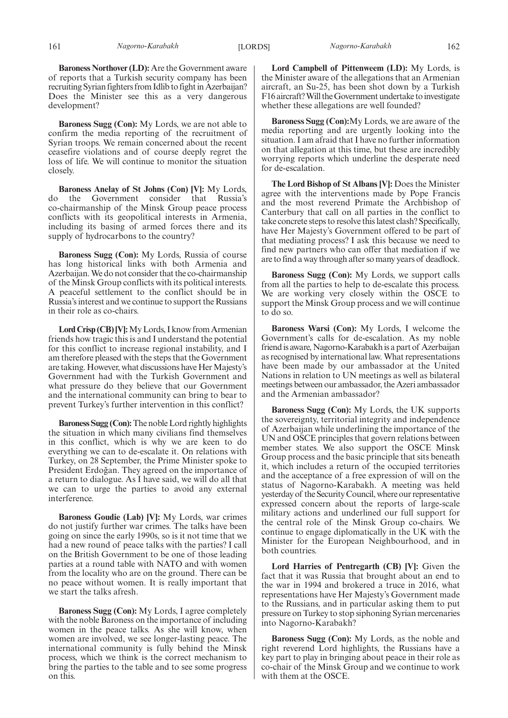**Baroness Northover (LD):** Are the Government aware of reports that a Turkish security company has been recruiting Syrian fighters from Idlib to fight in Azerbaijan? Does the Minister see this as a very dangerous development?

**Baroness Sugg (Con):** My Lords, we are not able to confirm the media reporting of the recruitment of Syrian troops. We remain concerned about the recent ceasefire violations and of course deeply regret the loss of life. We will continue to monitor the situation closely.

**Baroness Anelay of St Johns (Con) [V]:** My Lords, do the Government consider that Russia's co-chairmanship of the Minsk Group peace process conflicts with its geopolitical interests in Armenia, including its basing of armed forces there and its supply of hydrocarbons to the country?

**Baroness Sugg (Con):** My Lords, Russia of course has long historical links with both Armenia and Azerbaijan. We do not consider that the co-chairmanship of the Minsk Group conflicts with its political interests. A peaceful settlement to the conflict should be in Russia's interest and we continue to support the Russians in their role as co-chairs.

**Lord Crisp (CB) [V]:**My Lords, I know from Armenian friends how tragic this is and I understand the potential for this conflict to increase regional instability, and I am therefore pleased with the steps that the Government are taking. However, what discussions have Her Majesty's Government had with the Turkish Government and what pressure do they believe that our Government and the international community can bring to bear to prevent Turkey's further intervention in this conflict?

**Baroness Sugg (Con):**The noble Lord rightly highlights the situation in which many civilians find themselves in this conflict, which is why we are keen to do everything we can to de-escalate it. On relations with Turkey, on 28 September, the Prime Minister spoke to President Erdoğan. They agreed on the importance of a return to dialogue. As I have said, we will do all that we can to urge the parties to avoid any external interference.

**Baroness Goudie (Lab) [V]:** My Lords, war crimes do not justify further war crimes. The talks have been going on since the early 1990s, so is it not time that we had a new round of peace talks with the parties? I call on the British Government to be one of those leading parties at a round table with NATO and with women from the locality who are on the ground. There can be no peace without women. It is really important that we start the talks afresh.

**Baroness Sugg (Con):** My Lords, I agree completely with the noble Baroness on the importance of including women in the peace talks. As she will know, when women are involved, we see longer-lasting peace. The international community is fully behind the Minsk process, which we think is the correct mechanism to bring the parties to the table and to see some progress on this.

**Lord Campbell of Pittenweem (LD):** My Lords, is the Minister aware of the allegations that an Armenian aircraft, an Su-25, has been shot down by a Turkish F16 aircraft? Will the Government undertake to investigate whether these allegations are well founded?

**Baroness Sugg (Con):**My Lords, we are aware of the media reporting and are urgently looking into the situation. I am afraid that I have no further information on that allegation at this time, but these are incredibly worrying reports which underline the desperate need for de-escalation.

**The Lord Bishop of St Albans [V]:** Does the Minister agree with the interventions made by Pope Francis and the most reverend Primate the Archbishop of Canterbury that call on all parties in the conflict to take concrete steps to resolve this latest clash? Specifically, have Her Majesty's Government offered to be part of that mediating process? I ask this because we need to find new partners who can offer that mediation if we are to find a way through after so many years of deadlock.

**Baroness Sugg (Con):** My Lords, we support calls from all the parties to help to de-escalate this process. We are working very closely within the OSCE to support the Minsk Group process and we will continue to do so.

**Baroness Warsi (Con):** My Lords, I welcome the Government's calls for de-escalation. As my noble friend is aware, Nagorno-Karabakh is a part of Azerbaijan as recognised by international law. What representations have been made by our ambassador at the United Nations in relation to UN meetings as well as bilateral meetings between our ambassador, the Azeri ambassador and the Armenian ambassador?

**Baroness Sugg (Con):** My Lords, the UK supports the sovereignty, territorial integrity and independence of Azerbaijan while underlining the importance of the UN and OSCE principles that govern relations between member states. We also support the OSCE Minsk Group process and the basic principle that sits beneath it, which includes a return of the occupied territories and the acceptance of a free expression of will on the status of Nagorno-Karabakh. A meeting was held yesterday of the Security Council, where our representative expressed concern about the reports of large-scale military actions and underlined our full support for the central role of the Minsk Group co-chairs. We continue to engage diplomatically in the UK with the Minister for the European Neighbourhood, and in both countries.

**Lord Harries of Pentregarth (CB) [V]:** Given the fact that it was Russia that brought about an end to the war in 1994 and brokered a truce in 2016, what representations have Her Majesty's Government made to the Russians, and in particular asking them to put pressure on Turkey to stop siphoning Syrian mercenaries into Nagorno-Karabakh?

**Baroness Sugg (Con):** My Lords, as the noble and right reverend Lord highlights, the Russians have a key part to play in bringing about peace in their role as co-chair of the Minsk Group and we continue to work with them at the OSCE.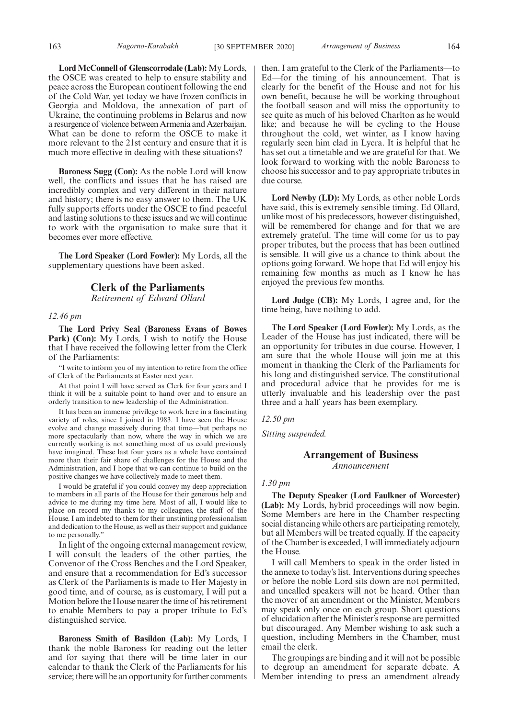**Lord McConnell of Glenscorrodale (Lab):** My Lords, the OSCE was created to help to ensure stability and peace across the European continent following the end of the Cold War, yet today we have frozen conflicts in Georgia and Moldova, the annexation of part of Ukraine, the continuing problems in Belarus and now a resurgence of violence between Armenia and Azerbaijan. What can be done to reform the OSCE to make it more relevant to the 21st century and ensure that it is much more effective in dealing with these situations?

**Baroness Sugg (Con):** As the noble Lord will know well, the conflicts and issues that he has raised are incredibly complex and very different in their nature and history; there is no easy answer to them. The UK fully supports efforts under the OSCE to find peaceful and lasting solutions to these issues and we will continue to work with the organisation to make sure that it becomes ever more effective.

**The Lord Speaker (Lord Fowler):** My Lords, all the supplementary questions have been asked.

#### **Clerk of the Parliaments**

*Retirement of Edward Ollard*

#### *12.46 pm*

**The Lord Privy Seal (Baroness Evans of Bowes** Park) (Con): My Lords, I wish to notify the House that I have received the following letter from the Clerk of the Parliaments:

"I write to inform you of my intention to retire from the office of Clerk of the Parliaments at Easter next year.

At that point I will have served as Clerk for four years and I think it will be a suitable point to hand over and to ensure an orderly transition to new leadership of the Administration.

It has been an immense privilege to work here in a fascinating variety of roles, since I joined in 1983. I have seen the House evolve and change massively during that time—but perhaps no more spectacularly than now, where the way in which we are currently working is not something most of us could previously have imagined. These last four years as a whole have contained more than their fair share of challenges for the House and the Administration, and I hope that we can continue to build on the positive changes we have collectively made to meet them.

I would be grateful if you could convey my deep appreciation to members in all parts of the House for their generous help and advice to me during my time here. Most of all, I would like to place on record my thanks to my colleagues, the staff of the House. I am indebted to them for their unstinting professionalism and dedication to the House, as well as their support and guidance to me personally."

In light of the ongoing external management review, I will consult the leaders of the other parties, the Convenor of the Cross Benches and the Lord Speaker, and ensure that a recommendation for Ed's successor as Clerk of the Parliaments is made to Her Majesty in good time, and of course, as is customary, I will put a Motion before the House nearer the time of his retirement to enable Members to pay a proper tribute to Ed's distinguished service.

**Baroness Smith of Basildon (Lab):** My Lords, I thank the noble Baroness for reading out the letter and for saying that there will be time later in our calendar to thank the Clerk of the Parliaments for his service; there will be an opportunity for further comments then. I am grateful to the Clerk of the Parliaments—to Ed—for the timing of his announcement. That is clearly for the benefit of the House and not for his own benefit, because he will be working throughout the football season and will miss the opportunity to see quite as much of his beloved Charlton as he would like; and because he will be cycling to the House throughout the cold, wet winter, as I know having regularly seen him clad in Lycra. It is helpful that he has set out a timetable and we are grateful for that. We look forward to working with the noble Baroness to choose his successor and to pay appropriate tributes in due course.

**Lord Newby (LD):** My Lords, as other noble Lords have said, this is extremely sensible timing. Ed Ollard, unlike most of his predecessors, however distinguished, will be remembered for change and for that we are extremely grateful. The time will come for us to pay proper tributes, but the process that has been outlined is sensible. It will give us a chance to think about the options going forward. We hope that Ed will enjoy his remaining few months as much as I know he has enjoyed the previous few months.

**Lord Judge (CB):** My Lords, I agree and, for the time being, have nothing to add.

**The Lord Speaker (Lord Fowler):** My Lords, as the Leader of the House has just indicated, there will be an opportunity for tributes in due course. However, I am sure that the whole House will join me at this moment in thanking the Clerk of the Parliaments for his long and distinguished service. The constitutional and procedural advice that he provides for me is utterly invaluable and his leadership over the past three and a half years has been exemplary.

*12.50 pm*

*Sitting suspended.*

#### **Arrangement of Business** *Announcement*

#### *1.30 pm*

**The Deputy Speaker (Lord Faulkner of Worcester) (Lab):** My Lords, hybrid proceedings will now begin. Some Members are here in the Chamber respecting social distancing while others are participating remotely, but all Members will be treated equally. If the capacity of the Chamber is exceeded, I will immediately adjourn the House.

I will call Members to speak in the order listed in the annexe to today's list. Interventions during speeches or before the noble Lord sits down are not permitted, and uncalled speakers will not be heard. Other than the mover of an amendment or the Minister, Members may speak only once on each group. Short questions of elucidation after the Minister's response are permitted but discouraged. Any Member wishing to ask such a question, including Members in the Chamber, must email the clerk.

The groupings are binding and it will not be possible to degroup an amendment for separate debate. A Member intending to press an amendment already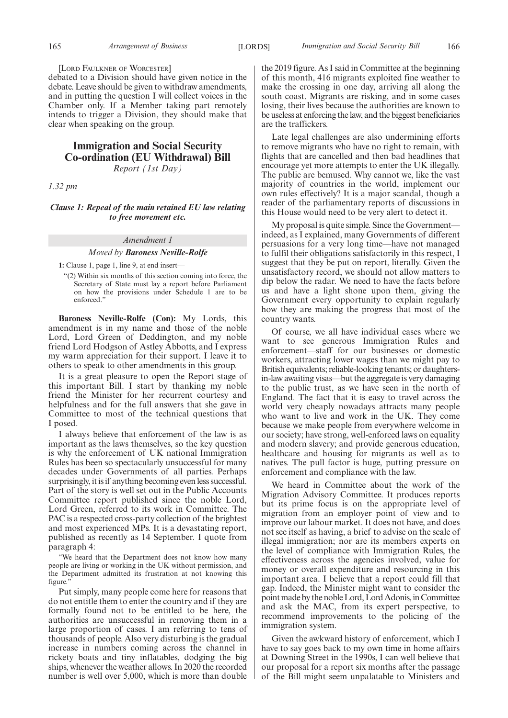#### [LORD FAULKNER OF WORCESTER]

debated to a Division should have given notice in the debate. Leave should be given to withdraw amendments, and in putting the question I will collect voices in the Chamber only. If a Member taking part remotely intends to trigger a Division, they should make that clear when speaking on the group.

#### **Immigration and Social Security Co-ordination (EU Withdrawal) Bill** *Report (1st Day)*

*1.32 pm*

#### *Clause 1: Repeal of the main retained EU law relating to free movement etc.*

### *Amendment 1*

#### *Moved by Baroness Neville-Rolfe*

**1:** Clause 1, page 1, line 9, at end insert—

"(2) Within six months of this section coming into force, the Secretary of State must lay a report before Parliament on how the provisions under Schedule 1 are to be enforced."

**Baroness Neville-Rolfe (Con):** My Lords, this amendment is in my name and those of the noble Lord, Lord Green of Deddington, and my noble friend Lord Hodgson of Astley Abbotts, and I express my warm appreciation for their support. I leave it to others to speak to other amendments in this group.

It is a great pleasure to open the Report stage of this important Bill. I start by thanking my noble friend the Minister for her recurrent courtesy and helpfulness and for the full answers that she gave in Committee to most of the technical questions that I posed.

I always believe that enforcement of the law is as important as the laws themselves, so the key question is why the enforcement of UK national Immigration Rules has been so spectacularly unsuccessful for many decades under Governments of all parties. Perhaps surprisingly, it is if anything becoming even less successful. Part of the story is well set out in the Public Accounts Committee report published since the noble Lord, Lord Green, referred to its work in Committee. The PAC is a respected cross-party collection of the brightest and most experienced MPs. It is a devastating report, published as recently as 14 September. I quote from paragraph 4:

"We heard that the Department does not know how many people are living or working in the UK without permission, and the Department admitted its frustration at not knowing this figure."

Put simply, many people come here for reasons that do not entitle them to enter the country and if they are formally found not to be entitled to be here, the authorities are unsuccessful in removing them in a large proportion of cases. I am referring to tens of thousands of people. Also very disturbing is the gradual increase in numbers coming across the channel in rickety boats and tiny inflatables, dodging the big ships, whenever the weather allows. In 2020 the recorded number is well over 5,000, which is more than double the 2019 figure. As I said in Committee at the beginning of this month, 416 migrants exploited fine weather to make the crossing in one day, arriving all along the south coast. Migrants are risking, and in some cases losing, their lives because the authorities are known to be useless at enforcing the law, and the biggest beneficiaries are the traffickers.

Late legal challenges are also undermining efforts to remove migrants who have no right to remain, with flights that are cancelled and then bad headlines that encourage yet more attempts to enter the UK illegally. The public are bemused. Why cannot we, like the vast majority of countries in the world, implement our own rules effectively? It is a major scandal, though a reader of the parliamentary reports of discussions in this House would need to be very alert to detect it.

My proposal is quite simple. Since the Government indeed, as I explained, many Governments of different persuasions for a very long time—have not managed to fulfil their obligations satisfactorily in this respect, I suggest that they be put on report, literally. Given the unsatisfactory record, we should not allow matters to dip below the radar. We need to have the facts before us and have a light shone upon them, giving the Government every opportunity to explain regularly how they are making the progress that most of the country wants.

Of course, we all have individual cases where we want to see generous Immigration Rules and enforcement—staff for our businesses or domestic workers, attracting lower wages than we might pay to British equivalents; reliable-looking tenants; or daughtersin-law awaiting visas—but the aggregate is very damaging to the public trust, as we have seen in the north of England. The fact that it is easy to travel across the world very cheaply nowadays attracts many people who want to live and work in the UK. They come because we make people from everywhere welcome in our society; have strong, well-enforced laws on equality and modern slavery; and provide generous education, healthcare and housing for migrants as well as to natives. The pull factor is huge, putting pressure on enforcement and compliance with the law.

We heard in Committee about the work of the Migration Advisory Committee. It produces reports but its prime focus is on the appropriate level of migration from an employer point of view and to improve our labour market. It does not have, and does not see itself as having, a brief to advise on the scale of illegal immigration; nor are its members experts on the level of compliance with Immigration Rules, the effectiveness across the agencies involved, value for money or overall expenditure and resourcing in this important area. I believe that a report could fill that gap. Indeed, the Minister might want to consider the point made by the noble Lord, Lord Adonis, in Committee and ask the MAC, from its expert perspective, to recommend improvements to the policing of the immigration system.

Given the awkward history of enforcement, which I have to say goes back to my own time in home affairs at Downing Street in the 1990s, I can well believe that our proposal for a report six months after the passage of the Bill might seem unpalatable to Ministers and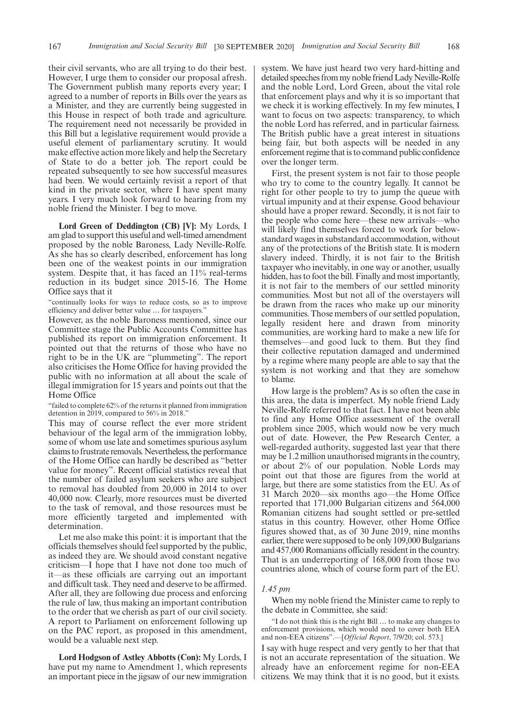their civil servants, who are all trying to do their best. However, I urge them to consider our proposal afresh. The Government publish many reports every year; I agreed to a number of reports in Bills over the years as a Minister, and they are currently being suggested in this House in respect of both trade and agriculture. The requirement need not necessarily be provided in this Bill but a legislative requirement would provide a useful element of parliamentary scrutiny. It would make effective action more likely and help the Secretary of State to do a better job. The report could be repeated subsequently to see how successful measures had been. We would certainly revisit a report of that kind in the private sector, where I have spent many years. I very much look forward to hearing from my noble friend the Minister. I beg to move.

**Lord Green of Deddington (CB) [V]:** My Lords, I am glad to support this useful and well-timed amendment proposed by the noble Baroness, Lady Neville-Rolfe. As she has so clearly described, enforcement has long been one of the weakest points in our immigration system. Despite that, it has faced an 11% real-terms reduction in its budget since 2015-16. The Home Office says that it

"continually looks for ways to reduce costs, so as to improve efficiency and deliver better value … for taxpayers."

However, as the noble Baroness mentioned, since our Committee stage the Public Accounts Committee has published its report on immigration enforcement. It pointed out that the returns of those who have no right to be in the UK are "plummeting". The report also criticises the Home Office for having provided the public with no information at all about the scale of illegal immigration for 15 years and points out that the Home Office

"failed to complete 62% of the returns it planned from immigration detention in 2019, compared to 56% in 2018."

This may of course reflect the ever more strident behaviour of the legal arm of the immigration lobby, some of whom use late and sometimes spurious asylum claims to frustrate removals. Nevertheless, the performance of the Home Office can hardly be described as "better value for money". Recent official statistics reveal that the number of failed asylum seekers who are subject to removal has doubled from 20,000 in 2014 to over 40,000 now. Clearly, more resources must be diverted to the task of removal, and those resources must be more efficiently targeted and implemented with determination.

Let me also make this point: it is important that the officials themselves should feel supported by the public, as indeed they are. We should avoid constant negative criticism—I hope that I have not done too much of it—as these officials are carrying out an important and difficult task. They need and deserve to be affirmed. After all, they are following due process and enforcing the rule of law, thus making an important contribution to the order that we cherish as part of our civil society. A report to Parliament on enforcement following up on the PAC report, as proposed in this amendment, would be a valuable next step.

**Lord Hodgson of Astley Abbotts (Con):** My Lords, I have put my name to Amendment 1, which represents an important piece in the jigsaw of our new immigration system. We have just heard two very hard-hitting and detailed speeches from my noble friend Lady Neville-Rolfe and the noble Lord, Lord Green, about the vital role that enforcement plays and why it is so important that we check it is working effectively. In my few minutes, I want to focus on two aspects: transparency, to which the noble Lord has referred, and in particular fairness. The British public have a great interest in situations being fair, but both aspects will be needed in any enforcement regime that is to command public confidence over the longer term.

First, the present system is not fair to those people who try to come to the country legally. It cannot be right for other people to try to jump the queue with virtual impunity and at their expense. Good behaviour should have a proper reward. Secondly, it is not fair to the people who come here—these new arrivals—who will likely find themselves forced to work for belowstandard wages in substandard accommodation, without any of the protections of the British state. It is modern slavery indeed. Thirdly, it is not fair to the British taxpayer who inevitably, in one way or another, usually hidden, has to foot the bill. Finally and most importantly, it is not fair to the members of our settled minority communities. Most but not all of the overstayers will be drawn from the races who make up our minority communities. Those members of our settled population, legally resident here and drawn from minority communities, are working hard to make a new life for themselves—and good luck to them. But they find their collective reputation damaged and undermined by a regime where many people are able to say that the system is not working and that they are somehow to blame.

How large is the problem? As is so often the case in this area, the data is imperfect. My noble friend Lady Neville-Rolfe referred to that fact. I have not been able to find any Home Office assessment of the overall problem since 2005, which would now be very much out of date. However, the Pew Research Center, a well-regarded authority, suggested last year that there may be 1.2 million unauthorised migrants in the country, or about 2% of our population. Noble Lords may point out that those are figures from the world at large, but there are some statistics from the EU. As of 31 March 2020—six months ago—the Home Office reported that 171,000 Bulgarian citizens and 564,000 Romanian citizens had sought settled or pre-settled status in this country. However, other Home Office figures showed that, as of 30 June 2019, nine months earlier, there were supposed to be only 109,000 Bulgarians and 457,000 Romanians officially resident in the country. That is an underreporting of 168,000 from those two countries alone, which of course form part of the EU.

#### *1.45 pm*

When my noble friend the Minister came to reply to the debate in Committee, she said:

"I do not think this is the right Bill … to make any changes to enforcement provisions, which would need to cover both EEA and non-EEA citizens".—[*Official Report*, 7/9/20; col. 573.]

I say with huge respect and very gently to her that that is not an accurate representation of the situation. We already have an enforcement regime for non-EEA citizens. We may think that it is no good, but it exists.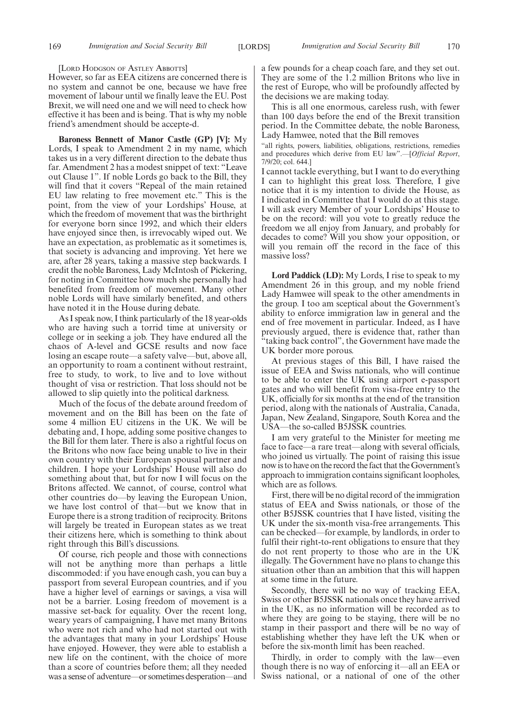#### [LORD HODGSON OF ASTLEY ABBOTTS]

However, so far as EEA citizens are concerned there is no system and cannot be one, because we have free movement of labour until we finally leave the EU. Post Brexit, we will need one and we will need to check how effective it has been and is being. That is why my noble friend's amendment should be accepte-d.

**Baroness Bennett of Manor Castle (GP) [V]:** My Lords, I speak to Amendment 2 in my name, which takes us in a very different direction to the debate thus far. Amendment 2 has a modest snippet of text: "Leave out Clause 1". If noble Lords go back to the Bill, they will find that it covers "Repeal of the main retained EU law relating to free movement etc." This is the point, from the view of your Lordships' House, at which the freedom of movement that was the birthright for everyone born since 1992, and which their elders have enjoyed since then, is irrevocably wiped out. We have an expectation, as problematic as it sometimes is, that society is advancing and improving. Yet here we are, after 28 years, taking a massive step backwards. I credit the noble Baroness, Lady McIntosh of Pickering, for noting in Committee how much she personally had benefited from freedom of movement. Many other noble Lords will have similarly benefited, and others have noted it in the House during debate.

As I speak now, I think particularly of the 18 year-olds who are having such a torrid time at university or college or in seeking a job. They have endured all the chaos of A-level and GCSE results and now face losing an escape route—a safety valve—but, above all, an opportunity to roam a continent without restraint, free to study, to work, to live and to love without thought of visa or restriction. That loss should not be allowed to slip quietly into the political darkness.

Much of the focus of the debate around freedom of movement and on the Bill has been on the fate of some 4 million EU citizens in the UK. We will be debating and, I hope, adding some positive changes to the Bill for them later. There is also a rightful focus on the Britons who now face being unable to live in their own country with their European spousal partner and children. I hope your Lordships' House will also do something about that, but for now I will focus on the Britons affected. We cannot, of course, control what other countries do—by leaving the European Union, we have lost control of that—but we know that in Europe there is a strong tradition of reciprocity. Britons will largely be treated in European states as we treat their citizens here, which is something to think about right through this Bill's discussions.

Of course, rich people and those with connections will not be anything more than perhaps a little discommoded: if you have enough cash, you can buy a passport from several European countries, and if you have a higher level of earnings or savings, a visa will not be a barrier. Losing freedom of movement is a massive set-back for equality. Over the recent long, weary years of campaigning, I have met many Britons who were not rich and who had not started out with the advantages that many in your Lordships' House have enjoyed. However, they were able to establish a new life on the continent, with the choice of more than a score of countries before them; all they needed was a sense of adventure—or sometimes desperation—and a few pounds for a cheap coach fare, and they set out. They are some of the 1.2 million Britons who live in the rest of Europe, who will be profoundly affected by the decisions we are making today.

This is all one enormous, careless rush, with fewer than 100 days before the end of the Brexit transition period. In the Committee debate, the noble Baroness, Lady Hamwee, noted that the Bill removes

"all rights, powers, liabilities, obligations, restrictions, remedies and procedures which derive from EU law".—[*Official Report*, 7/9/20; col. 644.]

I cannot tackle everything, but I want to do everything I can to highlight this great loss. Therefore, I give notice that it is my intention to divide the House, as I indicated in Committee that I would do at this stage. I will ask every Member of your Lordships' House to be on the record: will you vote to greatly reduce the freedom we all enjoy from January, and probably for decades to come? Will you show your opposition, or will you remain off the record in the face of this massive loss?

**Lord Paddick (LD):** My Lords, I rise to speak to my Amendment 26 in this group, and my noble friend Lady Hamwee will speak to the other amendments in the group. I too am sceptical about the Government's ability to enforce immigration law in general and the end of free movement in particular. Indeed, as I have previously argued, there is evidence that, rather than "taking back control", the Government have made the UK border more porous.

At previous stages of this Bill, I have raised the issue of EEA and Swiss nationals, who will continue to be able to enter the UK using airport e-passport gates and who will benefit from visa-free entry to the UK, officially for six months at the end of the transition period, along with the nationals of Australia, Canada, Japan, New Zealand, Singapore, South Korea and the USA—the so-called B5JSSK countries.

I am very grateful to the Minister for meeting me face to face—a rare treat—along with several officials, who joined us virtually. The point of raising this issue now is to have on the record the fact that the Government's approach to immigration contains significant loopholes, which are as follows.

First, there will be no digital record of the immigration status of EEA and Swiss nationals, or those of the other B5JSSK countries that I have listed, visiting the UK under the six-month visa-free arrangements. This can be checked—for example, by landlords, in order to fulfil their right-to-rent obligations to ensure that they do not rent property to those who are in the UK illegally. The Government have no plans to change this situation other than an ambition that this will happen at some time in the future.

Secondly, there will be no way of tracking EEA, Swiss or other B5JSSK nationals once they have arrived in the UK, as no information will be recorded as to where they are going to be staying, there will be no stamp in their passport and there will be no way of establishing whether they have left the UK when or before the six-month limit has been reached.

Thirdly, in order to comply with the law—even though there is no way of enforcing it—all an EEA or Swiss national, or a national of one of the other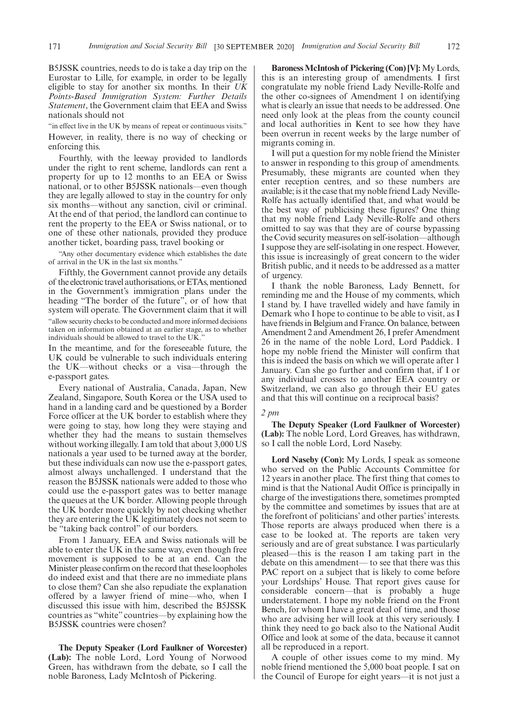B5JSSK countries, needs to do is take a day trip on the Eurostar to Lille, for example, in order to be legally eligible to stay for another six months. In their *UK Points-Based Immigration System: Further Details Statement*, the Government claim that EEA and Swiss nationals should not

"in effect live in the UK by means of repeat or continuous visits." However, in reality, there is no way of checking or enforcing this.

Fourthly, with the leeway provided to landlords under the right to rent scheme, landlords can rent a property for up to 12 months to an EEA or Swiss national, or to other B5JSSK nationals—even though they are legally allowed to stay in the country for only six months—without any sanction, civil or criminal. At the end of that period, the landlord can continue to rent the property to the EEA or Swiss national, or to one of these other nationals, provided they produce another ticket, boarding pass, travel booking or

"Any other documentary evidence which establishes the date of arrival in the UK in the last six months."

Fifthly, the Government cannot provide any details of the electronic travel authorisations, or ETAs, mentioned in the Government's immigration plans under the heading "The border of the future", or of how that system will operate. The Government claim that it will "allow security checks to be conducted and more informed decisions taken on information obtained at an earlier stage, as to whether individuals should be allowed to travel to the UK."

In the meantime, and for the foreseeable future, the UK could be vulnerable to such individuals entering the UK—without checks or a visa—through the e-passport gates.

Every national of Australia, Canada, Japan, New Zealand, Singapore, South Korea or the USA used to hand in a landing card and be questioned by a Border Force officer at the UK border to establish where they were going to stay, how long they were staying and whether they had the means to sustain themselves without working illegally. I am told that about 3,000 US nationals a year used to be turned away at the border, but these individuals can now use the e-passport gates, almost always unchallenged. I understand that the reason the B5JSSK nationals were added to those who could use the e-passport gates was to better manage the queues at the UK border. Allowing people through the UK border more quickly by not checking whether they are entering the UK legitimately does not seem to be "taking back control" of our borders.

From 1 January, EEA and Swiss nationals will be able to enter the UK in the same way, even though free movement is supposed to be at an end. Can the Minister please confirm on the record that these loopholes do indeed exist and that there are no immediate plans to close them? Can she also repudiate the explanation offered by a lawyer friend of mine—who, when I discussed this issue with him, described the B5JSSK countries as "white" countries—by explaining how the B5JSSK countries were chosen?

**The Deputy Speaker (Lord Faulkner of Worcester) (Lab):** The noble Lord, Lord Young of Norwood Green, has withdrawn from the debate, so I call the noble Baroness, Lady McIntosh of Pickering.

**Baroness McIntosh of Pickering (Con) [V]:** My Lords, this is an interesting group of amendments. I first congratulate my noble friend Lady Neville-Rolfe and the other co-signees of Amendment 1 on identifying what is clearly an issue that needs to be addressed. One need only look at the pleas from the county council and local authorities in Kent to see how they have been overrun in recent weeks by the large number of migrants coming in.

I will put a question for my noble friend the Minister to answer in responding to this group of amendments. Presumably, these migrants are counted when they enter reception centres, and so these numbers are available; is it the case that my noble friend Lady Neville-Rolfe has actually identified that, and what would be the best way of publicising these figures? One thing that my noble friend Lady Neville-Rolfe and others omitted to say was that they are of course bypassing the Covid security measures on self-isolation—although I suppose they are self-isolating in one respect. However, this issue is increasingly of great concern to the wider British public, and it needs to be addressed as a matter of urgency.

I thank the noble Baroness, Lady Bennett, for reminding me and the House of my comments, which I stand by. I have travelled widely and have family in Demark who I hope to continue to be able to visit, as I have friends in Belgium and France. On balance, between Amendment 2 and Amendment 26, I prefer Amendment 26 in the name of the noble Lord, Lord Paddick. I hope my noble friend the Minister will confirm that this is indeed the basis on which we will operate after 1 January. Can she go further and confirm that, if I or any individual crosses to another EEA country or Switzerland, we can also go through their EU gates and that this will continue on a reciprocal basis?

#### *2 pm*

**The Deputy Speaker (Lord Faulkner of Worcester) (Lab):** The noble Lord, Lord Greaves, has withdrawn, so I call the noble Lord, Lord Naseby.

**Lord Naseby (Con):** My Lords, I speak as someone who served on the Public Accounts Committee for 12 years in another place. The first thing that comes to mind is that the National Audit Office is principally in charge of the investigations there, sometimes prompted by the committee and sometimes by issues that are at the forefront of politicians' and other parties' interests. Those reports are always produced when there is a case to be looked at. The reports are taken very seriously and are of great substance. I was particularly pleased—this is the reason I am taking part in the debate on this amendment— to see that there was this PAC report on a subject that is likely to come before your Lordships' House. That report gives cause for considerable concern—that is probably a huge understatement. I hope my noble friend on the Front Bench, for whom I have a great deal of time, and those who are advising her will look at this very seriously. I think they need to go back also to the National Audit Office and look at some of the data, because it cannot all be reproduced in a report.

A couple of other issues come to my mind. My noble friend mentioned the 5,000 boat people. I sat on the Council of Europe for eight years—it is not just a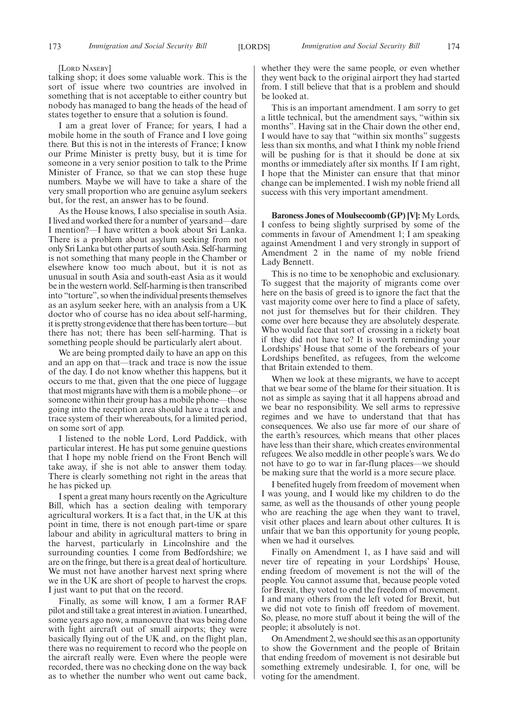#### [LORD NASEBY]

talking shop; it does some valuable work. This is the sort of issue where two countries are involved in something that is not acceptable to either country but nobody has managed to bang the heads of the head of states together to ensure that a solution is found.

I am a great lover of France; for years, I had a mobile home in the south of France and I love going there. But this is not in the interests of France; I know our Prime Minister is pretty busy, but it is time for someone in a very senior position to talk to the Prime Minister of France, so that we can stop these huge numbers. Maybe we will have to take a share of the very small proportion who are genuine asylum seekers but, for the rest, an answer has to be found.

As the House knows, I also specialise in south Asia. I lived and worked there for a number of years and—dare I mention?—I have written a book about Sri Lanka. There is a problem about asylum seeking from not only Sri Lanka but other parts of south Asia. Self-harming is not something that many people in the Chamber or elsewhere know too much about, but it is not as unusual in south Asia and south-east Asia as it would be in the western world. Self-harming is then transcribed into "torture", so when the individual presents themselves as an asylum seeker here, with an analysis from a UK doctor who of course has no idea about self-harming, it is pretty strong evidence that there has been torture—but there has not; there has been self-harming. That is something people should be particularly alert about.

We are being prompted daily to have an app on this and an app on that—track and trace is now the issue of the day. I do not know whether this happens, but it occurs to me that, given that the one piece of luggage that most migrants have with them is a mobile phone—or someone within their group has a mobile phone—those going into the reception area should have a track and trace system of their whereabouts, for a limited period, on some sort of app.

I listened to the noble Lord, Lord Paddick, with particular interest. He has put some genuine questions that I hope my noble friend on the Front Bench will take away, if she is not able to answer them today. There is clearly something not right in the areas that he has picked up.

I spent a great many hours recently on the Agriculture Bill, which has a section dealing with temporary agricultural workers. It is a fact that, in the UK at this point in time, there is not enough part-time or spare labour and ability in agricultural matters to bring in the harvest, particularly in Lincolnshire and the surrounding counties. I come from Bedfordshire; we are on the fringe, but there is a great deal of horticulture. We must not have another harvest next spring where we in the UK are short of people to harvest the crops. I just want to put that on the record.

Finally, as some will know, I am a former RAF pilot and still take a great interest in aviation. I unearthed, some years ago now, a manoeuvre that was being done with light aircraft out of small airports; they were basically flying out of the UK and, on the flight plan, there was no requirement to record who the people on the aircraft really were. Even where the people were recorded, there was no checking done on the way back as to whether the number who went out came back,

whether they were the same people, or even whether they went back to the original airport they had started from. I still believe that that is a problem and should be looked at.

This is an important amendment. I am sorry to get a little technical, but the amendment says, "within six months". Having sat in the Chair down the other end, I would have to say that "within six months" suggests less than six months, and what I think my noble friend will be pushing for is that it should be done at six months or immediately after six months. If I am right, I hope that the Minister can ensure that that minor change can be implemented. I wish my noble friend all success with this very important amendment.

**Baroness Jones of Moulsecoomb (GP) [V]:** My Lords, I confess to being slightly surprised by some of the comments in favour of Amendment 1; I am speaking against Amendment 1 and very strongly in support of Amendment 2 in the name of my noble friend Lady Bennett.

This is no time to be xenophobic and exclusionary. To suggest that the majority of migrants come over here on the basis of greed is to ignore the fact that the vast majority come over here to find a place of safety, not just for themselves but for their children. They come over here because they are absolutely desperate. Who would face that sort of crossing in a rickety boat if they did not have to? It is worth reminding your Lordships' House that some of the forebears of your Lordships benefited, as refugees, from the welcome that Britain extended to them.

When we look at these migrants, we have to accept that we bear some of the blame for their situation. It is not as simple as saying that it all happens abroad and we bear no responsibility. We sell arms to repressive regimes and we have to understand that that has consequences. We also use far more of our share of the earth's resources, which means that other places have less than their share, which creates environmental refugees. We also meddle in other people's wars. We do not have to go to war in far-flung places—we should be making sure that the world is a more secure place.

I benefited hugely from freedom of movement when I was young, and I would like my children to do the same, as well as the thousands of other young people who are reaching the age when they want to travel, visit other places and learn about other cultures. It is unfair that we ban this opportunity for young people, when we had it ourselves.

Finally on Amendment 1, as I have said and will never tire of repeating in your Lordships' House, ending freedom of movement is not the will of the people. You cannot assume that, because people voted for Brexit, they voted to end the freedom of movement. I and many others from the left voted for Brexit, but we did not vote to finish off freedom of movement. So, please, no more stuff about it being the will of the people; it absolutely is not.

On Amendment 2, we should see this as an opportunity to show the Government and the people of Britain that ending freedom of movement is not desirable but something extremely undesirable. I, for one, will be voting for the amendment.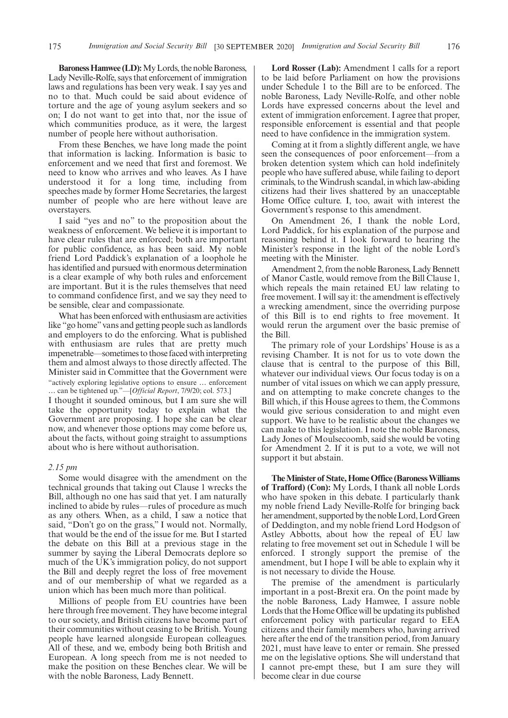**Baroness Hamwee (LD):**My Lords, the noble Baroness, Lady Neville-Rolfe, says that enforcement of immigration laws and regulations has been very weak. I say yes and no to that. Much could be said about evidence of torture and the age of young asylum seekers and so on; I do not want to get into that, nor the issue of which communities produce, as it were, the largest number of people here without authorisation.

From these Benches, we have long made the point that information is lacking. Information is basic to enforcement and we need that first and foremost. We need to know who arrives and who leaves. As I have understood it for a long time, including from speeches made by former Home Secretaries, the largest number of people who are here without leave are overstayers.

I said "yes and no" to the proposition about the weakness of enforcement. We believe it is important to have clear rules that are enforced; both are important for public confidence, as has been said. My noble friend Lord Paddick's explanation of a loophole he has identified and pursued with enormous determination is a clear example of why both rules and enforcement are important. But it is the rules themselves that need to command confidence first, and we say they need to be sensible, clear and compassionate.

What has been enforced with enthusiasm are activities like "go home" vans and getting people such as landlords and employers to do the enforcing. What is published with enthusiasm are rules that are pretty much impenetrable—sometimes to those faced with interpreting them and almost always to those directly affected. The Minister said in Committee that the Government were "actively exploring legislative options to ensure … enforcement … can be tightened up."—[*Official Report*, 7/9/20; col. 573.]

I thought it sounded ominous, but I am sure she will take the opportunity today to explain what the Government are proposing. I hope she can be clear now, and whenever those options may come before us, about the facts, without going straight to assumptions about who is here without authorisation.

#### *2.15 pm*

Some would disagree with the amendment on the technical grounds that taking out Clause 1 wrecks the Bill, although no one has said that yet. I am naturally inclined to abide by rules—rules of procedure as much as any others. When, as a child, I saw a notice that said, "Don't go on the grass," I would not. Normally, that would be the end of the issue for me. But I started the debate on this Bill at a previous stage in the summer by saying the Liberal Democrats deplore so much of the UK's immigration policy, do not support the Bill and deeply regret the loss of free movement and of our membership of what we regarded as a union which has been much more than political.

Millions of people from EU countries have been here through free movement. They have become integral to our society, and British citizens have become part of their communities without ceasing to be British. Young people have learned alongside European colleagues. All of these, and we, embody being both British and European. A long speech from me is not needed to make the position on these Benches clear. We will be with the noble Baroness, Lady Bennett.

**Lord Rosser (Lab):** Amendment 1 calls for a report to be laid before Parliament on how the provisions under Schedule 1 to the Bill are to be enforced. The noble Baroness, Lady Neville-Rolfe, and other noble Lords have expressed concerns about the level and extent of immigration enforcement. I agree that proper, responsible enforcement is essential and that people need to have confidence in the immigration system.

Coming at it from a slightly different angle, we have seen the consequences of poor enforcement—from a broken detention system which can hold indefinitely people who have suffered abuse, while failing to deport criminals, to the Windrush scandal, in which law-abiding citizens had their lives shattered by an unacceptable Home Office culture. I, too, await with interest the Government's response to this amendment.

On Amendment 26, I thank the noble Lord, Lord Paddick, for his explanation of the purpose and reasoning behind it. I look forward to hearing the Minister's response in the light of the noble Lord's meeting with the Minister.

Amendment 2, from the noble Baroness, Lady Bennett of Manor Castle, would remove from the Bill Clause 1, which repeals the main retained EU law relating to free movement. I will say it: the amendment is effectively a wrecking amendment, since the overriding purpose of this Bill is to end rights to free movement. It would rerun the argument over the basic premise of the Bill.

The primary role of your Lordships' House is as a revising Chamber. It is not for us to vote down the clause that is central to the purpose of this Bill, whatever our individual views. Our focus today is on a number of vital issues on which we can apply pressure, and on attempting to make concrete changes to the Bill which, if this House agrees to them, the Commons would give serious consideration to and might even support. We have to be realistic about the changes we can make to this legislation. I note the noble Baroness, Lady Jones of Moulsecoomb, said she would be voting for Amendment 2. If it is put to a vote, we will not support it but abstain.

**The Minister of State, Home Office (Baroness Williams of Trafford) (Con):** My Lords, I thank all noble Lords who have spoken in this debate. I particularly thank my noble friend Lady Neville-Rolfe for bringing back her amendment, supported by the noble Lord, Lord Green of Deddington, and my noble friend Lord Hodgson of Astley Abbotts, about how the repeal of EU law relating to free movement set out in Schedule 1 will be enforced. I strongly support the premise of the amendment, but I hope I will be able to explain why it is not necessary to divide the House.

The premise of the amendment is particularly important in a post-Brexit era. On the point made by the noble Baroness, Lady Hamwee, I assure noble Lords that the Home Office will be updating its published enforcement policy with particular regard to EEA citizens and their family members who, having arrived here after the end of the transition period, from January 2021, must have leave to enter or remain. She pressed me on the legislative options. She will understand that I cannot pre-empt these, but I am sure they will become clear in due course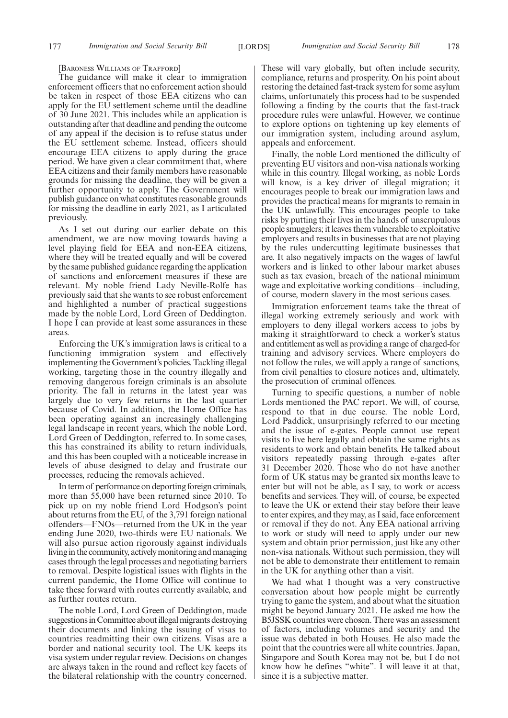[BARONESS WILLIAMS OF TRAFFORD]

The guidance will make it clear to immigration enforcement officers that no enforcement action should be taken in respect of those EEA citizens who can apply for the EU settlement scheme until the deadline of 30 June 2021. This includes while an application is outstanding after that deadline and pending the outcome of any appeal if the decision is to refuse status under the EU settlement scheme. Instead, officers should encourage EEA citizens to apply during the grace period. We have given a clear commitment that, where EEA citizens and their family members have reasonable grounds for missing the deadline, they will be given a further opportunity to apply. The Government will publish guidance on what constitutes reasonable grounds for missing the deadline in early 2021, as I articulated previously.

As I set out during our earlier debate on this amendment, we are now moving towards having a level playing field for EEA and non-EEA citizens, where they will be treated equally and will be covered by the same published guidance regarding the application of sanctions and enforcement measures if these are relevant. My noble friend Lady Neville-Rolfe has previously said that she wants to see robust enforcement and highlighted a number of practical suggestions made by the noble Lord, Lord Green of Deddington. I hope I can provide at least some assurances in these areas.

Enforcing the UK's immigration laws is critical to a functioning immigration system and effectively implementing the Government's policies. Tackling illegal working, targeting those in the country illegally and removing dangerous foreign criminals is an absolute priority. The fall in returns in the latest year was largely due to very few returns in the last quarter because of Covid. In addition, the Home Office has been operating against an increasingly challenging legal landscape in recent years, which the noble Lord, Lord Green of Deddington, referred to. In some cases, this has constrained its ability to return individuals, and this has been coupled with a noticeable increase in levels of abuse designed to delay and frustrate our processes, reducing the removals achieved.

In term of performance on deporting foreign criminals, more than 55,000 have been returned since 2010. To pick up on my noble friend Lord Hodgson's point about returns from the EU, of the 3,791 foreign national offenders—FNOs—returned from the UK in the year ending June 2020, two-thirds were EU nationals. We will also pursue action rigorously against individuals living in the community, actively monitoring and managing cases through the legal processes and negotiating barriers to removal. Despite logistical issues with flights in the current pandemic, the Home Office will continue to take these forward with routes currently available, and as further routes return.

The noble Lord, Lord Green of Deddington, made suggestions in Committee about illegal migrants destroying their documents and linking the issuing of visas to countries readmitting their own citizens. Visas are a border and national security tool. The UK keeps its visa system under regular review. Decisions on changes are always taken in the round and reflect key facets of the bilateral relationship with the country concerned.

These will vary globally, but often include security, compliance, returns and prosperity. On his point about restoring the detained fast-track system for some asylum claims, unfortunately this process had to be suspended following a finding by the courts that the fast-track procedure rules were unlawful. However, we continue to explore options on tightening up key elements of our immigration system, including around asylum, appeals and enforcement.

Finally, the noble Lord mentioned the difficulty of preventing EU visitors and non-visa nationals working while in this country. Illegal working, as noble Lords will know, is a key driver of illegal migration; it encourages people to break our immigration laws and provides the practical means for migrants to remain in the UK unlawfully. This encourages people to take risks by putting their lives in the hands of unscrupulous people smugglers; it leaves them vulnerable to exploitative employers and results in businesses that are not playing by the rules undercutting legitimate businesses that are. It also negatively impacts on the wages of lawful workers and is linked to other labour market abuses such as tax evasion, breach of the national minimum wage and exploitative working conditions—including, of course, modern slavery in the most serious cases.

Immigration enforcement teams take the threat of illegal working extremely seriously and work with employers to deny illegal workers access to jobs by making it straightforward to check a worker's status and entitlement as well as providing a range of charged-for training and advisory services. Where employers do not follow the rules, we will apply a range of sanctions, from civil penalties to closure notices and, ultimately, the prosecution of criminal offences.

Turning to specific questions, a number of noble Lords mentioned the PAC report. We will, of course, respond to that in due course. The noble Lord, Lord Paddick, unsurprisingly referred to our meeting and the issue of e-gates. People cannot use repeat visits to live here legally and obtain the same rights as residents to work and obtain benefits. He talked about visitors repeatedly passing through e-gates after 31 December 2020. Those who do not have another form of UK status may be granted six months leave to enter but will not be able, as I say, to work or access benefits and services. They will, of course, be expected to leave the UK or extend their stay before their leave to enter expires, and they may, as I said, face enforcement or removal if they do not. Any EEA national arriving to work or study will need to apply under our new system and obtain prior permission, just like any other non-visa nationals. Without such permission, they will not be able to demonstrate their entitlement to remain in the UK for anything other than a visit.

We had what I thought was a very constructive conversation about how people might be currently trying to game the system, and about what the situation might be beyond January 2021. He asked me how the B5JSSK countries were chosen. There was an assessment of factors, including volumes and security and the issue was debated in both Houses. He also made the point that the countries were all white countries. Japan, Singapore and South Korea may not be, but I do not know how he defines "white". I will leave it at that, since it is a subjective matter.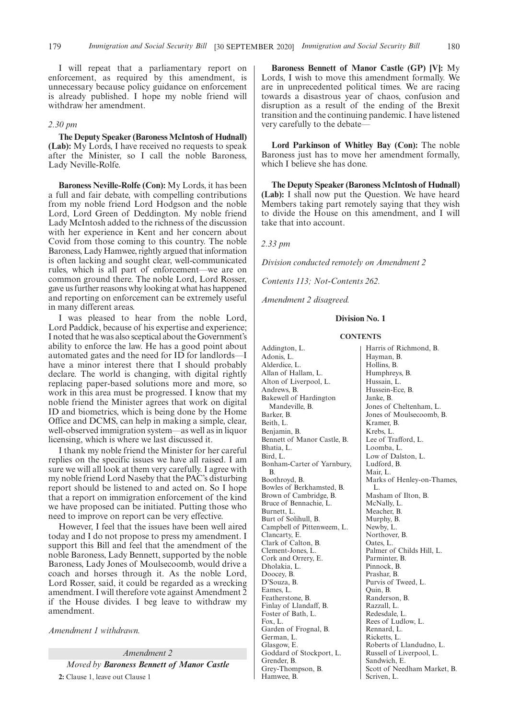I will repeat that a parliamentary report on enforcement, as required by this amendment, is unnecessary because policy guidance on enforcement is already published. I hope my noble friend will withdraw her amendment.

#### *2.30 pm*

**The Deputy Speaker (Baroness McIntosh of Hudnall) (Lab):** My Lords, I have received no requests to speak after the Minister, so I call the noble Baroness, Lady Neville-Rolfe.

**Baroness Neville-Rolfe (Con):** My Lords, it has been a full and fair debate, with compelling contributions from my noble friend Lord Hodgson and the noble Lord, Lord Green of Deddington. My noble friend Lady McIntosh added to the richness of the discussion with her experience in Kent and her concern about Covid from those coming to this country. The noble Baroness, Lady Hamwee, rightly argued that information is often lacking and sought clear, well-communicated rules, which is all part of enforcement—we are on common ground there. The noble Lord, Lord Rosser, gave us further reasons why looking at what has happened and reporting on enforcement can be extremely useful in many different areas.

I was pleased to hear from the noble Lord, Lord Paddick, because of his expertise and experience; I noted that he was also sceptical about the Government's ability to enforce the law. He has a good point about automated gates and the need for ID for landlords—I have a minor interest there that I should probably declare. The world is changing, with digital rightly replacing paper-based solutions more and more, so work in this area must be progressed. I know that my noble friend the Minister agrees that work on digital ID and biometrics, which is being done by the Home Office and DCMS, can help in making a simple, clear, well-observed immigration system—as well as in liquor licensing, which is where we last discussed it.

I thank my noble friend the Minister for her careful replies on the specific issues we have all raised. I am sure we will all look at them very carefully. I agree with my noble friend Lord Naseby that the PAC's disturbing report should be listened to and acted on. So I hope that a report on immigration enforcement of the kind we have proposed can be initiated. Putting those who need to improve on report can be very effective.

However, I feel that the issues have been well aired today and I do not propose to press my amendment. I support this Bill and feel that the amendment of the noble Baroness, Lady Bennett, supported by the noble Baroness, Lady Jones of Moulsecoomb, would drive a coach and horses through it. As the noble Lord, Lord Rosser, said, it could be regarded as a wrecking amendment. I will therefore vote against Amendment 2 if the House divides. I beg leave to withdraw my amendment.

*Amendment 1 withdrawn.*

*Amendment 2 Moved by Baroness Bennett of Manor Castle* **2:** Clause 1, leave out Clause 1

**Baroness Bennett of Manor Castle (GP) [V]:** My Lords, I wish to move this amendment formally. We are in unprecedented political times. We are racing towards a disastrous year of chaos, confusion and disruption as a result of the ending of the Brexit transition and the continuing pandemic. I have listened very carefully to the debate—

**Lord Parkinson of Whitley Bay (Con):** The noble Baroness just has to move her amendment formally, which I believe she has done.

**The Deputy Speaker (Baroness McIntosh of Hudnall) (Lab):** I shall now put the Question. We have heard Members taking part remotely saying that they wish to divide the House on this amendment, and I will take that into account.

*2.33 pm*

*Division conducted remotely on Amendment 2*

*Contents 113; Not-Contents 262.*

*Amendment 2 disagreed.*

#### **Division No. 1**

#### **CONTENTS**

Addington, L. Adonis, L. Alderdice, L. Allan of Hallam, L. Alton of Liverpool, L. Andrews, B. Bakewell of Hardington Mandeville, B. Barker, B. Beith, L. Benjamin, B. Bennett of Manor Castle, B. Bhatia, L. Bird, L. Bonham-Carter of Yarnbury, B. Boothroyd, B. Bowles of Berkhamsted, B. Brown of Cambridge, B. Bruce of Bennachie, L. Burnett, L. Burt of Solihull, B. Campbell of Pittenweem, L. Clancarty, E. Clark of Calton, B. Clement-Jones, L. Cork and Orrery, E. Dholakia, L. Doocey, B. D'Souza, B. Eames, L. Featherstone, B. Finlay of Llandaff, B. Foster of Bath, L. Fox, L. Garden of Frognal, B. German, L. Glasgow, E. Goddard of Stockport, L. Grender, B. Grey-Thompson, B. Hamwee, B.

Harris of Richmond, B. Hayman, B. Hollins, B. Humphreys, B. Hussain, L. Hussein-Ece, B. Janke, B. Jones of Cheltenham, L. Jones of Moulsecoomb, B. Kramer, B. Krebs, L. Lee of Trafford, L. Loomba, L. Low of Dalston, L. Ludford, B. Mair, L. Marks of Henley-on-Thames, L. Masham of Ilton, B. McNally, L. Meacher, B. Murphy, B. Newby, L. Northover, B. Oates, L. Palmer of Childs Hill, L. Parminter, B. Pinnock, B. Prashar, B. Purvis of Tweed, L. Quin, B. Randerson, B. Razzall, L. Redesdale, L. Rees of Ludlow, L. Rennard, L. Ricketts, L. Roberts of Llandudno, L. Russell of Liverpool, L. Sandwich, E. Scott of Needham Market, B. Scriven, L.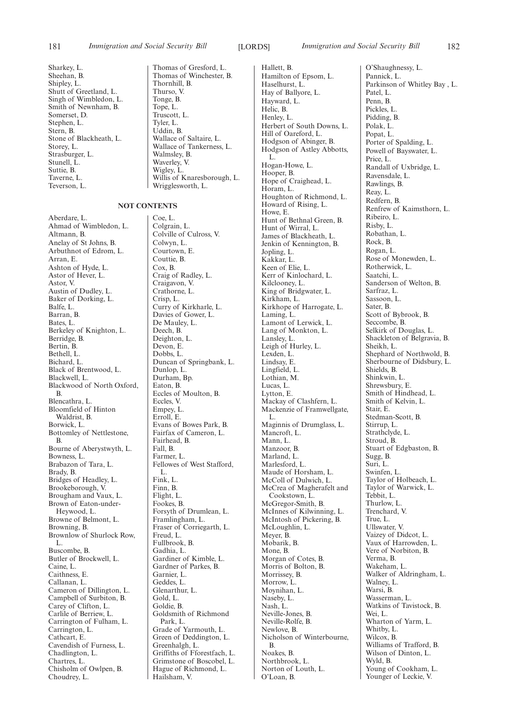Sharkey, L. Sheehan, B. Shipley, L. Shutt of Greetland, L. Singh of Wimbledon, L. Smith of Newnham, B. Somerset, D. Stephen, L. Stern, B. Stone of Blackheath, L. Storey, L. Strasburger, L. Stunell, L. Suttie, B. Taverne, L.

Teverson, L.

Thomas of Winchester, B. Thornhill, B. Thurso, V. Tonge, B. Tope, L. Truscott, L. Tyler, L. Uddin, B. Wallace of Saltaire, L. Wallace of Tankerness, L. Walmsley, B. Waverley, V. Wigley, L. Willis of Knaresborough, L.

Thomas of Gresford, L.

#### **NOT CONTENTS**

Aberdare, L. Ahmad of Wimbledon, L. Altmann, B. Anelay of St Johns, B. Arbuthnot of Edrom, L. Arran, E. Ashton of Hyde, L. Astor of Hever, L. Astor, V. Austin of Dudley, L. Baker of Dorking, L. Balfe, L. Barran, B. Bates, L. Berkeley of Knighton, L. Berridge, B. Bertin, B. Bethell, L. Bichard, L. Black of Brentwood, L. Blackwell, L. Blackwood of North Oxford, B. Blencathra, L. Bloomfield of Hinton Waldrist, B. Borwick, L. Bottomley of Nettlestone, B. Bourne of Aberystwyth, L. Bowness, L. Brabazon of Tara, L. Brady, B. Bridges of Headley, L. Brookeborough, V. Brougham and Vaux, L. Brown of Eaton-under-Heywood, L. Browne of Belmont, L. Browning, B. Brownlow of Shurlock Row, L. Buscombe, B. Butler of Brockwell, L. Caine, L. Caithness, E. Callanan, L. Cameron of Dillington, L. Campbell of Surbiton, B. Carey of Clifton, L. Carlile of Berriew, L. Carrington of Fulham, L. Carrington, L. Cathcart, E. Cavendish of Furness, L. Chadlington, L. Chartres, L. Chisholm of Owlpen, B. Choudrey, L.

Wrigglesworth, L.

Coe, L. Colgrain, L. Colville of Culross, V. Colwyn, L. Courtown, E. Couttie, B. Cox, B. Craig of Radley, L. Craigavon, V. Crathorne, L. Crisp, L. Curry of Kirkharle, L. Davies of Gower, L. De Mauley, L. Deech, B. Deighton, L. Devon, E. Dobbs, L. Duncan of Springbank, L. Dunlop, L. Durham, Bp. Eaton, B. Eccles of Moulton, B. Eccles, V. Empey, L. Erroll, E. Evans of Bowes Park, B. Fairfax of Cameron, L. Fairhead, B. Fall, B. Farmer, L. Fellowes of West Stafford, L. Fink, L. Finn, B. Flight, L. Fookes, B. Forsyth of Drumlean, L. Framlingham, L. Fraser of Corriegarth, L. Freud, L. Fullbrook, B. Gadhia, L. Gardiner of Kimble, L. Gardner of Parkes, B. Garnier, L. Geddes, L. Glenarthur, L. Gold, L. Goldie, B. Goldsmith of Richmond Park, L. Grade of Yarmouth, L. Green of Deddington, L. Greenhalgh, L. Griffiths of Fforestfach, L. Grimstone of Boscobel, L. Hague of Richmond, L. Hailsham, V.

Hallett, B. Hamilton of Epsom, L. Haselhurst, L. Hay of Ballyore, L. Hayward, L. Helic, B. Henley, L. Herbert of South Downs, L. Hill of Oareford, L. Hodgson of Abinger, B. Hodgson of Astley Abbotts, L. Hogan-Howe, L. Hooper, B. Hope of Craighead, L. Horam, L. Houghton of Richmond, L. Howard of Rising, L. Howe, E. Hunt of Bethnal Green, B. Hunt of Wirral, L. James of Blackheath, L. Jenkin of Kennington, B. Jopling, L. Kakkar, L. Keen of Elie, L. Kerr of Kinlochard, L. Kilclooney, L. King of Bridgwater, L. Kirkham, L. Kirkhope of Harrogate, L. Laming, L. Lamont of Lerwick, L. Lang of Monkton, L. Lansley, L. Leigh of Hurley, L. Lexden, L. Lindsay, E. Lingfield, L. Lothian, M. Lucas, L. Lytton, E. Mackay of Clashfern, L. Mackenzie of Framwellgate, L. Maginnis of Drumglass, L. Mancroft, L. Mann, L. Manzoor, B. Marland, L. Marlesford, L. Maude of Horsham, L. McColl of Dulwich, L. McCrea of Magherafelt and Cookstown, L. McGregor-Smith, B. McInnes of Kilwinning, L. McIntosh of Pickering, B. McLoughlin, L. Meyer, B. Mobarik, B. Mone, B. Morgan of Cotes, B. Morris of Bolton, B. Morrissey, B. Morrow, L. Moynihan, L. Naseby, L. Nash, L. Neville-Jones, B. Neville-Rolfe, B. Newlove, B. Nicholson of Winterbourne, B. Noakes, B. Northbrook, L. Norton of Louth, L. O'Loan, B.

O'Shaughnessy, L. Pannick, L. Parkinson of Whitley Bay , L. Patel, L. Penn, B. Pickles, L. Pidding, B. Polak, L. Popat, L. Porter of Spalding, L. Powell of Bayswater, L. Price, L. Randall of Uxbridge, L. Ravensdale, L. Rawlings, B. Reay, L. Redfern, B. Renfrew of Kaimsthorn, L. Ribeiro, L. Risby, L. Robathan, L. Rock, B. Rogan, L. Rose of Monewden, L. Rotherwick, L. Saatchi, L. Sanderson of Welton, B. Sarfraz, L. Sassoon, L. Sater, B. Scott of Bybrook, B. Seccombe, B. Selkirk of Douglas, L. Shackleton of Belgravia, B. Sheikh, L. Shephard of Northwold, B. Sherbourne of Didsbury, L. Shields, B. Shinkwin, L. Shrewsbury, E. Smith of Hindhead, L. Smith of Kelvin, L. Stair, E. Stedman-Scott, B. Stirrup, L. Strathclyde, L. Stroud, B. Stuart of Edgbaston, B. Sugg, B. Suri, L. Swinfen, L. Taylor of Holbeach, L. Taylor of Warwick, L. Tebbit, L. Thurlow, L. Trenchard, V. True, L. Ullswater, V. Vaizey of Didcot, L. Vaux of Harrowden, L. Vere of Norbiton, B. Verma, B. Wakeham, L. Walker of Aldringham, L. Walney, L. Warsi, B. Wasserman, L. Watkins of Tavistock, B. Wei, L. Wharton of Yarm, L. Whitby, L. Wilcox, B. Williams of Trafford, B. Wilson of Dinton, L. Wyld, B. Young of Cookham, L. Younger of Leckie, V.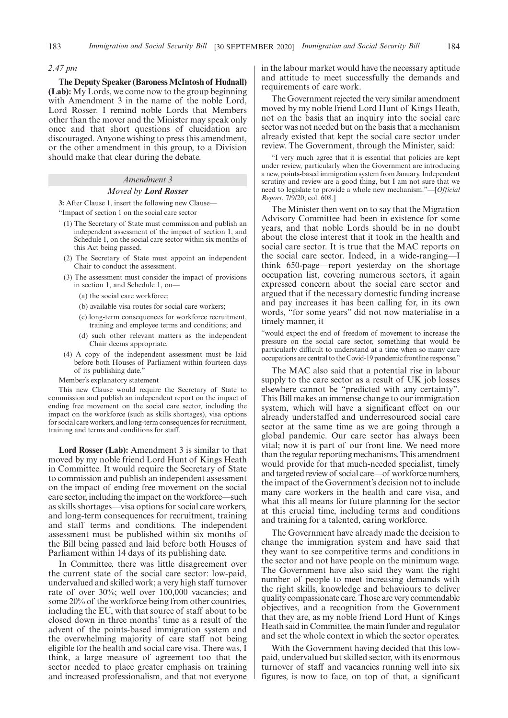#### *2.47 pm*

**The Deputy Speaker (Baroness McIntosh of Hudnall) (Lab):** My Lords, we come now to the group beginning with Amendment 3 in the name of the noble Lord, Lord Rosser. I remind noble Lords that Members other than the mover and the Minister may speak only once and that short questions of elucidation are discouraged. Anyone wishing to press this amendment, or the other amendment in this group, to a Division should make that clear during the debate.

#### *Amendment 3*

#### *Moved by Lord Rosser*

**3:** After Clause 1, insert the following new Clause—

"Impact of section 1 on the social care sector

- (1) The Secretary of State must commission and publish an independent assessment of the impact of section 1, and Schedule 1, on the social care sector within six months of this Act being passed.
- (2) The Secretary of State must appoint an independent Chair to conduct the assessment.
- (3) The assessment must consider the impact of provisions in section 1, and Schedule 1, on—
	- (a) the social care workforce;
	- (b) available visa routes for social care workers;
	- (c) long-term consequences for workforce recruitment, training and employee terms and conditions; and
	- (d) such other relevant matters as the independent Chair deems appropriate.
- (4) A copy of the independent assessment must be laid before both Houses of Parliament within fourteen days of its publishing date."

Member's explanatory statement

This new Clause would require the Secretary of State to commission and publish an independent report on the impact of ending free movement on the social care sector, including the impact on the workforce (such as skills shortages), visa options for social care workers, and long-term consequences for recruitment, training and terms and conditions for staff.

**Lord Rosser (Lab):** Amendment 3 is similar to that moved by my noble friend Lord Hunt of Kings Heath in Committee. It would require the Secretary of State to commission and publish an independent assessment on the impact of ending free movement on the social care sector, including the impact on the workforce—such as skills shortages—visa options for social care workers, and long-term consequences for recruitment, training and staff terms and conditions. The independent assessment must be published within six months of the Bill being passed and laid before both Houses of Parliament within 14 days of its publishing date.

In Committee, there was little disagreement over the current state of the social care sector: low-paid, undervalued and skilled work; a very high staff turnover rate of over 30%; well over 100,000 vacancies; and some 20% of the workforce being from other countries, including the EU, with that source of staff about to be closed down in three months' time as a result of the advent of the points-based immigration system and the overwhelming majority of care staff not being eligible for the health and social care visa. There was, I think, a large measure of agreement too that the sector needed to place greater emphasis on training and increased professionalism, and that not everyone in the labour market would have the necessary aptitude and attitude to meet successfully the demands and requirements of care work.

The Government rejected the very similar amendment moved by my noble friend Lord Hunt of Kings Heath, not on the basis that an inquiry into the social care sector was not needed but on the basis that a mechanism already existed that kept the social care sector under review. The Government, through the Minister, said:

"I very much agree that it is essential that policies are kept under review, particularly when the Government are introducing a new, points-based immigration system from January. Independent scrutiny and review are a good thing, but I am not sure that we need to legislate to provide a whole new mechanism."—[*Official Report*, 7/9/20; col. 608.]

The Minister then went on to say that the Migration Advisory Committee had been in existence for some years, and that noble Lords should be in no doubt about the close interest that it took in the health and social care sector. It is true that the MAC reports on the social care sector. Indeed, in a wide-ranging—I think 650-page—report yesterday on the shortage occupation list, covering numerous sectors, it again expressed concern about the social care sector and argued that if the necessary domestic funding increase and pay increases it has been calling for, in its own words, "for some years" did not now materialise in a timely manner, it

"would expect the end of freedom of movement to increase the pressure on the social care sector, something that would be particularly difficult to understand at a time when so many care occupations are central to the Covid-19 pandemic frontline response."

The MAC also said that a potential rise in labour supply to the care sector as a result of UK job losses elsewhere cannot be "predicted with any certainty". This Bill makes an immense change to our immigration system, which will have a significant effect on our already understaffed and underresourced social care sector at the same time as we are going through a global pandemic. Our care sector has always been vital; now it is part of our front line. We need more than the regular reporting mechanisms. This amendment would provide for that much-needed specialist, timely and targeted review of social care—of workforce numbers, the impact of the Government's decision not to include many care workers in the health and care visa, and what this all means for future planning for the sector at this crucial time, including terms and conditions and training for a talented, caring workforce.

The Government have already made the decision to change the immigration system and have said that they want to see competitive terms and conditions in the sector and not have people on the minimum wage. The Government have also said they want the right number of people to meet increasing demands with the right skills, knowledge and behaviours to deliver quality compassionate care. Those are very commendable objectives, and a recognition from the Government that they are, as my noble friend Lord Hunt of Kings Heath said in Committee, the main funder and regulator and set the whole context in which the sector operates.

With the Government having decided that this lowpaid, undervalued but skilled sector, with its enormous turnover of staff and vacancies running well into six figures, is now to face, on top of that, a significant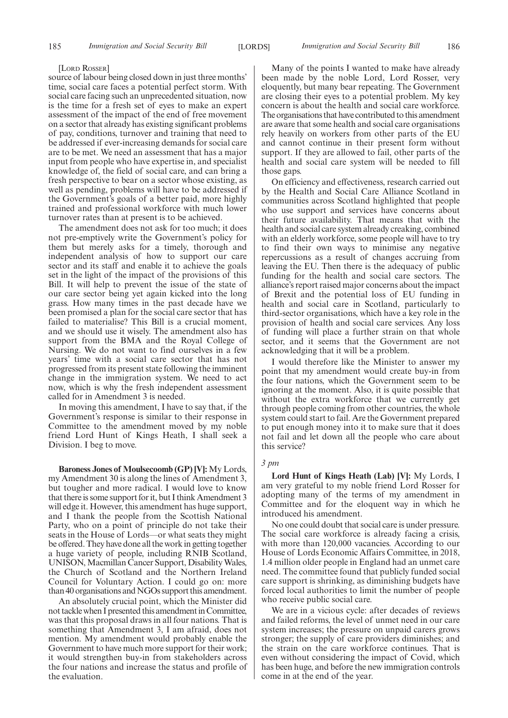#### [LORD ROSSER]

source of labour being closed down in just three months' time, social care faces a potential perfect storm. With social care facing such an unprecedented situation, now is the time for a fresh set of eyes to make an expert assessment of the impact of the end of free movement on a sector that already has existing significant problems of pay, conditions, turnover and training that need to be addressed if ever-increasing demands for social care are to be met. We need an assessment that has a major input from people who have expertise in, and specialist knowledge of, the field of social care, and can bring a fresh perspective to bear on a sector whose existing, as well as pending, problems will have to be addressed if the Government's goals of a better paid, more highly trained and professional workforce with much lower turnover rates than at present is to be achieved.

The amendment does not ask for too much; it does not pre-emptively write the Government's policy for them but merely asks for a timely, thorough and independent analysis of how to support our care sector and its staff and enable it to achieve the goals set in the light of the impact of the provisions of this Bill. It will help to prevent the issue of the state of our care sector being yet again kicked into the long grass. How many times in the past decade have we been promised a plan for the social care sector that has failed to materialise? This Bill is a crucial moment, and we should use it wisely. The amendment also has support from the BMA and the Royal College of Nursing. We do not want to find ourselves in a few years' time with a social care sector that has not progressed from its present state following the imminent change in the immigration system. We need to act now, which is why the fresh independent assessment called for in Amendment 3 is needed.

In moving this amendment, I have to say that, if the Government's response is similar to their response in Committee to the amendment moved by my noble friend Lord Hunt of Kings Heath, I shall seek a Division. I beg to move.

**Baroness Jones of Moulsecoomb (GP) [V]:** My Lords, my Amendment 30 is along the lines of Amendment 3, but tougher and more radical. I would love to know that there is some support for it, but I think Amendment 3 will edge it. However, this amendment has huge support, and I thank the people from the Scottish National Party, who on a point of principle do not take their seats in the House of Lords—or what seats they might be offered. They have done all the work in getting together a huge variety of people, including RNIB Scotland, UNISON, Macmillan Cancer Support, Disability Wales, the Church of Scotland and the Northern Ireland Council for Voluntary Action. I could go on: more than 40 organisations and NGOs support this amendment.

An absolutely crucial point, which the Minister did not tackle when I presented this amendment in Committee, was that this proposal draws in all four nations. That is something that Amendment 3, I am afraid, does not mention. My amendment would probably enable the Government to have much more support for their work; it would strengthen buy-in from stakeholders across the four nations and increase the status and profile of the evaluation.

Many of the points I wanted to make have already been made by the noble Lord, Lord Rosser, very eloquently, but many bear repeating. The Government are closing their eyes to a potential problem. My key concern is about the health and social care workforce. The organisations that have contributed to this amendment are aware that some health and social care organisations rely heavily on workers from other parts of the EU and cannot continue in their present form without support. If they are allowed to fail, other parts of the health and social care system will be needed to fill those gaps.

On efficiency and effectiveness, research carried out by the Health and Social Care Alliance Scotland in communities across Scotland highlighted that people who use support and services have concerns about their future availability. That means that with the health and social care system already creaking, combined with an elderly workforce, some people will have to try to find their own ways to minimise any negative repercussions as a result of changes accruing from leaving the EU. Then there is the adequacy of public funding for the health and social care sectors. The alliance's report raised major concerns about the impact of Brexit and the potential loss of EU funding in health and social care in Scotland, particularly to third-sector organisations, which have a key role in the provision of health and social care services. Any loss of funding will place a further strain on that whole sector, and it seems that the Government are not acknowledging that it will be a problem.

I would therefore like the Minister to answer my point that my amendment would create buy-in from the four nations, which the Government seem to be ignoring at the moment. Also, it is quite possible that without the extra workforce that we currently get through people coming from other countries, the whole system could start to fail. Are the Government prepared to put enough money into it to make sure that it does not fail and let down all the people who care about this service?

#### *3 pm*

**Lord Hunt of Kings Heath (Lab) [V]:** My Lords, I am very grateful to my noble friend Lord Rosser for adopting many of the terms of my amendment in Committee and for the eloquent way in which he introduced his amendment.

No one could doubt that social care is under pressure. The social care workforce is already facing a crisis, with more than 120,000 vacancies. According to our House of Lords Economic Affairs Committee, in 2018, 1.4 million older people in England had an unmet care need. The committee found that publicly funded social care support is shrinking, as diminishing budgets have forced local authorities to limit the number of people who receive public social care.

We are in a vicious cycle: after decades of reviews and failed reforms, the level of unmet need in our care system increases; the pressure on unpaid carers grows stronger; the supply of care providers diminishes; and the strain on the care workforce continues. That is even without considering the impact of Covid, which has been huge, and before the new immigration controls come in at the end of the year.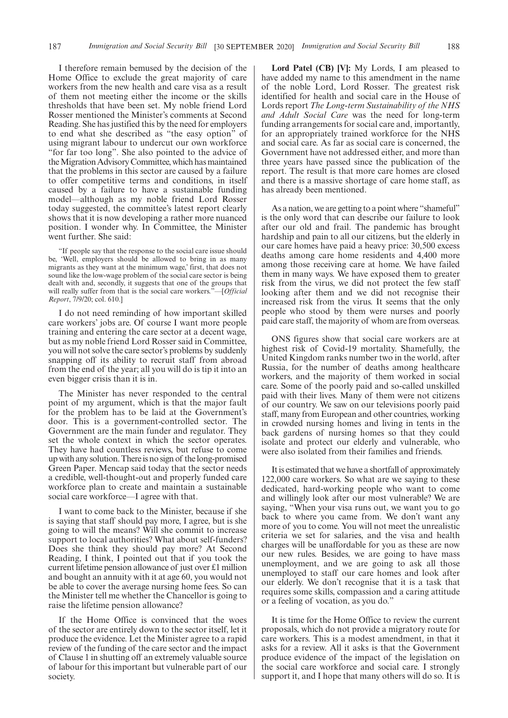I therefore remain bemused by the decision of the Home Office to exclude the great majority of care workers from the new health and care visa as a result of them not meeting either the income or the skills thresholds that have been set. My noble friend Lord Rosser mentioned the Minister's comments at Second Reading. She has justified this by the need for employers to end what she described as "the easy option" of using migrant labour to undercut our own workforce "for far too long". She also pointed to the advice of the Migration Advisory Committee, which has maintained that the problems in this sector are caused by a failure to offer competitive terms and conditions, in itself caused by a failure to have a sustainable funding model—although as my noble friend Lord Rosser today suggested, the committee's latest report clearly shows that it is now developing a rather more nuanced position. I wonder why. In Committee, the Minister went further. She said:

"If people say that the response to the social care issue should be, 'Well, employers should be allowed to bring in as many migrants as they want at the minimum wage,' first, that does not sound like the low-wage problem of the social care sector is being dealt with and, secondly, it suggests that one of the groups that will really suffer from that is the social care workers."—[*Official Report*, 7/9/20; col. 610.]

I do not need reminding of how important skilled care workers' jobs are. Of course I want more people training and entering the care sector at a decent wage, but as my noble friend Lord Rosser said in Committee, you will not solve the care sector's problems by suddenly snapping off its ability to recruit staff from abroad from the end of the year; all you will do is tip it into an even bigger crisis than it is in.

The Minister has never responded to the central point of my argument, which is that the major fault for the problem has to be laid at the Government's door. This is a government-controlled sector. The Government are the main funder and regulator. They set the whole context in which the sector operates. They have had countless reviews, but refuse to come up with any solution. There is no sign of the long-promised Green Paper. Mencap said today that the sector needs a credible, well-thought-out and properly funded care workforce plan to create and maintain a sustainable social care workforce—I agree with that.

I want to come back to the Minister, because if she is saying that staff should pay more, I agree, but is she going to will the means? Will she commit to increase support to local authorities? What about self-funders? Does she think they should pay more? At Second Reading, I think, I pointed out that if you took the current lifetime pension allowance of just over £1 million and bought an annuity with it at age 60, you would not be able to cover the average nursing home fees. So can the Minister tell me whether the Chancellor is going to raise the lifetime pension allowance?

If the Home Office is convinced that the woes of the sector are entirely down to the sector itself, let it produce the evidence. Let the Minister agree to a rapid review of the funding of the care sector and the impact of Clause 1 in shutting off an extremely valuable source of labour for this important but vulnerable part of our society.

**Lord Patel (CB) [V]:** My Lords, I am pleased to have added my name to this amendment in the name of the noble Lord, Lord Rosser. The greatest risk identified for health and social care in the House of Lords report *The Long-term Sustainability of the NHS and Adult Social Care* was the need for long-term funding arrangements for social care and, importantly, for an appropriately trained workforce for the NHS and social care. As far as social care is concerned, the Government have not addressed either, and more than three years have passed since the publication of the report. The result is that more care homes are closed and there is a massive shortage of care home staff, as has already been mentioned.

As a nation, we are getting to a point where "shameful" is the only word that can describe our failure to look after our old and frail. The pandemic has brought hardship and pain to all our citizens, but the elderly in our care homes have paid a heavy price: 30,500 excess deaths among care home residents and 4,400 more among those receiving care at home. We have failed them in many ways. We have exposed them to greater risk from the virus, we did not protect the few staff looking after them and we did not recognise their increased risk from the virus. It seems that the only people who stood by them were nurses and poorly paid care staff, the majority of whom are from overseas.

ONS figures show that social care workers are at highest risk of Covid-19 mortality. Shamefully, the United Kingdom ranks number two in the world, after Russia, for the number of deaths among healthcare workers, and the majority of them worked in social care. Some of the poorly paid and so-called unskilled paid with their lives. Many of them were not citizens of our country. We saw on our televisions poorly paid staff, many from European and other countries, working in crowded nursing homes and living in tents in the back gardens of nursing homes so that they could isolate and protect our elderly and vulnerable, who were also isolated from their families and friends.

It is estimated that we have a shortfall of approximately 122,000 care workers. So what are we saying to these dedicated, hard-working people who want to come and willingly look after our most vulnerable? We are saying, "When your visa runs out, we want you to go back to where you came from. We don't want any more of you to come. You will not meet the unrealistic criteria we set for salaries, and the visa and health charges will be unaffordable for you as these are now our new rules. Besides, we are going to have mass unemployment, and we are going to ask all those unemployed to staff our care homes and look after our elderly. We don't recognise that it is a task that requires some skills, compassion and a caring attitude or a feeling of vocation, as you do."

It is time for the Home Office to review the current proposals, which do not provide a migratory route for care workers. This is a modest amendment, in that it asks for a review. All it asks is that the Government produce evidence of the impact of the legislation on the social care workforce and social care. I strongly support it, and I hope that many others will do so. It is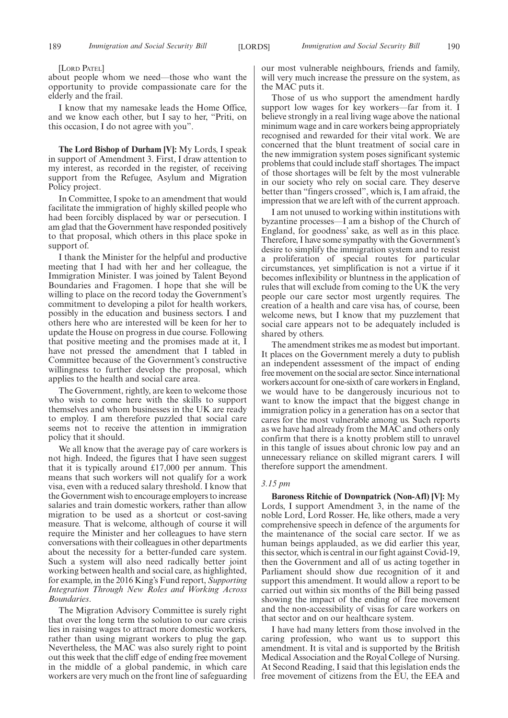[LORD PATEL]

about people whom we need—those who want the opportunity to provide compassionate care for the elderly and the frail.

I know that my namesake leads the Home Office, and we know each other, but I say to her, "Priti, on this occasion, I do not agree with you".

**The Lord Bishop of Durham [V]:** My Lords, I speak in support of Amendment 3. First, I draw attention to my interest, as recorded in the register, of receiving support from the Refugee, Asylum and Migration Policy project.

In Committee, I spoke to an amendment that would facilitate the immigration of highly skilled people who had been forcibly displaced by war or persecution. I am glad that the Government have responded positively to that proposal, which others in this place spoke in support of.

I thank the Minister for the helpful and productive meeting that I had with her and her colleague, the Immigration Minister. I was joined by Talent Beyond Boundaries and Fragomen. I hope that she will be willing to place on the record today the Government's commitment to developing a pilot for health workers, possibly in the education and business sectors. I and others here who are interested will be keen for her to update the House on progress in due course. Following that positive meeting and the promises made at it, I have not pressed the amendment that I tabled in Committee because of the Government's constructive willingness to further develop the proposal, which applies to the health and social care area.

The Government, rightly, are keen to welcome those who wish to come here with the skills to support themselves and whom businesses in the UK are ready to employ. I am therefore puzzled that social care seems not to receive the attention in immigration policy that it should.

We all know that the average pay of care workers is not high. Indeed, the figures that I have seen suggest that it is typically around  $£17,000$  per annum. This means that such workers will not qualify for a work visa, even with a reduced salary threshold. I know that the Government wish to encourage employers to increase salaries and train domestic workers, rather than allow migration to be used as a shortcut or cost-saving measure. That is welcome, although of course it will require the Minister and her colleagues to have stern conversations with their colleagues in other departments about the necessity for a better-funded care system. Such a system will also need radically better joint working between health and social care, as highlighted, for example, in the 2016 King's Fund report, *Supporting Integration Through New Roles and Working Across Boundaries*.

The Migration Advisory Committee is surely right that over the long term the solution to our care crisis lies in raising wages to attract more domestic workers, rather than using migrant workers to plug the gap. Nevertheless, the MAC was also surely right to point out this week that the cliff edge of ending free movement in the middle of a global pandemic, in which care workers are very much on the front line of safeguarding our most vulnerable neighbours, friends and family, will very much increase the pressure on the system, as the MAC puts it.

Those of us who support the amendment hardly support low wages for key workers—far from it. I believe strongly in a real living wage above the national minimum wage and in care workers being appropriately recognised and rewarded for their vital work. We are concerned that the blunt treatment of social care in the new immigration system poses significant systemic problems that could include staff shortages. The impact of those shortages will be felt by the most vulnerable in our society who rely on social care. They deserve better than "fingers crossed", which is, I am afraid, the impression that we are left with of the current approach.

I am not unused to working within institutions with byzantine processes—I am a bishop of the Church of England, for goodness' sake, as well as in this place. Therefore, I have some sympathy with the Government's desire to simplify the immigration system and to resist a proliferation of special routes for particular circumstances, yet simplification is not a virtue if it becomes inflexibility or bluntness in the application of rules that will exclude from coming to the UK the very people our care sector most urgently requires. The creation of a health and care visa has, of course, been welcome news, but I know that my puzzlement that social care appears not to be adequately included is shared by others.

The amendment strikes me as modest but important. It places on the Government merely a duty to publish an independent assessment of the impact of ending free movement on the social are sector. Since international workers account for one-sixth of care workers in England, we would have to be dangerously incurious not to want to know the impact that the biggest change in immigration policy in a generation has on a sector that cares for the most vulnerable among us. Such reports as we have had already from the MAC and others only confirm that there is a knotty problem still to unravel in this tangle of issues about chronic low pay and an unnecessary reliance on skilled migrant carers. I will therefore support the amendment.

#### *3.15 pm*

**Baroness Ritchie of Downpatrick (Non-Afl) [V]:** My Lords, I support Amendment 3, in the name of the noble Lord, Lord Rosser. He, like others, made a very comprehensive speech in defence of the arguments for the maintenance of the social care sector. If we as human beings applauded, as we did earlier this year, this sector, which is central in our fight against Covid-19, then the Government and all of us acting together in Parliament should show due recognition of it and support this amendment. It would allow a report to be carried out within six months of the Bill being passed showing the impact of the ending of free movement and the non-accessibility of visas for care workers on that sector and on our healthcare system.

I have had many letters from those involved in the caring profession, who want us to support this amendment. It is vital and is supported by the British Medical Association and the Royal College of Nursing. At Second Reading, I said that this legislation ends the free movement of citizens from the EU, the EEA and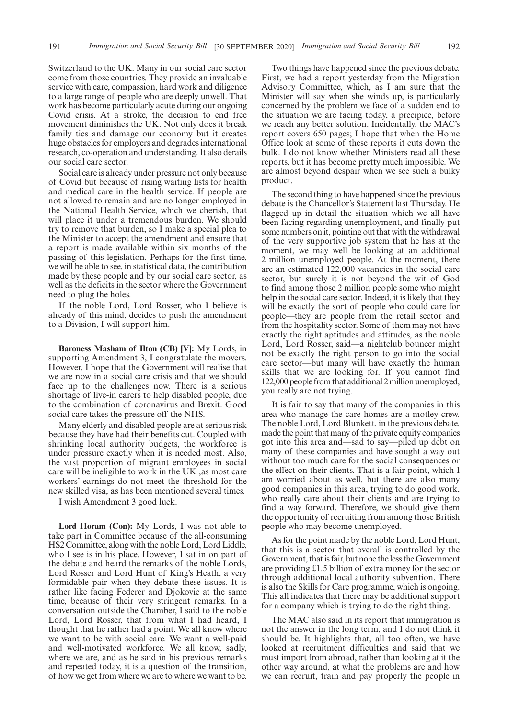Switzerland to the UK. Many in our social care sector come from those countries. They provide an invaluable service with care, compassion, hard work and diligence to a large range of people who are deeply unwell. That work has become particularly acute during our ongoing Covid crisis. At a stroke, the decision to end free movement diminishes the UK. Not only does it break family ties and damage our economy but it creates huge obstacles for employers and degrades international research, co-operation and understanding. It also derails our social care sector.

Social care is already under pressure not only because of Covid but because of rising waiting lists for health and medical care in the health service. If people are not allowed to remain and are no longer employed in the National Health Service, which we cherish, that will place it under a tremendous burden. We should try to remove that burden, so I make a special plea to the Minister to accept the amendment and ensure that a report is made available within six months of the passing of this legislation. Perhaps for the first time, we will be able to see, in statistical data, the contribution made by these people and by our social care sector, as well as the deficits in the sector where the Government need to plug the holes.

If the noble Lord, Lord Rosser, who I believe is already of this mind, decides to push the amendment to a Division, I will support him.

**Baroness Masham of Ilton (CB) [V]:** My Lords, in supporting Amendment 3, I congratulate the movers. However, I hope that the Government will realise that we are now in a social care crisis and that we should face up to the challenges now. There is a serious shortage of live-in carers to help disabled people, due to the combination of coronavirus and Brexit. Good social care takes the pressure off the NHS.

Many elderly and disabled people are at serious risk because they have had their benefits cut. Coupled with shrinking local authority budgets, the workforce is under pressure exactly when it is needed most. Also, the vast proportion of migrant employees in social care will be ineligible to work in the UK ,as most care workers' earnings do not meet the threshold for the new skilled visa, as has been mentioned several times.

I wish Amendment 3 good luck.

**Lord Horam (Con):** My Lords, I was not able to take part in Committee because of the all-consuming HS2 Committee, along with the noble Lord, Lord Liddle, who I see is in his place. However, I sat in on part of the debate and heard the remarks of the noble Lords, Lord Rosser and Lord Hunt of King's Heath, a very formidable pair when they debate these issues. It is rather like facing Federer and Djokovic at the same time, because of their very stringent remarks. In a conversation outside the Chamber, I said to the noble Lord, Lord Rosser, that from what I had heard, I thought that he rather had a point. We all know where we want to be with social care. We want a well-paid and well-motivated workforce. We all know, sadly, where we are, and as he said in his previous remarks and repeated today, it is a question of the transition, of how we get from where we are to where we want to be.

Two things have happened since the previous debate. First, we had a report yesterday from the Migration Advisory Committee, which, as I am sure that the Minister will say when she winds up, is particularly concerned by the problem we face of a sudden end to the situation we are facing today, a precipice, before we reach any better solution. Incidentally, the MAC's report covers 650 pages; I hope that when the Home Office look at some of these reports it cuts down the bulk. I do not know whether Ministers read all these reports, but it has become pretty much impossible. We are almost beyond despair when we see such a bulky product.

The second thing to have happened since the previous debate is the Chancellor's Statement last Thursday. He flagged up in detail the situation which we all have been facing regarding unemployment, and finally put some numbers on it, pointing out that with the withdrawal of the very supportive job system that he has at the moment, we may well be looking at an additional 2 million unemployed people. At the moment, there are an estimated 122,000 vacancies in the social care sector, but surely it is not beyond the wit of God to find among those 2 million people some who might help in the social care sector. Indeed, it is likely that they will be exactly the sort of people who could care for people—they are people from the retail sector and from the hospitality sector. Some of them may not have exactly the right aptitudes and attitudes, as the noble Lord, Lord Rosser, said—a nightclub bouncer might not be exactly the right person to go into the social care sector—but many will have exactly the human skills that we are looking for. If you cannot find 122,000 people from that additional 2 million unemployed, you really are not trying.

It is fair to say that many of the companies in this area who manage the care homes are a motley crew. The noble Lord, Lord Blunkett, in the previous debate, made the point that many of the private equity companies got into this area and—sad to say—piled up debt on many of these companies and have sought a way out without too much care for the social consequences or the effect on their clients. That is a fair point, which I am worried about as well, but there are also many good companies in this area, trying to do good work, who really care about their clients and are trying to find a way forward. Therefore, we should give them the opportunity of recruiting from among those British people who may become unemployed.

As for the point made by the noble Lord, Lord Hunt, that this is a sector that overall is controlled by the Government, that is fair, but none the less the Government are providing £1.5 billion of extra money for the sector through additional local authority subvention. There is also the Skills for Care programme, which is ongoing. This all indicates that there may be additional support for a company which is trying to do the right thing.

The MAC also said in its report that immigration is not the answer in the long term, and I do not think it should be. It highlights that, all too often, we have looked at recruitment difficulties and said that we must import from abroad, rather than looking at it the other way around, at what the problems are and how we can recruit, train and pay properly the people in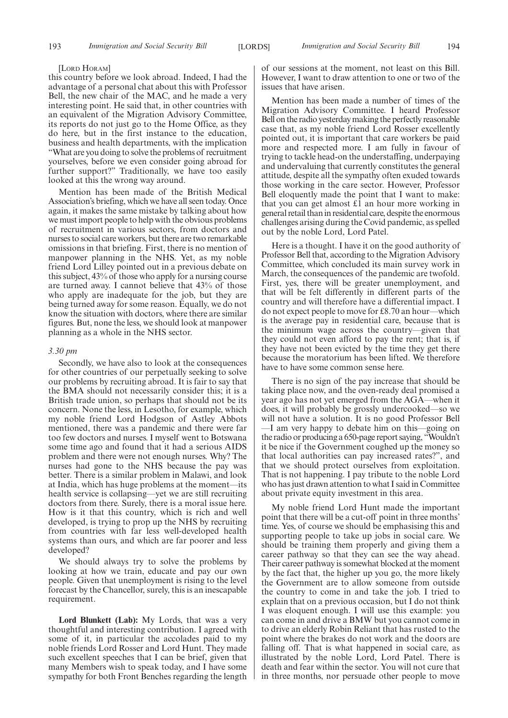#### [LORD HORAM]

this country before we look abroad. Indeed, I had the advantage of a personal chat about this with Professor Bell, the new chair of the MAC, and he made a very interesting point. He said that, in other countries with an equivalent of the Migration Advisory Committee, its reports do not just go to the Home Office, as they do here, but in the first instance to the education, business and health departments, with the implication "What are you doing to solve the problems of recruitment yourselves, before we even consider going abroad for further support?" Traditionally, we have too easily looked at this the wrong way around.

Mention has been made of the British Medical Association's briefing, which we have all seen today. Once again, it makes the same mistake by talking about how we must import people to help with the obvious problems of recruitment in various sectors, from doctors and nurses to social care workers, but there are two remarkable omissions in that briefing. First, there is no mention of manpower planning in the NHS. Yet, as my noble friend Lord Lilley pointed out in a previous debate on this subject, 43% of those who apply for a nursing course are turned away. I cannot believe that 43% of those who apply are inadequate for the job, but they are being turned away for some reason. Equally, we do not know the situation with doctors, where there are similar figures. But, none the less, we should look at manpower planning as a whole in the NHS sector.

#### *3.30 pm*

Secondly, we have also to look at the consequences for other countries of our perpetually seeking to solve our problems by recruiting abroad. It is fair to say that the BMA should not necessarily consider this; it is a British trade union, so perhaps that should not be its concern. None the less, in Lesotho, for example, which my noble friend Lord Hodgson of Astley Abbots mentioned, there was a pandemic and there were far too few doctors and nurses. I myself went to Botswana some time ago and found that it had a serious AIDS problem and there were not enough nurses. Why? The nurses had gone to the NHS because the pay was better. There is a similar problem in Malawi, and look at India, which has huge problems at the moment—its health service is collapsing—yet we are still recruiting doctors from there. Surely, there is a moral issue here. How is it that this country, which is rich and well developed, is trying to prop up the NHS by recruiting from countries with far less well-developed health systems than ours, and which are far poorer and less developed?

We should always try to solve the problems by looking at how we train, educate and pay our own people. Given that unemployment is rising to the level forecast by the Chancellor, surely, this is an inescapable requirement.

**Lord Blunkett (Lab):** My Lords, that was a very thoughtful and interesting contribution. I agreed with some of it, in particular the accolades paid to my noble friends Lord Rosser and Lord Hunt. They made such excellent speeches that I can be brief, given that many Members wish to speak today, and I have some sympathy for both Front Benches regarding the length

of our sessions at the moment, not least on this Bill. However, I want to draw attention to one or two of the issues that have arisen.

Mention has been made a number of times of the Migration Advisory Committee. I heard Professor Bell on the radio yesterday making the perfectly reasonable case that, as my noble friend Lord Rosser excellently pointed out, it is important that care workers be paid more and respected more. I am fully in favour of trying to tackle head-on the understaffing, underpaying and undervaluing that currently constitutes the general attitude, despite all the sympathy often exuded towards those working in the care sector. However, Professor Bell eloquently made the point that I want to make: that you can get almost £1 an hour more working in general retail than in residential care, despite the enormous challenges arising during the Covid pandemic, as spelled out by the noble Lord, Lord Patel.

Here is a thought. I have it on the good authority of Professor Bell that, according to the Migration Advisory Committee, which concluded its main survey work in March, the consequences of the pandemic are twofold. First, yes, there will be greater unemployment, and that will be felt differently in different parts of the country and will therefore have a differential impact. I do not expect people to move for £8.70 an hour—which is the average pay in residential care, because that is the minimum wage across the country—given that they could not even afford to pay the rent; that is, if they have not been evicted by the time they get there because the moratorium has been lifted. We therefore have to have some common sense here.

There is no sign of the pay increase that should be taking place now, and the oven-ready deal promised a year ago has not yet emerged from the AGA—when it does, it will probably be grossly undercooked—so we will not have a solution. It is no good Professor Bell —I am very happy to debate him on this—going on the radio or producing a 650-page report saying, "Wouldn't it be nice if the Government coughed up the money so that local authorities can pay increased rates?", and that we should protect ourselves from exploitation. That is not happening. I pay tribute to the noble Lord who has just drawn attention to what I said in Committee about private equity investment in this area.

My noble friend Lord Hunt made the important point that there will be a cut-off point in three months' time. Yes, of course we should be emphasising this and supporting people to take up jobs in social care. We should be training them properly and giving them a career pathway so that they can see the way ahead. Their career pathway is somewhat blocked at the moment by the fact that, the higher up you go, the more likely the Government are to allow someone from outside the country to come in and take the job. I tried to explain that on a previous occasion, but I do not think I was eloquent enough. I will use this example: you can come in and drive a BMW but you cannot come in to drive an elderly Robin Reliant that has rusted to the point where the brakes do not work and the doors are falling off. That is what happened in social care, as illustrated by the noble Lord, Lord Patel. There is death and fear within the sector. You will not cure that in three months, nor persuade other people to move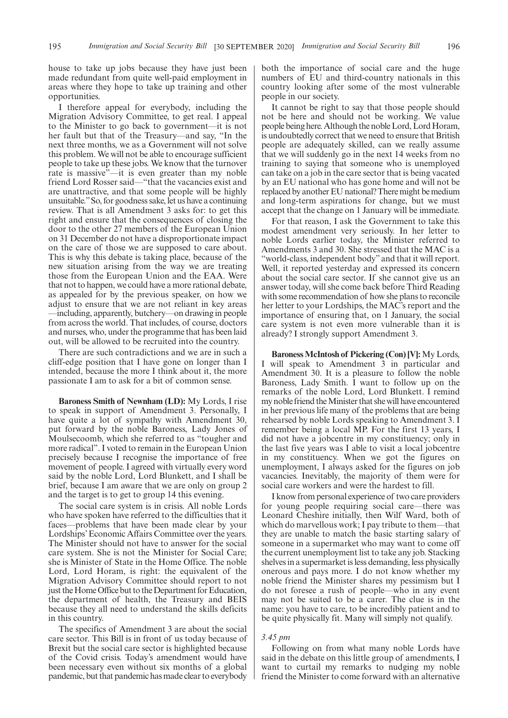house to take up jobs because they have just been made redundant from quite well-paid employment in areas where they hope to take up training and other opportunities.

I therefore appeal for everybody, including the Migration Advisory Committee, to get real. I appeal to the Minister to go back to government—it is not her fault but that of the Treasury—and say, "In the next three months, we as a Government will not solve this problem. We will not be able to encourage sufficient people to take up these jobs. We know that the turnover rate is massive"—it is even greater than my noble friend Lord Rosser said—"that the vacancies exist and are unattractive, and that some people will be highly unsuitable."So, for goodness sake, let us have a continuing review. That is all Amendment 3 asks for: to get this right and ensure that the consequences of closing the door to the other 27 members of the European Union on 31 December do not have a disproportionate impact on the care of those we are supposed to care about. This is why this debate is taking place, because of the new situation arising from the way we are treating those from the European Union and the EAA. Were that not to happen, we could have a more rational debate, as appealed for by the previous speaker, on how we adjust to ensure that we are not reliant in key areas —including, apparently, butchery—on drawing in people from across the world. That includes, of course, doctors and nurses, who, under the programme that has been laid out, will be allowed to be recruited into the country.

There are such contradictions and we are in such a cliff-edge position that I have gone on longer than I intended, because the more I think about it, the more passionate I am to ask for a bit of common sense.

**Baroness Smith of Newnham (LD):** My Lords, I rise to speak in support of Amendment 3. Personally, I have quite a lot of sympathy with Amendment 30, put forward by the noble Baroness, Lady Jones of Moulsecoomb, which she referred to as "tougher and more radical". I voted to remain in the European Union precisely because I recognise the importance of free movement of people. I agreed with virtually every word said by the noble Lord, Lord Blunkett, and I shall be brief, because I am aware that we are only on group 2 and the target is to get to group 14 this evening.

The social care system is in crisis. All noble Lords who have spoken have referred to the difficulties that it faces—problems that have been made clear by your Lordships' Economic Affairs Committee over the years. The Minister should not have to answer for the social care system. She is not the Minister for Social Care; she is Minister of State in the Home Office. The noble Lord, Lord Horam, is right: the equivalent of the Migration Advisory Committee should report to not just the Home Office but to the Department for Education, the department of health, the Treasury and BEIS because they all need to understand the skills deficits in this country.

The specifics of Amendment 3 are about the social care sector. This Bill is in front of us today because of Brexit but the social care sector is highlighted because of the Covid crisis. Today's amendment would have been necessary even without six months of a global pandemic, but that pandemic has made clear to everybody

both the importance of social care and the huge numbers of EU and third-country nationals in this country looking after some of the most vulnerable people in our society.

It cannot be right to say that those people should not be here and should not be working. We value people being here. Although the noble Lord, Lord Horam, is undoubtedly correct that we need to ensure that British people are adequately skilled, can we really assume that we will suddenly go in the next 14 weeks from no training to saying that someone who is unemployed can take on a job in the care sector that is being vacated by an EU national who has gone home and will not be replaced by another EU national? There might be medium and long-term aspirations for change, but we must accept that the change on 1 January will be immediate.

For that reason, I ask the Government to take this modest amendment very seriously. In her letter to noble Lords earlier today, the Minister referred to Amendments 3 and 30. She stressed that the MAC is a "world-class, independent body" and that it will report. Well, it reported yesterday and expressed its concern about the social care sector. If she cannot give us an answer today, will she come back before Third Reading with some recommendation of how she plans to reconcile her letter to your Lordships, the MAC's report and the importance of ensuring that, on 1 January, the social care system is not even more vulnerable than it is already? I strongly support Amendment 3.

**Baroness McIntosh of Pickering (Con) [V]:** My Lords, I will speak to Amendment 3 in particular and Amendment 30. It is a pleasure to follow the noble Baroness, Lady Smith. I want to follow up on the remarks of the noble Lord, Lord Blunkett. I remind my noble friend the Minister that she will have encountered in her previous life many of the problems that are being rehearsed by noble Lords speaking to Amendment 3. I remember being a local MP. For the first 13 years, I did not have a jobcentre in my constituency; only in the last five years was I able to visit a local jobcentre in my constituency. When we got the figures on unemployment, I always asked for the figures on job vacancies. Inevitably, the majority of them were for social care workers and were the hardest to fill.

I know from personal experience of two care providers for young people requiring social care—there was Leonard Cheshire initially, then Wilf Ward, both of which do marvellous work; I pay tribute to them—that they are unable to match the basic starting salary of someone in a supermarket who may want to come off the current unemployment list to take any job. Stacking shelves in a supermarket is less demanding, less physically onerous and pays more. I do not know whether my noble friend the Minister shares my pessimism but I do not foresee a rush of people—who in any event may not be suited to be a carer. The clue is in the name: you have to care, to be incredibly patient and to be quite physically fit. Many will simply not qualify.

#### *3.45 pm*

Following on from what many noble Lords have said in the debate on this little group of amendments, I want to curtail my remarks to nudging my noble friend the Minister to come forward with an alternative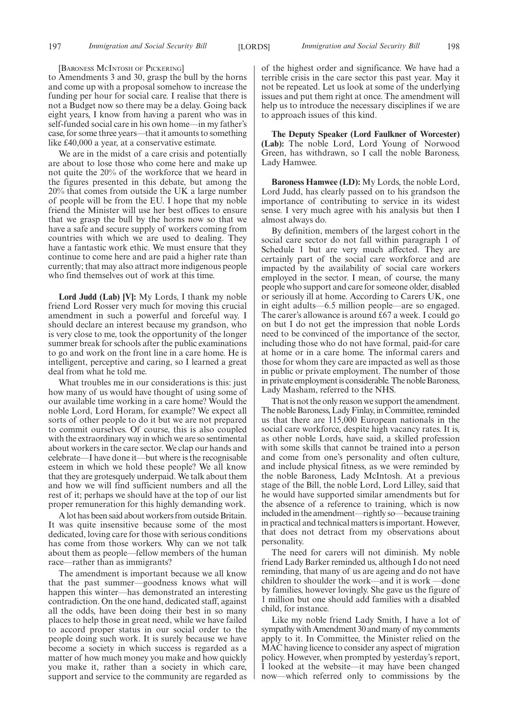[BARONESS MCINTOSH OF PICKERING]

to Amendments 3 and 30, grasp the bull by the horns and come up with a proposal somehow to increase the funding per hour for social care. I realise that there is not a Budget now so there may be a delay. Going back eight years, I know from having a parent who was in self-funded social care in his own home—in my father's case, for some three years—that it amounts to something like £40,000 a year, at a conservative estimate.

We are in the midst of a care crisis and potentially are about to lose those who come here and make up not quite the 20% of the workforce that we heard in the figures presented in this debate, but among the 20% that comes from outside the UK a large number of people will be from the EU. I hope that my noble friend the Minister will use her best offices to ensure that we grasp the bull by the horns now so that we have a safe and secure supply of workers coming from countries with which we are used to dealing. They have a fantastic work ethic. We must ensure that they continue to come here and are paid a higher rate than currently; that may also attract more indigenous people who find themselves out of work at this time.

**Lord Judd (Lab) [V]:** My Lords, I thank my noble friend Lord Rosser very much for moving this crucial amendment in such a powerful and forceful way. I should declare an interest because my grandson, who is very close to me, took the opportunity of the longer summer break for schools after the public examinations to go and work on the front line in a care home. He is intelligent, perceptive and caring, so I learned a great deal from what he told me.

What troubles me in our considerations is this: just how many of us would have thought of using some of our available time working in a care home? Would the noble Lord, Lord Horam, for example? We expect all sorts of other people to do it but we are not prepared to commit ourselves. Of course, this is also coupled with the extraordinary way in which we are so sentimental about workers in the care sector. We clap our hands and celebrate—I have done it—but where is the recognisable esteem in which we hold these people? We all know that they are grotesquely underpaid. We talk about them and how we will find sufficient numbers and all the rest of it; perhaps we should have at the top of our list proper remuneration for this highly demanding work.

A lot has been said about workers from outside Britain. It was quite insensitive because some of the most dedicated, loving care for those with serious conditions has come from those workers. Why can we not talk about them as people—fellow members of the human race—rather than as immigrants?

The amendment is important because we all know that the past summer—goodness knows what will happen this winter—has demonstrated an interesting contradiction. On the one hand, dedicated staff, against all the odds, have been doing their best in so many places to help those in great need, while we have failed to accord proper status in our social order to the people doing such work. It is surely because we have become a society in which success is regarded as a matter of how much money you make and how quickly you make it, rather than a society in which care, support and service to the community are regarded as of the highest order and significance. We have had a terrible crisis in the care sector this past year. May it not be repeated. Let us look at some of the underlying issues and put them right at once. The amendment will help us to introduce the necessary disciplines if we are to approach issues of this kind.

**The Deputy Speaker (Lord Faulkner of Worcester) (Lab):** The noble Lord, Lord Young of Norwood Green, has withdrawn, so I call the noble Baroness, Lady Hamwee.

**Baroness Hamwee (LD):** My Lords, the noble Lord, Lord Judd, has clearly passed on to his grandson the importance of contributing to service in its widest sense. I very much agree with his analysis but then I almost always do.

By definition, members of the largest cohort in the social care sector do not fall within paragraph 1 of Schedule 1 but are very much affected. They are certainly part of the social care workforce and are impacted by the availability of social care workers employed in the sector. I mean, of course, the many people who support and care for someone older, disabled or seriously ill at home. According to Carers UK, one in eight adults—6.5 million people—are so engaged. The carer's allowance is around £67 a week. I could go on but I do not get the impression that noble Lords need to be convinced of the importance of the sector, including those who do not have formal, paid-for care at home or in a care home. The informal carers and those for whom they care are impacted as well as those in public or private employment. The number of those in private employment is considerable. The noble Baroness, Lady Masham, referred to the NHS.

That is not the only reason we support the amendment. The noble Baroness, Lady Finlay, in Committee, reminded us that there are 115,000 European nationals in the social care workforce, despite high vacancy rates. It is, as other noble Lords, have said, a skilled profession with some skills that cannot be trained into a person and come from one's personality and often culture, and include physical fitness, as we were reminded by the noble Baroness, Lady McIntosh. At a previous stage of the Bill, the noble Lord, Lord Lilley, said that he would have supported similar amendments but for the absence of a reference to training, which is now included in the amendment—rightly so—because training in practical and technical matters is important. However, that does not detract from my observations about personality.

The need for carers will not diminish. My noble friend Lady Barker reminded us, although I do not need reminding, that many of us are ageing and do not have children to shoulder the work—and it is work —done by families, however lovingly. She gave us the figure of 1 million but one should add families with a disabled child, for instance.

Like my noble friend Lady Smith, I have a lot of sympathy with Amendment 30 and many of my comments apply to it. In Committee, the Minister relied on the MAC having licence to consider any aspect of migration policy. However, when prompted by yesterday's report, I looked at the website—it may have been changed now—which referred only to commissions by the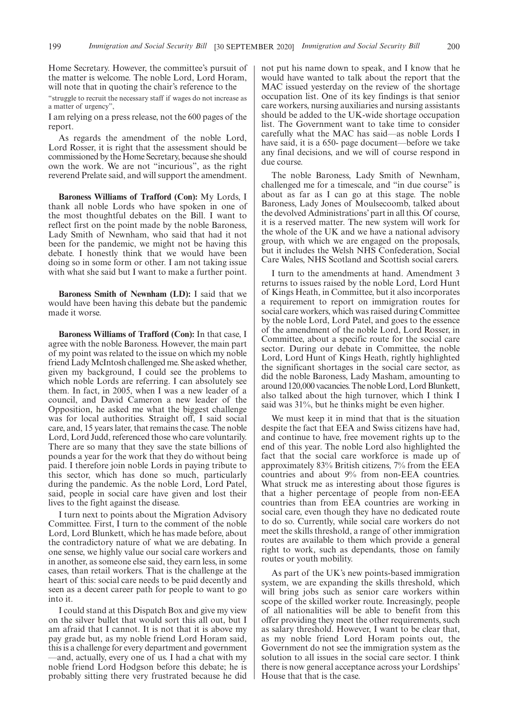Home Secretary. However, the committee's pursuit of the matter is welcome. The noble Lord, Lord Horam, will note that in quoting the chair's reference to the

"struggle to recruit the necessary staff if wages do not increase as a matter of urgency",

I am relying on a press release, not the 600 pages of the report.

As regards the amendment of the noble Lord, Lord Rosser, it is right that the assessment should be commissioned by the Home Secretary, because she should own the work. We are not "incurious", as the right reverend Prelate said, and will support the amendment.

**Baroness Williams of Trafford (Con):** My Lords, I thank all noble Lords who have spoken in one of the most thoughtful debates on the Bill. I want to reflect first on the point made by the noble Baroness, Lady Smith of Newnham, who said that had it not been for the pandemic, we might not be having this debate. I honestly think that we would have been doing so in some form or other. I am not taking issue with what she said but I want to make a further point.

**Baroness Smith of Newnham (LD):** I said that we would have been having this debate but the pandemic made it worse.

**Baroness Williams of Trafford (Con):** In that case, I agree with the noble Baroness. However, the main part of my point was related to the issue on which my noble friend Lady McIntosh challenged me. She asked whether, given my background, I could see the problems to which noble Lords are referring. I can absolutely see them. In fact, in 2005, when I was a new leader of a council, and David Cameron a new leader of the Opposition, he asked me what the biggest challenge was for local authorities. Straight off, I said social care, and, 15 years later, that remains the case. The noble Lord, Lord Judd, referenced those who care voluntarily. There are so many that they save the state billions of pounds a year for the work that they do without being paid. I therefore join noble Lords in paying tribute to this sector, which has done so much, particularly during the pandemic. As the noble Lord, Lord Patel, said, people in social care have given and lost their lives to the fight against the disease.

I turn next to points about the Migration Advisory Committee. First, I turn to the comment of the noble Lord, Lord Blunkett, which he has made before, about the contradictory nature of what we are debating. In one sense, we highly value our social care workers and in another, as someone else said, they earn less, in some cases, than retail workers. That is the challenge at the heart of this: social care needs to be paid decently and seen as a decent career path for people to want to go into it.

I could stand at this Dispatch Box and give my view on the silver bullet that would sort this all out, but I am afraid that I cannot. It is not that it is above my pay grade but, as my noble friend Lord Horam said, this is a challenge for every department and government —and, actually, every one of us. I had a chat with my noble friend Lord Hodgson before this debate; he is probably sitting there very frustrated because he did not put his name down to speak, and I know that he would have wanted to talk about the report that the MAC issued yesterday on the review of the shortage occupation list. One of its key findings is that senior care workers, nursing auxiliaries and nursing assistants should be added to the UK-wide shortage occupation list. The Government want to take time to consider carefully what the MAC has said—as noble Lords I have said, it is a 650- page document—before we take any final decisions, and we will of course respond in due course.

The noble Baroness, Lady Smith of Newnham, challenged me for a timescale, and "in due course" is about as far as I can go at this stage. The noble Baroness, Lady Jones of Moulsecoomb, talked about the devolved Administrations' part in all this. Of course, it is a reserved matter. The new system will work for the whole of the UK and we have a national advisory group, with which we are engaged on the proposals, but it includes the Welsh NHS Confederation, Social Care Wales, NHS Scotland and Scottish social carers.

I turn to the amendments at hand. Amendment 3 returns to issues raised by the noble Lord, Lord Hunt of Kings Heath, in Committee, but it also incorporates a requirement to report on immigration routes for social care workers, which was raised during Committee by the noble Lord, Lord Patel, and goes to the essence of the amendment of the noble Lord, Lord Rosser, in Committee, about a specific route for the social care sector. During our debate in Committee, the noble Lord, Lord Hunt of Kings Heath, rightly highlighted the significant shortages in the social care sector, as did the noble Baroness, Lady Masham, amounting to around 120,000 vacancies. The noble Lord, Lord Blunkett, also talked about the high turnover, which I think I said was 31%, but he thinks might be even higher.

We must keep it in mind that that is the situation despite the fact that EEA and Swiss citizens have had, and continue to have, free movement rights up to the end of this year. The noble Lord also highlighted the fact that the social care workforce is made up of approximately 83% British citizens, 7% from the EEA countries and about 9% from non-EEA countries. What struck me as interesting about those figures is that a higher percentage of people from non-EEA countries than from EEA countries are working in social care, even though they have no dedicated route to do so. Currently, while social care workers do not meet the skills threshold, a range of other immigration routes are available to them which provide a general right to work, such as dependants, those on family routes or youth mobility.

As part of the UK's new points-based immigration system, we are expanding the skills threshold, which will bring jobs such as senior care workers within scope of the skilled worker route. Increasingly, people of all nationalities will be able to benefit from this offer providing they meet the other requirements, such as salary threshold. However, I want to be clear that, as my noble friend Lord Horam points out, the Government do not see the immigration system as the solution to all issues in the social care sector. I think there is now general acceptance across your Lordships' House that that is the case.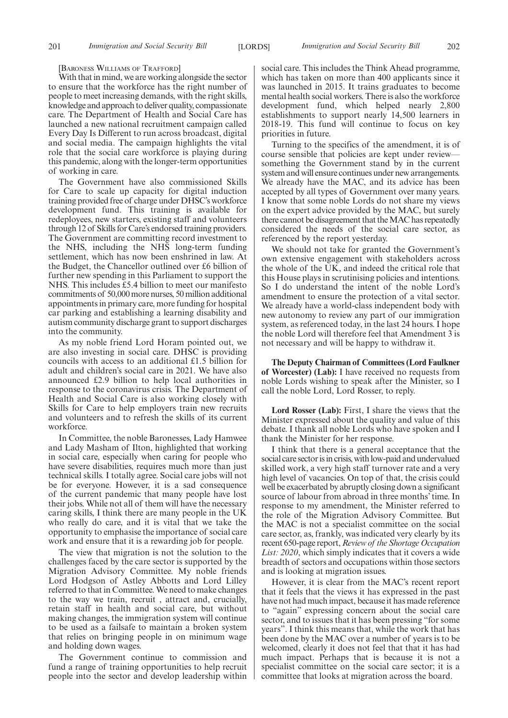[BARONESS WILLIAMS OF TRAFFORD]

With that in mind, we are working alongside the sector to ensure that the workforce has the right number of people to meet increasing demands, with the right skills, knowledge and approach to deliver quality, compassionate care. The Department of Health and Social Care has launched a new national recruitment campaign called Every Day Is Different to run across broadcast, digital and social media. The campaign highlights the vital role that the social care workforce is playing during this pandemic, along with the longer-term opportunities of working in care.

The Government have also commissioned Skills for Care to scale up capacity for digital induction training provided free of charge under DHSC's workforce development fund. This training is available for redeployees, new starters, existing staff and volunteers through 12 of Skills for Care's endorsed training providers. The Government are committing record investment to the NHS, including the NHS long-term funding settlement, which has now been enshrined in law. At the Budget, the Chancellor outlined over £6 billion of further new spending in this Parliament to support the NHS. This includes £5.4 billion to meet our manifesto commitments of 50,000 more nurses, 50 million additional appointments in primary care, more funding for hospital car parking and establishing a learning disability and autism community discharge grant to support discharges into the community.

As my noble friend Lord Horam pointed out, we are also investing in social care. DHSC is providing councils with access to an additional £1.5 billion for adult and children's social care in 2021. We have also announced £2.9 billion to help local authorities in response to the coronavirus crisis. The Department of Health and Social Care is also working closely with Skills for Care to help employers train new recruits and volunteers and to refresh the skills of its current workforce.

In Committee, the noble Baronesses, Lady Hamwee and Lady Masham of Ilton, highlighted that working in social care, especially when caring for people who have severe disabilities, requires much more than just technical skills. I totally agree. Social care jobs will not be for everyone. However, it is a sad consequence of the current pandemic that many people have lost their jobs. While not all of them will have the necessary caring skills, I think there are many people in the UK who really do care, and it is vital that we take the opportunity to emphasise the importance of social care work and ensure that it is a rewarding job for people.

The view that migration is not the solution to the challenges faced by the care sector is supported by the Migration Advisory Committee. My noble friends Lord Hodgson of Astley Abbotts and Lord Lilley referred to that in Committee. We need to make changes to the way we train, recruit , attract and, crucially, retain staff in health and social care, but without making changes, the immigration system will continue to be used as a failsafe to maintain a broken system that relies on bringing people in on minimum wage and holding down wages.

The Government continue to commission and fund a range of training opportunities to help recruit people into the sector and develop leadership within social care. This includes the Think Ahead programme, which has taken on more than 400 applicants since it was launched in 2015. It trains graduates to become mental health social workers. There is also the workforce development fund, which helped nearly 2,800 establishments to support nearly 14,500 learners in 2018-19. This fund will continue to focus on key priorities in future.

Turning to the specifics of the amendment, it is of course sensible that policies are kept under review something the Government stand by in the current system and will ensure continues under new arrangements. We already have the MAC, and its advice has been accepted by all types of Government over many years. I know that some noble Lords do not share my views on the expert advice provided by the MAC, but surely there cannot be disagreement that the MAC has repeatedly considered the needs of the social care sector, as referenced by the report yesterday.

We should not take for granted the Government's own extensive engagement with stakeholders across the whole of the UK, and indeed the critical role that this House plays in scrutinising policies and intentions. So I do understand the intent of the noble Lord's amendment to ensure the protection of a vital sector. We already have a world-class independent body with new autonomy to review any part of our immigration system, as referenced today, in the last 24 hours. I hope the noble Lord will therefore feel that Amendment 3 is not necessary and will be happy to withdraw it.

**The Deputy Chairman of Committees (Lord Faulkner of Worcester) (Lab):** I have received no requests from noble Lords wishing to speak after the Minister, so I call the noble Lord, Lord Rosser, to reply.

**Lord Rosser (Lab):** First, I share the views that the Minister expressed about the quality and value of this debate. I thank all noble Lords who have spoken and I thank the Minister for her response.

I think that there is a general acceptance that the social care sector is in crisis, with low-paid and undervalued skilled work, a very high staff turnover rate and a very high level of vacancies. On top of that, the crisis could well be exacerbated by abruptly closing down a significant source of labour from abroad in three months' time. In response to my amendment, the Minister referred to the role of the Migration Advisory Committee. But the MAC is not a specialist committee on the social care sector, as, frankly, was indicated very clearly by its recent 650-page report, *Review of the Shortage Occupation List: 2020*, which simply indicates that it covers a wide breadth of sectors and occupations within those sectors and is looking at migration issues.

However, it is clear from the MAC's recent report that it feels that the views it has expressed in the past have not had much impact, because it has made reference to "again" expressing concern about the social care sector, and to issues that it has been pressing "for some years". I think this means that, while the work that has been done by the MAC over a number of years is to be welcomed, clearly it does not feel that that it has had much impact. Perhaps that is because it is not a specialist committee on the social care sector; it is a committee that looks at migration across the board.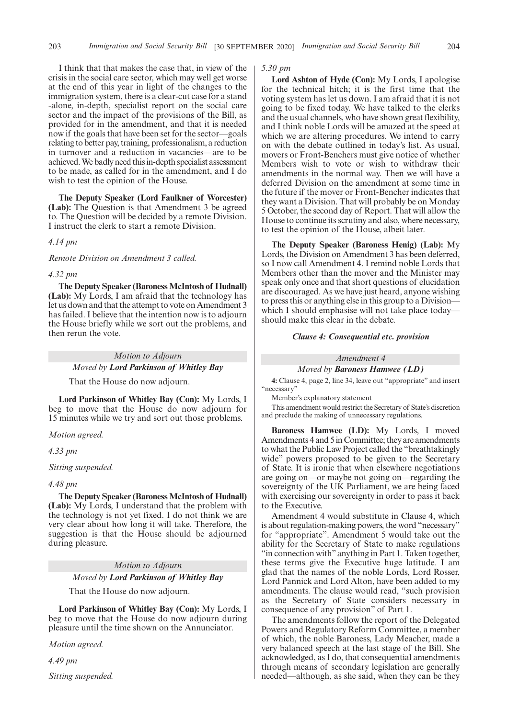I think that that makes the case that, in view of the crisis in the social care sector, which may well get worse at the end of this year in light of the changes to the immigration system, there is a clear-cut case for a stand -alone, in-depth, specialist report on the social care sector and the impact of the provisions of the Bill, as provided for in the amendment, and that it is needed now if the goals that have been set for the sector—goals relating to better pay, training, professionalism, a reduction in turnover and a reduction in vacancies—are to be achieved. We badly need this in-depth specialist assessment to be made, as called for in the amendment, and I do wish to test the opinion of the House.

**The Deputy Speaker (Lord Faulkner of Worcester) (Lab):** The Question is that Amendment 3 be agreed to. The Question will be decided by a remote Division. I instruct the clerk to start a remote Division.

*4.14 pm*

*Remote Division on Amendment 3 called.*

#### *4.32 pm*

**The Deputy Speaker (Baroness McIntosh of Hudnall) (Lab):** My Lords, I am afraid that the technology has let us down and that the attempt to vote on Amendment 3 has failed. I believe that the intention now is to adjourn the House briefly while we sort out the problems, and then rerun the vote.

#### *Motion to Adjourn Moved by Lord Parkinson of Whitley Bay*

That the House do now adjourn.

**Lord Parkinson of Whitley Bay (Con):** My Lords, I beg to move that the House do now adjourn for 15 minutes while we try and sort out those problems.

*Motion agreed.*

*4.33 pm*

*Sitting suspended.*

#### *4.48 pm*

**The Deputy Speaker (Baroness McIntosh of Hudnall) (Lab):** My Lords, I understand that the problem with the technology is not yet fixed. I do not think we are very clear about how long it will take. Therefore, the suggestion is that the House should be adjourned during pleasure.

> *Motion to Adjourn Moved by Lord Parkinson of Whitley Bay*

That the House do now adjourn.

**Lord Parkinson of Whitley Bay (Con):** My Lords, I beg to move that the House do now adjourn during pleasure until the time shown on the Annunciator.

*Motion agreed.*

*4.49 pm*

*Sitting suspended.*

#### *5.30 pm*

**Lord Ashton of Hyde (Con):** My Lords, I apologise for the technical hitch; it is the first time that the voting system has let us down. I am afraid that it is not going to be fixed today. We have talked to the clerks and the usual channels, who have shown great flexibility, and I think noble Lords will be amazed at the speed at which we are altering procedures. We intend to carry on with the debate outlined in today's list. As usual, movers or Front-Benchers must give notice of whether Members wish to vote or wish to withdraw their amendments in the normal way. Then we will have a deferred Division on the amendment at some time in the future if the mover or Front-Bencher indicates that they want a Division. That will probably be on Monday 5 October, the second day of Report. That will allow the House to continue its scrutiny and also, where necessary, to test the opinion of the House, albeit later.

**The Deputy Speaker (Baroness Henig) (Lab):** My Lords, the Division on Amendment 3 has been deferred, so I now call Amendment 4. I remind noble Lords that Members other than the mover and the Minister may speak only once and that short questions of elucidation are discouraged. As we have just heard, anyone wishing to press this or anything else in this group to a Division which I should emphasise will not take place today should make this clear in the debate.

#### *Clause 4: Consequential etc. provision*

#### *Amendment 4*

*Moved by Baroness Hamwee (LD)*

**4:** Clause 4, page 2, line 34, leave out "appropriate" and insert "necessary"

Member's explanatory statement

This amendment would restrict the Secretary of State's discretion and preclude the making of unnecessary regulations.

**Baroness Hamwee (LD):** My Lords, I moved Amendments 4 and 5 in Committee; they are amendments to what the Public Law Project called the "breathtakingly wide" powers proposed to be given to the Secretary of State. It is ironic that when elsewhere negotiations are going on—or maybe not going on—regarding the sovereignty of the UK Parliament, we are being faced with exercising our sovereignty in order to pass it back to the Executive.

Amendment 4 would substitute in Clause 4, which is about regulation-making powers, the word "necessary" for "appropriate". Amendment 5 would take out the ability for the Secretary of State to make regulations "in connection with"anything in Part 1. Taken together, these terms give the Executive huge latitude. I am glad that the names of the noble Lords, Lord Rosser, Lord Pannick and Lord Alton, have been added to my amendments. The clause would read, "such provision as the Secretary of State considers necessary in consequence of any provision" of Part 1.

The amendments follow the report of the Delegated Powers and Regulatory Reform Committee, a member of which, the noble Baroness, Lady Meacher, made a very balanced speech at the last stage of the Bill. She acknowledged, as I do, that consequential amendments through means of secondary legislation are generally needed—although, as she said, when they can be they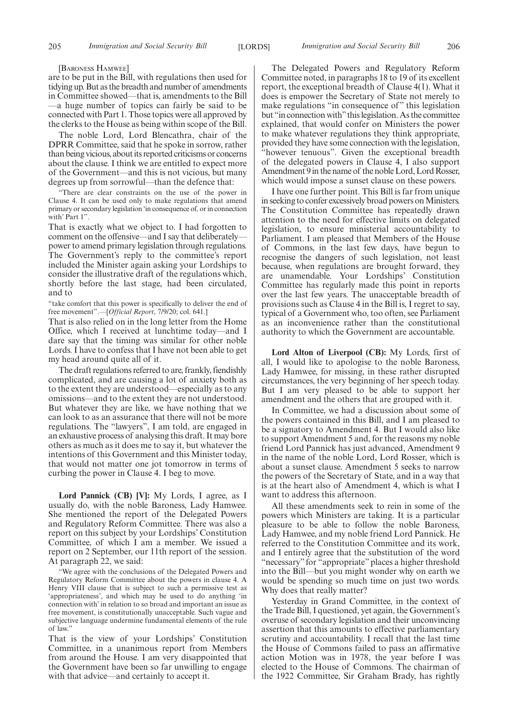[BARONESS HAMWEE]

are to be put in the Bill, with regulations then used for tidying up. But as the breadth and number of amendments in Committee showed—that is, amendments to the Bill —a huge number of topics can fairly be said to be connected with Part 1. Those topics were all approved by the clerks to the House as being within scope of the Bill.

The noble Lord, Lord Blencathra, chair of the DPRR Committee, said that he spoke in sorrow, rather than being vicious, about its reported criticisms or concerns about the clause. I think we are entitled to expect more of the Government—and this is not vicious, but many degrees up from sorrowful—than the defence that:

"There are clear constraints on the use of the power in Clause 4. It can be used only to make regulations that amend primary or secondary legislation 'in consequence of, or in connection with' Part 1".

That is exactly what we object to. I had forgotten to comment on the offensive—and I say that deliberately power to amend primary legislation through regulations. The Government's reply to the committee's report included the Minister again asking your Lordships to consider the illustrative draft of the regulations which, shortly before the last stage, had been circulated, and to

"take comfort that this power is specifically to deliver the end of free movement".—[*Official Report*, 7/9/20; col. 641.]

That is also relied on in the long letter from the Home Office, which I received at lunchtime today—and I dare say that the timing was similar for other noble Lords. I have to confess that I have not been able to get my head around quite all of it.

The draft regulations referred to are, frankly, fiendishly complicated, and are causing a lot of anxiety both as to the extent they are understood—especially as to any omissions—and to the extent they are not understood. But whatever they are like, we have nothing that we can look to as an assurance that there will not be more regulations. The "lawyers", I am told, are engaged in an exhaustive process of analysing this draft. It may bore others as much as it does me to say it, but whatever the intentions of this Government and this Minister today, that would not matter one jot tomorrow in terms of curbing the power in Clause 4. I beg to move.

**Lord Pannick (CB) [V]:** My Lords, I agree, as I usually do, with the noble Baroness, Lady Hamwee. She mentioned the report of the Delegated Powers and Regulatory Reform Committee. There was also a report on this subject by your Lordships' Constitution Committee, of which I am a member. We issued a report on 2 September, our 11th report of the session. At paragraph 22, we said:

"We agree with the conclusions of the Delegated Powers and Regulatory Reform Committee about the powers in clause 4. A Henry VIII clause that is subject to such a permissive test as 'appropriateness', and which may be used to do anything 'in connection with' in relation to so broad and important an issue as free movement, is constitutionally unacceptable. Such vague and subjective language undermine fundamental elements of the rule of law."

That is the view of your Lordships' Constitution Committee, in a unanimous report from Members from around the House. I am very disappointed that the Government have been so far unwilling to engage with that advice—and certainly to accept it.

The Delegated Powers and Regulatory Reform Committee noted, in paragraphs 18 to 19 of its excellent report, the exceptional breadth of Clause 4(1). What it does is empower the Secretary of State not merely to make regulations "in consequence of" this legislation but "in connection with" this legislation. As the committee explained, that would confer on Ministers the power to make whatever regulations they think appropriate, provided they have some connection with the legislation, "however tenuous". Given the exceptional breadth of the delegated powers in Clause 4, I also support Amendment 9 in the name of the noble Lord, Lord Rosser, which would impose a sunset clause on these powers.

I have one further point. This Bill is far from unique in seeking to confer excessively broad powers on Ministers. The Constitution Committee has repeatedly drawn attention to the need for effective limits on delegated legislation, to ensure ministerial accountability to Parliament. I am pleased that Members of the House of Commons, in the last few days, have begun to recognise the dangers of such legislation, not least because, when regulations are brought forward, they are unamendable. Your Lordships' Constitution Committee has regularly made this point in reports over the last few years. The unacceptable breadth of provisions such as Clause 4 in the Bill is, I regret to say, typical of a Government who, too often, see Parliament as an inconvenience rather than the constitutional authority to which the Government are accountable.

**Lord Alton of Liverpool (CB):** My Lords, first of all, I would like to apologise to the noble Baroness, Lady Hamwee, for missing, in these rather disrupted circumstances, the very beginning of her speech today. But I am very pleased to be able to support her amendment and the others that are grouped with it.

In Committee, we had a discussion about some of the powers contained in this Bill, and I am pleased to be a signatory to Amendment 4. But I would also like to support Amendment 5 and, for the reasons my noble friend Lord Pannick has just advanced, Amendment 9 in the name of the noble Lord, Lord Rosser, which is about a sunset clause. Amendment 5 seeks to narrow the powers of the Secretary of State, and in a way that is at the heart also of Amendment 4, which is what I want to address this afternoon.

All these amendments seek to rein in some of the powers which Ministers are taking. It is a particular pleasure to be able to follow the noble Baroness, Lady Hamwee, and my noble friend Lord Pannick. He referred to the Constitution Committee and its work, and I entirely agree that the substitution of the word "necessary" for "appropriate" places a higher threshold into the Bill—but you might wonder why on earth we would be spending so much time on just two words. Why does that really matter?

Yesterday in Grand Committee, in the context of the Trade Bill, I questioned, yet again, the Government's overuse of secondary legislation and their unconvincing assertion that this amounts to effective parliamentary scrutiny and accountability. I recall that the last time the House of Commons failed to pass an affirmative action Motion was in 1978, the year before I was elected to the House of Commons. The chairman of the 1922 Committee, Sir Graham Brady, has rightly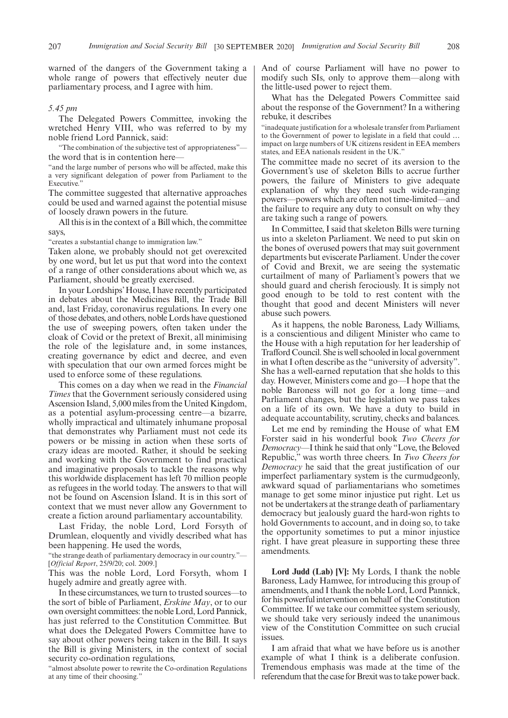warned of the dangers of the Government taking a whole range of powers that effectively neuter due parliamentary process, and I agree with him.

#### *5.45 pm*

The Delegated Powers Committee, invoking the wretched Henry VIII, who was referred to by my noble friend Lord Pannick, said:

"The combination of the subjective test of appropriateness" the word that is in contention here—

"and the large number of persons who will be affected, make this a very significant delegation of power from Parliament to the Executive."

The committee suggested that alternative approaches could be used and warned against the potential misuse of loosely drawn powers in the future.

All this is in the context of a Bill which, the committee says,

"creates a substantial change to immigration law."

Taken alone, we probably should not get overexcited by one word, but let us put that word into the context of a range of other considerations about which we, as Parliament, should be greatly exercised.

In your Lordships'House, I have recently participated in debates about the Medicines Bill, the Trade Bill and, last Friday, coronavirus regulations. In every one of those debates, and others, noble Lords have questioned the use of sweeping powers, often taken under the cloak of Covid or the pretext of Brexit, all minimising the role of the legislature and, in some instances, creating governance by edict and decree, and even with speculation that our own armed forces might be used to enforce some of these regulations.

This comes on a day when we read in the *Financial Times* that the Government seriously considered using Ascension Island, 5,000 miles from the United Kingdom, as a potential asylum-processing centre—a bizarre, wholly impractical and ultimately inhumane proposal that demonstrates why Parliament must not cede its powers or be missing in action when these sorts of crazy ideas are mooted. Rather, it should be seeking and working with the Government to find practical and imaginative proposals to tackle the reasons why this worldwide displacement has left 70 million people as refugees in the world today. The answers to that will not be found on Ascension Island. It is in this sort of context that we must never allow any Government to create a fiction around parliamentary accountability.

Last Friday, the noble Lord, Lord Forsyth of Drumlean, eloquently and vividly described what has been happening. He used the words,

"the strange death of parliamentary democracy in our country."— [*Official Report*, 25/9/20; col. 2009.]

This was the noble Lord, Lord Forsyth, whom I hugely admire and greatly agree with.

In these circumstances, we turn to trusted sources—to the sort of bible of Parliament, *Erskine May*, or to our own oversight committees: the noble Lord, Lord Pannick, has just referred to the Constitution Committee. But what does the Delegated Powers Committee have to say about other powers being taken in the Bill. It says the Bill is giving Ministers, in the context of social security co-ordination regulations,

"almost absolute power to rewrite the Co-ordination Regulations at any time of their choosing."

And of course Parliament will have no power to modify such SIs, only to approve them—along with the little-used power to reject them.

What has the Delegated Powers Committee said about the response of the Government? In a withering rebuke, it describes

"inadequate justification for a wholesale transfer from Parliament to the Government of power to legislate in a field that could … impact on large numbers of UK citizens resident in EEA members states, and EEA nationals resident in the UK."

The committee made no secret of its aversion to the Government's use of skeleton Bills to accrue further powers, the failure of Ministers to give adequate explanation of why they need such wide-ranging powers—powers which are often not time-limited—and the failure to require any duty to consult on why they are taking such a range of powers.

In Committee, I said that skeleton Bills were turning us into a skeleton Parliament. We need to put skin on the bones of overused powers that may suit government departments but eviscerate Parliament. Under the cover of Covid and Brexit, we are seeing the systematic curtailment of many of Parliament's powers that we should guard and cherish ferociously. It is simply not good enough to be told to rest content with the thought that good and decent Ministers will never abuse such powers.

As it happens, the noble Baroness, Lady Williams, is a conscientious and diligent Minister who came to the House with a high reputation for her leadership of Trafford Council. She is well schooled in local government in what I often describe as the "university of adversity". She has a well-earned reputation that she holds to this day. However, Ministers come and go—I hope that the noble Baroness will not go for a long time—and Parliament changes, but the legislation we pass takes on a life of its own. We have a duty to build in adequate accountability, scrutiny, checks and balances.

Let me end by reminding the House of what EM Forster said in his wonderful book *Two Cheers for Democracy*—I think he said that only "Love, the Beloved Republic," was worth three cheers. In *Two Cheers for Democracy* he said that the great justification of our imperfect parliamentary system is the curmudgeonly, awkward squad of parliamentarians who sometimes manage to get some minor injustice put right. Let us not be undertakers at the strange death of parliamentary democracy but jealously guard the hard-won rights to hold Governments to account, and in doing so, to take the opportunity sometimes to put a minor injustice right. I have great pleasure in supporting these three amendments.

**Lord Judd (Lab) [V]:** My Lords, I thank the noble Baroness, Lady Hamwee, for introducing this group of amendments, and I thank the noble Lord, Lord Pannick, for his powerful intervention on behalf of the Constitution Committee. If we take our committee system seriously, we should take very seriously indeed the unanimous view of the Constitution Committee on such crucial issues.

I am afraid that what we have before us is another example of what I think is a deliberate confusion. Tremendous emphasis was made at the time of the referendum that the case for Brexit was to take power back.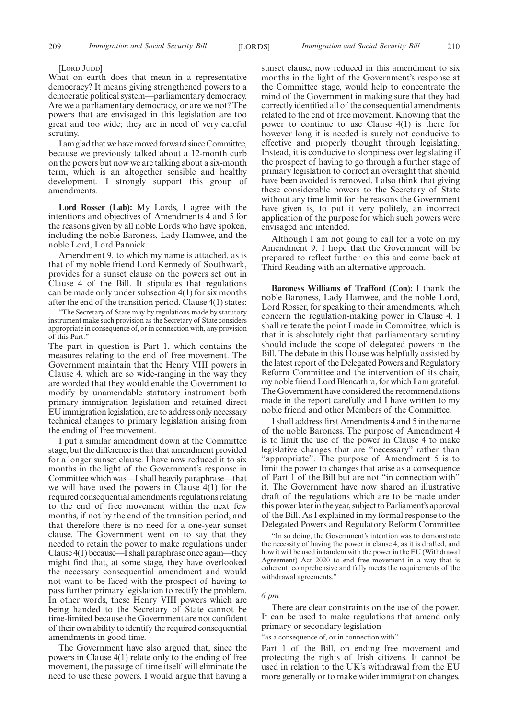[LORD JUDD]

What on earth does that mean in a representative democracy? It means giving strengthened powers to a democratic political system—parliamentary democracy. Are we a parliamentary democracy, or are we not? The powers that are envisaged in this legislation are too great and too wide; they are in need of very careful scrutiny.

I am glad that we have moved forward since Committee, because we previously talked about a 12-month curb on the powers but now we are talking about a six-month term, which is an altogether sensible and healthy development. I strongly support this group of amendments.

**Lord Rosser (Lab):** My Lords, I agree with the intentions and objectives of Amendments 4 and 5 for the reasons given by all noble Lords who have spoken, including the noble Baroness, Lady Hamwee, and the noble Lord, Lord Pannick.

Amendment 9, to which my name is attached, as is that of my noble friend Lord Kennedy of Southwark, provides for a sunset clause on the powers set out in Clause 4 of the Bill. It stipulates that regulations can be made only under subsection 4(1) for six months after the end of the transition period. Clause 4(1) states:

"The Secretary of State may by regulations made by statutory instrument make such provision as the Secretary of State considers appropriate in consequence of, or in connection with, any provision of this Part."

The part in question is Part 1, which contains the measures relating to the end of free movement. The Government maintain that the Henry VIII powers in Clause 4, which are so wide-ranging in the way they are worded that they would enable the Government to modify by unamendable statutory instrument both primary immigration legislation and retained direct EU immigration legislation, are to address only necessary technical changes to primary legislation arising from the ending of free movement.

I put a similar amendment down at the Committee stage, but the difference is that that amendment provided for a longer sunset clause. I have now reduced it to six months in the light of the Government's response in Committee which was—I shall heavily paraphrase—that we will have used the powers in Clause 4(1) for the required consequential amendments regulations relating to the end of free movement within the next few months, if not by the end of the transition period, and that therefore there is no need for a one-year sunset clause. The Government went on to say that they needed to retain the power to make regulations under Clause 4(1) because—I shall paraphrase once again—they might find that, at some stage, they have overlooked the necessary consequential amendment and would not want to be faced with the prospect of having to pass further primary legislation to rectify the problem. In other words, these Henry VIII powers which are being handed to the Secretary of State cannot be time-limited because the Government are not confident of their own ability to identify the required consequential amendments in good time.

The Government have also argued that, since the powers in Clause 4(1) relate only to the ending of free movement, the passage of time itself will eliminate the need to use these powers. I would argue that having a sunset clause, now reduced in this amendment to six months in the light of the Government's response at the Committee stage, would help to concentrate the mind of the Government in making sure that they had correctly identified all of the consequential amendments related to the end of free movement. Knowing that the power to continue to use Clause 4(1) is there for however long it is needed is surely not conducive to effective and properly thought through legislating. Instead, it is conducive to sloppiness over legislating if the prospect of having to go through a further stage of primary legislation to correct an oversight that should have been avoided is removed. I also think that giving these considerable powers to the Secretary of State without any time limit for the reasons the Government have given is, to put it very politely, an incorrect application of the purpose for which such powers were envisaged and intended.

Although I am not going to call for a vote on my Amendment 9, I hope that the Government will be prepared to reflect further on this and come back at Third Reading with an alternative approach.

**Baroness Williams of Trafford (Con):** I thank the noble Baroness, Lady Hamwee, and the noble Lord, Lord Rosser, for speaking to their amendments, which concern the regulation-making power in Clause 4. I shall reiterate the point I made in Committee, which is that it is absolutely right that parliamentary scrutiny should include the scope of delegated powers in the Bill. The debate in this House was helpfully assisted by the latest report of the Delegated Powers and Regulatory Reform Committee and the intervention of its chair, my noble friend Lord Blencathra, for which I am grateful. The Government have considered the recommendations made in the report carefully and I have written to my noble friend and other Members of the Committee.

I shall address first Amendments 4 and 5 in the name of the noble Baroness. The purpose of Amendment 4 is to limit the use of the power in Clause 4 to make legislative changes that are "necessary" rather than "appropriate". The purpose of Amendment 5 is to limit the power to changes that arise as a consequence of Part 1 of the Bill but are not "in connection with" it. The Government have now shared an illustrative draft of the regulations which are to be made under this power later in the year, subject to Parliament's approval of the Bill. As I explained in my formal response to the Delegated Powers and Regulatory Reform Committee

"In so doing, the Government's intention was to demonstrate the necessity of having the power in clause 4, as it is drafted, and how it will be used in tandem with the power in the EU (Withdrawal Agreement) Act 2020 to end free movement in a way that is coherent, comprehensive and fully meets the requirements of the withdrawal agreements."

#### *6 pm*

There are clear constraints on the use of the power. It can be used to make regulations that amend only primary or secondary legislation

"as a consequence of, or in connection with"

Part 1 of the Bill, on ending free movement and protecting the rights of Irish citizens. It cannot be used in relation to the UK's withdrawal from the EU more generally or to make wider immigration changes.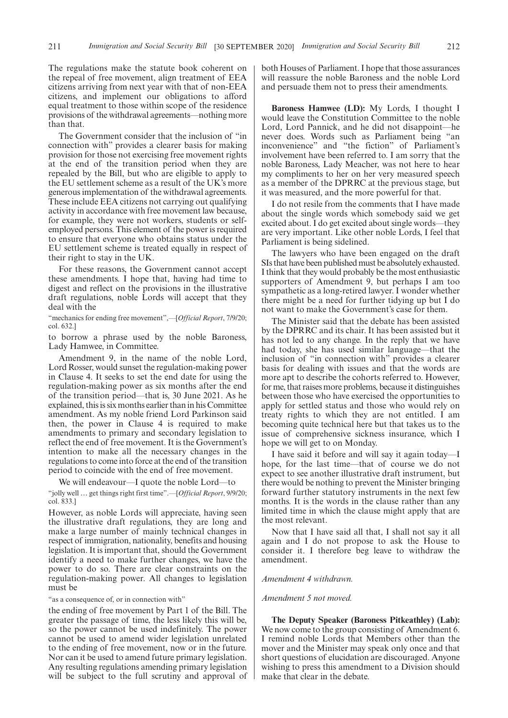The regulations make the statute book coherent on the repeal of free movement, align treatment of EEA citizens arriving from next year with that of non-EEA citizens, and implement our obligations to afford equal treatment to those within scope of the residence provisions of the withdrawal agreements—nothing more than that.

The Government consider that the inclusion of "in connection with" provides a clearer basis for making provision for those not exercising free movement rights at the end of the transition period when they are repealed by the Bill, but who are eligible to apply to the EU settlement scheme as a result of the UK's more generous implementation of the withdrawal agreements. These include EEA citizens not carrying out qualifying activity in accordance with free movement law because, for example, they were not workers, students or selfemployed persons. This element of the power is required to ensure that everyone who obtains status under the EU settlement scheme is treated equally in respect of their right to stay in the UK.

For these reasons, the Government cannot accept these amendments. I hope that, having had time to digest and reflect on the provisions in the illustrative draft regulations, noble Lords will accept that they deal with the

"mechanics for ending free movement",—[*Official Report*, 7/9/20; col. 632.]

to borrow a phrase used by the noble Baroness, Lady Hamwee, in Committee.

Amendment 9, in the name of the noble Lord, Lord Rosser, would sunset the regulation-making power in Clause 4. It seeks to set the end date for using the regulation-making power as six months after the end of the transition period—that is, 30 June 2021. As he explained, this is six months earlier than in his Committee amendment. As my noble friend Lord Parkinson said then, the power in Clause 4 is required to make amendments to primary and secondary legislation to reflect the end of free movement. It is the Government's intention to make all the necessary changes in the regulations to come into force at the end of the transition period to coincide with the end of free movement.

We will endeavour—I quote the noble Lord—to "jolly well … get things right first time".—[*Official Report*, 9/9/20; col. 833.]

However, as noble Lords will appreciate, having seen the illustrative draft regulations, they are long and make a large number of mainly technical changes in respect of immigration, nationality, benefits and housing legislation. It is important that, should the Government identify a need to make further changes, we have the power to do so. There are clear constraints on the regulation-making power. All changes to legislation must be

"as a consequence of, or in connection with"

the ending of free movement by Part 1 of the Bill. The greater the passage of time, the less likely this will be, so the power cannot be used indefinitely. The power cannot be used to amend wider legislation unrelated to the ending of free movement, now or in the future. Nor can it be used to amend future primary legislation. Any resulting regulations amending primary legislation will be subject to the full scrutiny and approval of both Houses of Parliament. I hope that those assurances will reassure the noble Baroness and the noble Lord and persuade them not to press their amendments.

**Baroness Hamwee (LD):** My Lords, I thought I would leave the Constitution Committee to the noble Lord, Lord Pannick, and he did not disappoint—he never does. Words such as Parliament being "an inconvenience" and "the fiction" of Parliament's involvement have been referred to. I am sorry that the noble Baroness, Lady Meacher, was not here to hear my compliments to her on her very measured speech as a member of the DPRRC at the previous stage, but it was measured, and the more powerful for that.

I do not resile from the comments that I have made about the single words which somebody said we get excited about. I do get excited about single words—they are very important. Like other noble Lords, I feel that Parliament is being sidelined.

The lawyers who have been engaged on the draft SIs that have been published must be absolutely exhausted. I think that they would probably be the most enthusiastic supporters of Amendment 9, but perhaps I am too sympathetic as a long-retired lawyer. I wonder whether there might be a need for further tidying up but I do not want to make the Government's case for them.

The Minister said that the debate has been assisted by the DPRRC and its chair. It has been assisted but it has not led to any change. In the reply that we have had today, she has used similar language—that the inclusion of "in connection with" provides a clearer basis for dealing with issues and that the words are more apt to describe the cohorts referred to. However, for me, that raises more problems, because it distinguishes between those who have exercised the opportunities to apply for settled status and those who would rely on treaty rights to which they are not entitled. I am becoming quite technical here but that takes us to the issue of comprehensive sickness insurance, which I hope we will get to on Monday.

I have said it before and will say it again today—I hope, for the last time—that of course we do not expect to see another illustrative draft instrument, but there would be nothing to prevent the Minister bringing forward further statutory instruments in the next few months. It is the words in the clause rather than any limited time in which the clause might apply that are the most relevant.

Now that I have said all that, I shall not say it all again and I do not propose to ask the House to consider it. I therefore beg leave to withdraw the amendment.

#### *Amendment 4 withdrawn.*

#### *Amendment 5 not moved.*

**The Deputy Speaker (Baroness Pitkeathley) (Lab):** We now come to the group consisting of Amendment 6. I remind noble Lords that Members other than the mover and the Minister may speak only once and that short questions of elucidation are discouraged. Anyone wishing to press this amendment to a Division should make that clear in the debate.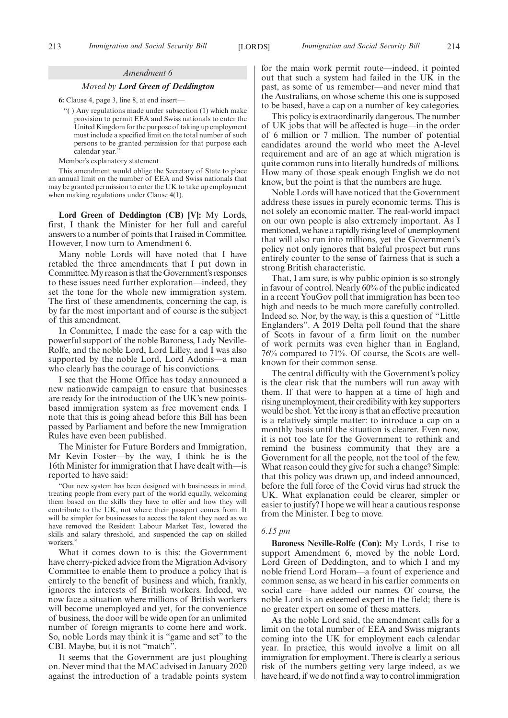#### *Amendment 6*

#### *Moved by Lord Green of Deddington*

**6:** Clause 4, page 3, line 8, at end insert—

- "( ) Any regulations made under subsection (1) which make provision to permit EEA and Swiss nationals to enter the United Kingdom for the purpose of taking up employment must include a specified limit on the total number of such persons to be granted permission for that purpose each calendar year.
- Member's explanatory statement

This amendment would oblige the Secretary of State to place an annual limit on the number of EEA and Swiss nationals that may be granted permission to enter the UK to take up employment when making regulations under Clause 4(1).

**Lord Green of Deddington (CB) [V]:** My Lords, first, I thank the Minister for her full and careful answers to a number of points that I raised in Committee. However, I now turn to Amendment 6.

Many noble Lords will have noted that I have retabled the three amendments that I put down in Committee. My reason is that the Government's responses to these issues need further exploration—indeed, they set the tone for the whole new immigration system. The first of these amendments, concerning the cap, is by far the most important and of course is the subject of this amendment.

In Committee, I made the case for a cap with the powerful support of the noble Baroness, Lady Neville-Rolfe, and the noble Lord, Lord Lilley, and I was also supported by the noble Lord, Lord Adonis—a man who clearly has the courage of his convictions.

I see that the Home Office has today announced a new nationwide campaign to ensure that businesses are ready for the introduction of the UK's new pointsbased immigration system as free movement ends. I note that this is going ahead before this Bill has been passed by Parliament and before the new Immigration Rules have even been published.

The Minister for Future Borders and Immigration, Mr Kevin Foster—by the way, I think he is the 16th Minister for immigration that I have dealt with—is reported to have said:

"Our new system has been designed with businesses in mind, treating people from every part of the world equally, welcoming them based on the skills they have to offer and how they will contribute to the UK, not where their passport comes from. It will be simpler for businesses to access the talent they need as we have removed the Resident Labour Market Test, lowered the skills and salary threshold, and suspended the cap on skilled workers.'

What it comes down to is this: the Government have cherry-picked advice from the Migration Advisory Committee to enable them to produce a policy that is entirely to the benefit of business and which, frankly, ignores the interests of British workers. Indeed, we now face a situation where millions of British workers will become unemployed and yet, for the convenience of business, the door will be wide open for an unlimited number of foreign migrants to come here and work. So, noble Lords may think it is "game and set" to the CBI. Maybe, but it is not "match".

It seems that the Government are just ploughing on. Never mind that the MAC advised in January 2020 against the introduction of a tradable points system for the main work permit route—indeed, it pointed out that such a system had failed in the UK in the past, as some of us remember—and never mind that the Australians, on whose scheme this one is supposed to be based, have a cap on a number of key categories.

This policy is extraordinarily dangerous. The number of UK jobs that will be affected is huge—in the order of 6 million or 7 million. The number of potential candidates around the world who meet the A-level requirement and are of an age at which migration is quite common runs into literally hundreds of millions. How many of those speak enough English we do not know, but the point is that the numbers are huge.

Noble Lords will have noticed that the Government address these issues in purely economic terms. This is not solely an economic matter. The real-world impact on our own people is also extremely important. As I mentioned, we have a rapidly rising level of unemployment that will also run into millions, yet the Government's policy not only ignores that baleful prospect but runs entirely counter to the sense of fairness that is such a strong British characteristic.

That, I am sure, is why public opinion is so strongly in favour of control. Nearly 60% of the public indicated in a recent YouGov poll that immigration has been too high and needs to be much more carefully controlled. Indeed so. Nor, by the way, is this a question of "Little Englanders". A 2019 Delta poll found that the share of Scots in favour of a firm limit on the number of work permits was even higher than in England, 76% compared to 71%. Of course, the Scots are wellknown for their common sense.

The central difficulty with the Government's policy is the clear risk that the numbers will run away with them. If that were to happen at a time of high and rising unemployment, their credibility with key supporters would be shot. Yet the irony is that an effective precaution is a relatively simple matter: to introduce a cap on a monthly basis until the situation is clearer. Even now, it is not too late for the Government to rethink and remind the business community that they are a Government for all the people, not the tool of the few. What reason could they give for such a change? Simple: that this policy was drawn up, and indeed announced, before the full force of the Covid virus had struck the UK. What explanation could be clearer, simpler or easier to justify? I hope we will hear a cautious response from the Minister. I beg to move.

#### *6.15 pm*

**Baroness Neville-Rolfe (Con):** My Lords, I rise to support Amendment 6, moved by the noble Lord, Lord Green of Deddington, and to which I and my noble friend Lord Horam—a fount of experience and common sense, as we heard in his earlier comments on social care—have added our names. Of course, the noble Lord is an esteemed expert in the field; there is no greater expert on some of these matters.

As the noble Lord said, the amendment calls for a limit on the total number of EEA and Swiss migrants coming into the UK for employment each calendar year. In practice, this would involve a limit on all immigration for employment. There is clearly a serious risk of the numbers getting very large indeed, as we have heard, if we do not find a way to control immigration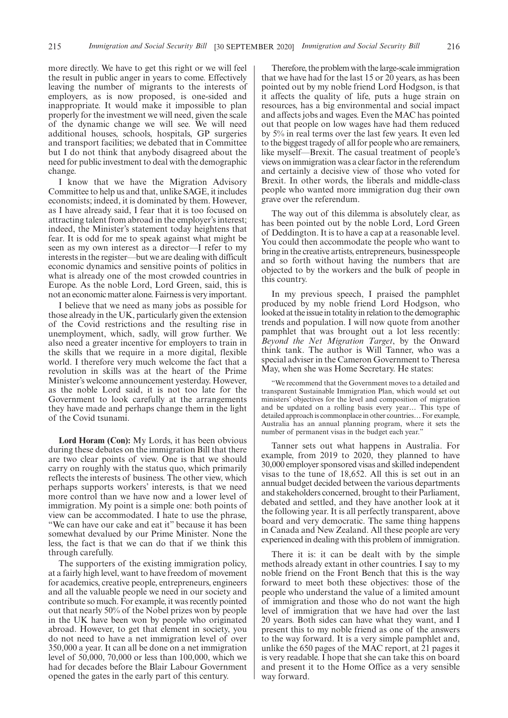more directly. We have to get this right or we will feel the result in public anger in years to come. Effectively leaving the number of migrants to the interests of employers, as is now proposed, is one-sided and inappropriate. It would make it impossible to plan properly for the investment we will need, given the scale of the dynamic change we will see. We will need additional houses, schools, hospitals, GP surgeries and transport facilities; we debated that in Committee but I do not think that anybody disagreed about the need for public investment to deal with the demographic change.

I know that we have the Migration Advisory Committee to help us and that, unlike SAGE, it includes economists; indeed, it is dominated by them. However, as I have already said, I fear that it is too focused on attracting talent from abroad in the employer's interest; indeed, the Minister's statement today heightens that fear. It is odd for me to speak against what might be seen as my own interest as a director—I refer to my interests in the register—but we are dealing with difficult economic dynamics and sensitive points of politics in what is already one of the most crowded countries in Europe. As the noble Lord, Lord Green, said, this is not an economic matter alone. Fairness is very important.

I believe that we need as many jobs as possible for those already in the UK, particularly given the extension of the Covid restrictions and the resulting rise in unemployment, which, sadly, will grow further. We also need a greater incentive for employers to train in the skills that we require in a more digital, flexible world. I therefore very much welcome the fact that a revolution in skills was at the heart of the Prime Minister's welcome announcement yesterday. However, as the noble Lord said, it is not too late for the Government to look carefully at the arrangements they have made and perhaps change them in the light of the Covid tsunami.

**Lord Horam (Con):** My Lords, it has been obvious during these debates on the immigration Bill that there are two clear points of view. One is that we should carry on roughly with the status quo, which primarily reflects the interests of business. The other view, which perhaps supports workers' interests, is that we need more control than we have now and a lower level of immigration. My point is a simple one: both points of view can be accommodated. I hate to use the phrase, "We can have our cake and eat it" because it has been somewhat devalued by our Prime Minister. None the less, the fact is that we can do that if we think this through carefully.

The supporters of the existing immigration policy, at a fairly high level, want to have freedom of movement for academics, creative people, entrepreneurs, engineers and all the valuable people we need in our society and contribute so much. For example, it was recently pointed out that nearly 50% of the Nobel prizes won by people in the UK have been won by people who originated abroad. However, to get that element in society, you do not need to have a net immigration level of over 350,000 a year. It can all be done on a net immigration level of 50,000, 70,000 or less than 100,000, which we had for decades before the Blair Labour Government opened the gates in the early part of this century.

Therefore, the problem with the large-scale immigration that we have had for the last 15 or 20 years, as has been pointed out by my noble friend Lord Hodgson, is that it affects the quality of life, puts a huge strain on resources, has a big environmental and social impact and affects jobs and wages. Even the MAC has pointed out that people on low wages have had them reduced by 5% in real terms over the last few years. It even led to the biggest tragedy of all for people who are remainers, like myself—Brexit. The casual treatment of people's views on immigration was a clear factor in the referendum and certainly a decisive view of those who voted for Brexit. In other words, the liberals and middle-class people who wanted more immigration dug their own grave over the referendum.

The way out of this dilemma is absolutely clear, as has been pointed out by the noble Lord, Lord Green of Deddington. It is to have a cap at a reasonable level. You could then accommodate the people who want to bring in the creative artists, entrepreneurs, businesspeople and so forth without having the numbers that are objected to by the workers and the bulk of people in this country.

In my previous speech, I praised the pamphlet produced by my noble friend Lord Hodgson, who looked at the issue in totality in relation to the demographic trends and population. I will now quote from another pamphlet that was brought out a lot less recently: *Beyond the Net Migration Target*, by the Onward think tank. The author is Will Tanner, who was a special adviser in the Cameron Government to Theresa May, when she was Home Secretary. He states:

We recommend that the Government moves to a detailed and transparent Sustainable Immigration Plan, which would set out ministers' objectives for the level and composition of migration and be updated on a rolling basis every year… This type of detailed approach is commonplace in other countries... For example, Australia has an annual planning program, where it sets the number of permanent visas in the budget each year."

Tanner sets out what happens in Australia. For example, from 2019 to 2020, they planned to have 30,000 employer sponsored visas and skilled independent visas to the tune of 18,652. All this is set out in an annual budget decided between the various departments and stakeholders concerned, brought to their Parliament, debated and settled, and they have another look at it the following year. It is all perfectly transparent, above board and very democratic. The same thing happens in Canada and New Zealand. All these people are very experienced in dealing with this problem of immigration.

There it is: it can be dealt with by the simple methods already extant in other countries. I say to my noble friend on the Front Bench that this is the way forward to meet both these objectives: those of the people who understand the value of a limited amount of immigration and those who do not want the high level of immigration that we have had over the last 20 years. Both sides can have what they want, and I present this to my noble friend as one of the answers to the way forward. It is a very simple pamphlet and, unlike the 650 pages of the MAC report, at 21 pages it is very readable. I hope that she can take this on board and present it to the Home Office as a very sensible way forward.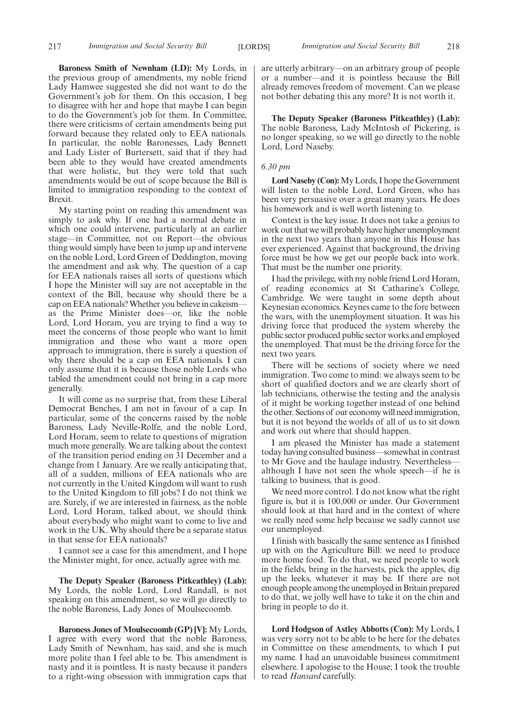**Baroness Smith of Newnham (LD):** My Lords, in the previous group of amendments, my noble friend Lady Hamwee suggested she did not want to do the Government's job for them. On this occasion, I beg to disagree with her and hope that maybe I can begin to do the Government's job for them. In Committee, there were criticisms of certain amendments being put forward because they related only to EEA nationals. In particular, the noble Baronesses, Lady Bennett and Lady Lister of Burtersett, said that if they had been able to they would have created amendments that were holistic, but they were told that such amendments would be out of scope because the Bill is limited to immigration responding to the context of Brexit.

My starting point on reading this amendment was simply to ask why. If one had a normal debate in which one could intervene, particularly at an earlier stage—in Committee, not on Report—the obvious thing would simply have been to jump up and intervene on the noble Lord, Lord Green of Deddington, moving the amendment and ask why. The question of a cap for EEA nationals raises all sorts of questions which I hope the Minister will say are not acceptable in the context of the Bill, because why should there be a cap on EEA nationals? Whether you believe in cakeism as the Prime Minister does—or, like the noble Lord, Lord Horam, you are trying to find a way to meet the concerns of those people who want to limit immigration and those who want a more open approach to immigration, there is surely a question of why there should be a cap on EEA nationals. I can only assume that it is because those noble Lords who tabled the amendment could not bring in a cap more generally.

It will come as no surprise that, from these Liberal Democrat Benches, I am not in favour of a cap. In particular, some of the concerns raised by the noble Baroness, Lady Neville-Rolfe, and the noble Lord, Lord Horam, seem to relate to questions of migration much more generally. We are talking about the context of the transition period ending on 31 December and a change from 1 January. Are we really anticipating that, all of a sudden, millions of EEA nationals who are not currently in the United Kingdom will want to rush to the United Kingdom to fill jobs? I do not think we are. Surely, if we are interested in fairness, as the noble Lord, Lord Horam, talked about, we should think about everybody who might want to come to live and work in the UK. Why should there be a separate status in that sense for EEA nationals?

I cannot see a case for this amendment, and I hope the Minister might, for once, actually agree with me.

**The Deputy Speaker (Baroness Pitkeathley) (Lab):** My Lords, the noble Lord, Lord Randall, is not speaking on this amendment, so we will go directly to the noble Baroness, Lady Jones of Moulsecoomb.

**Baroness Jones of Moulsecoomb (GP) [V]:** My Lords, I agree with every word that the noble Baroness, Lady Smith of Newnham, has said, and she is much more polite than I feel able to be. This amendment is nasty and it is pointless. It is nasty because it panders to a right-wing obsession with immigration caps that are utterly arbitrary—on an arbitrary group of people or a number—and it is pointless because the Bill already removes freedom of movement. Can we please not bother debating this any more? It is not worth it.

**The Deputy Speaker (Baroness Pitkeathley) (Lab):** The noble Baroness, Lady McIntosh of Pickering, is no longer speaking, so we will go directly to the noble Lord, Lord Naseby.

#### *6.30 pm*

**Lord Naseby (Con):**My Lords, I hope the Government will listen to the noble Lord, Lord Green, who has been very persuasive over a great many years. He does his homework and is well worth listening to.

Context is the key issue. It does not take a genius to work out that we will probably have higher unemployment in the next two years than anyone in this House has ever experienced. Against that background, the driving force must be how we get our people back into work. That must be the number one priority.

I had the privilege, with my noble friend Lord Horam, of reading economics at St Catharine's College, Cambridge. We were taught in some depth about Keynesian economics. Keynes came to the fore between the wars, with the unemployment situation. It was his driving force that produced the system whereby the public sector produced public sector works and employed the unemployed. That must be the driving force for the next two years.

There will be sections of society where we need immigration. Two come to mind: we always seem to be short of qualified doctors and we are clearly short of lab technicians, otherwise the testing and the analysis of it might be working together instead of one behind the other. Sections of our economy will need immigration, but it is not beyond the worlds of all of us to sit down and work out where that should happen.

I am pleased the Minister has made a statement today having consulted business—somewhat in contrast to Mr Gove and the haulage industry. Nevertheless although I have not seen the whole speech—if he is talking to business, that is good.

We need more control. I do not know what the right figure is, but it is 100,000 or under. Our Government should look at that hard and in the context of where we really need some help because we sadly cannot use our unemployed.

I finish with basically the same sentence as I finished up with on the Agriculture Bill: we need to produce more home food. To do that, we need people to work in the fields, bring in the harvests, pick the apples, dig up the leeks, whatever it may be. If there are not enough people among the unemployed in Britain prepared to do that, we jolly well have to take it on the chin and bring in people to do it.

**Lord Hodgson of Astley Abbotts (Con):** My Lords, I was very sorry not to be able to be here for the debates in Committee on these amendments, to which I put my name. I had an unavoidable business commitment elsewhere. I apologise to the House; I took the trouble to read *Hansard* carefully.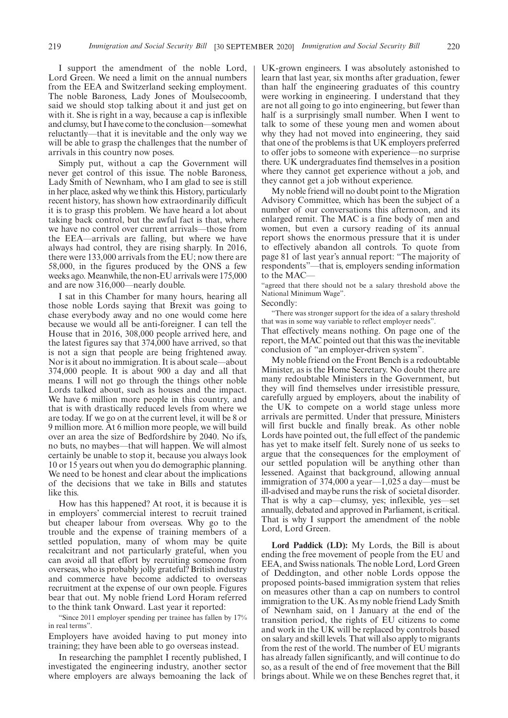I support the amendment of the noble Lord, Lord Green. We need a limit on the annual numbers from the EEA and Switzerland seeking employment. The noble Baroness, Lady Jones of Moulsecoomb, said we should stop talking about it and just get on with it. She is right in a way, because a cap is inflexible and clumsy, but I have come to the conclusion—somewhat reluctantly—that it is inevitable and the only way we will be able to grasp the challenges that the number of arrivals in this country now poses.

Simply put, without a cap the Government will never get control of this issue. The noble Baroness, Lady Smith of Newnham, who I am glad to see is still in her place, asked why we think this. History, particularly recent history, has shown how extraordinarily difficult it is to grasp this problem. We have heard a lot about taking back control, but the awful fact is that, where we have no control over current arrivals—those from the EEA—arrivals are falling, but where we have always had control, they are rising sharply. In 2016, there were 133,000 arrivals from the EU; now there are 58,000, in the figures produced by the ONS a few weeks ago. Meanwhile, the non-EU arrivals were 175,000 and are now 316,000—nearly double.

I sat in this Chamber for many hours, hearing all those noble Lords saying that Brexit was going to chase everybody away and no one would come here because we would all be anti-foreigner. I can tell the House that in 2016, 308,000 people arrived here, and the latest figures say that 374,000 have arrived, so that is not a sign that people are being frightened away. Nor is it about no immigration. It is about scale—about 374,000 people. It is about 900 a day and all that means. I will not go through the things other noble Lords talked about, such as houses and the impact. We have 6 million more people in this country, and that is with drastically reduced levels from where we are today. If we go on at the current level, it will be 8 or 9 million more. At 6 million more people, we will build over an area the size of Bedfordshire by 2040. No ifs, no buts, no maybes—that will happen. We will almost certainly be unable to stop it, because you always look 10 or 15 years out when you do demographic planning. We need to be honest and clear about the implications of the decisions that we take in Bills and statutes like this.

How has this happened? At root, it is because it is in employers' commercial interest to recruit trained but cheaper labour from overseas. Why go to the trouble and the expense of training members of a settled population, many of whom may be quite recalcitrant and not particularly grateful, when you can avoid all that effort by recruiting someone from overseas, who is probably jolly grateful? British industry and commerce have become addicted to overseas recruitment at the expense of our own people. Figures bear that out. My noble friend Lord Horam referred to the think tank Onward. Last year it reported:

"Since 2011 employer spending per trainee has fallen by 17% in real terms".

Employers have avoided having to put money into training; they have been able to go overseas instead.

In researching the pamphlet I recently published, I investigated the engineering industry, another sector where employers are always bemoaning the lack of

UK-grown engineers. I was absolutely astonished to learn that last year, six months after graduation, fewer than half the engineering graduates of this country were working in engineering. I understand that they are not all going to go into engineering, but fewer than half is a surprisingly small number. When I went to talk to some of these young men and women about why they had not moved into engineering, they said that one of the problems is that UK employers preferred to offer jobs to someone with experience—no surprise there. UK undergraduates find themselves in a position where they cannot get experience without a job, and they cannot get a job without experience.

My noble friend will no doubt point to the Migration Advisory Committee, which has been the subject of a number of our conversations this afternoon, and its enlarged remit. The MAC is a fine body of men and women, but even a cursory reading of its annual report shows the enormous pressure that it is under to effectively abandon all controls. To quote from page 81 of last year's annual report: "The majority of respondents"—that is, employers sending information to the MAC—

"agreed that there should not be a salary threshold above the National Minimum Wage".

Secondly:

"There was stronger support for the idea of a salary threshold that was in some way variable to reflect employer needs".

That effectively means nothing. On page one of the report, the MAC pointed out that this was the inevitable conclusion of "an employer-driven system".

My noble friend on the Front Bench is a redoubtable Minister, as is the Home Secretary. No doubt there are many redoubtable Ministers in the Government, but they will find themselves under irresistible pressure, carefully argued by employers, about the inability of the UK to compete on a world stage unless more arrivals are permitted. Under that pressure, Ministers will first buckle and finally break. As other noble Lords have pointed out, the full effect of the pandemic has yet to make itself felt. Surely none of us seeks to argue that the consequences for the employment of our settled population will be anything other than lessened. Against that background, allowing annual immigration of 374,000 a year—1,025 a day—must be ill-advised and maybe runs the risk of societal disorder. That is why a cap—clumsy, yes; inflexible, yes—set annually, debated and approved in Parliament, is critical. That is why I support the amendment of the noble Lord, Lord Green.

**Lord Paddick (LD):** My Lords, the Bill is about ending the free movement of people from the EU and EEA, and Swiss nationals. The noble Lord, Lord Green of Deddington, and other noble Lords oppose the proposed points-based immigration system that relies on measures other than a cap on numbers to control immigration to the UK. As my noble friend Lady Smith of Newnham said, on 1 January at the end of the transition period, the rights of EU citizens to come and work in the UK will be replaced by controls based on salary and skill levels. That will also apply to migrants from the rest of the world. The number of EU migrants has already fallen significantly, and will continue to do so, as a result of the end of free movement that the Bill brings about. While we on these Benches regret that, it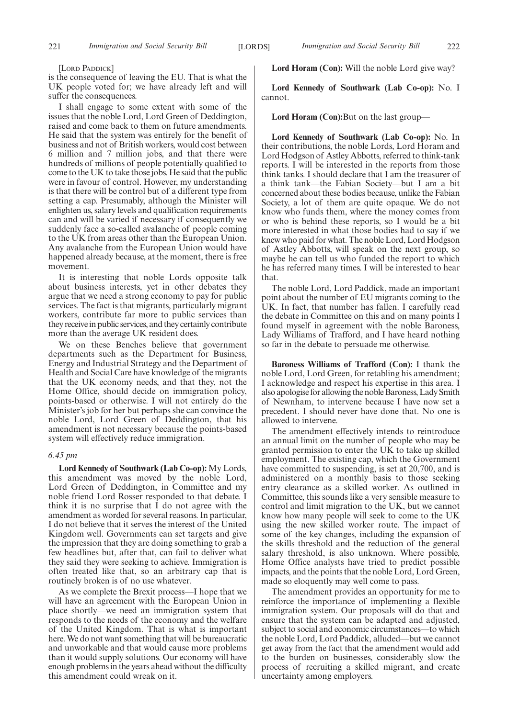[LORD PADDICK]

is the consequence of leaving the EU. That is what the UK people voted for; we have already left and will suffer the consequences.

I shall engage to some extent with some of the issues that the noble Lord, Lord Green of Deddington, raised and come back to them on future amendments. He said that the system was entirely for the benefit of business and not of British workers, would cost between 6 million and 7 million jobs, and that there were hundreds of millions of people potentially qualified to come to the UK to take those jobs. He said that the public were in favour of control. However, my understanding is that there will be control but of a different type from setting a cap. Presumably, although the Minister will enlighten us, salary levels and qualification requirements can and will be varied if necessary if consequently we suddenly face a so-called avalanche of people coming to the UK from areas other than the European Union. Any avalanche from the European Union would have happened already because, at the moment, there is free movement.

It is interesting that noble Lords opposite talk about business interests, yet in other debates they argue that we need a strong economy to pay for public services. The fact is that migrants, particularly migrant workers, contribute far more to public services than they receive in public services, and they certainly contribute more than the average UK resident does.

We on these Benches believe that government departments such as the Department for Business, Energy and Industrial Strategy and the Department of Health and Social Care have knowledge of the migrants that the UK economy needs, and that they, not the Home Office, should decide on immigration policy, points-based or otherwise. I will not entirely do the Minister's job for her but perhaps she can convince the noble Lord, Lord Green of Deddington, that his amendment is not necessary because the points-based system will effectively reduce immigration.

#### *6.45 pm*

**Lord Kennedy of Southwark (Lab Co-op):** My Lords, this amendment was moved by the noble Lord, Lord Green of Deddington, in Committee and my noble friend Lord Rosser responded to that debate. I think it is no surprise that I do not agree with the amendment as worded for several reasons. In particular, I do not believe that it serves the interest of the United Kingdom well. Governments can set targets and give the impression that they are doing something to grab a few headlines but, after that, can fail to deliver what they said they were seeking to achieve. Immigration is often treated like that, so an arbitrary cap that is routinely broken is of no use whatever.

As we complete the Brexit process—I hope that we will have an agreement with the European Union in place shortly—we need an immigration system that responds to the needs of the economy and the welfare of the United Kingdom. That is what is important here. We do not want something that will be bureaucratic and unworkable and that would cause more problems than it would supply solutions. Our economy will have enough problems in the years ahead without the difficulty this amendment could wreak on it.

**Lord Horam (Con):** Will the noble Lord give way?

**Lord Kennedy of Southwark (Lab Co-op):** No. I cannot.

#### **Lord Horam (Con):**But on the last group—

**Lord Kennedy of Southwark (Lab Co-op):** No. In their contributions, the noble Lords, Lord Horam and Lord Hodgson of Astley Abbotts, referred to think-tank reports. I will be interested in the reports from those think tanks. I should declare that I am the treasurer of a think tank—the Fabian Society—but I am a bit concerned about these bodies because, unlike the Fabian Society, a lot of them are quite opaque. We do not know who funds them, where the money comes from or who is behind these reports, so I would be a bit more interested in what those bodies had to say if we knew who paid for what. The noble Lord, Lord Hodgson of Astley Abbotts, will speak on the next group, so maybe he can tell us who funded the report to which he has referred many times. I will be interested to hear that.

The noble Lord, Lord Paddick, made an important point about the number of EU migrants coming to the UK. In fact, that number has fallen. I carefully read the debate in Committee on this and on many points I found myself in agreement with the noble Baroness, Lady Williams of Trafford, and I have heard nothing so far in the debate to persuade me otherwise.

**Baroness Williams of Trafford (Con):** I thank the noble Lord, Lord Green, for retabling his amendment; I acknowledge and respect his expertise in this area. I also apologise for allowing the noble Baroness, Lady Smith of Newnham, to intervene because I have now set a precedent. I should never have done that. No one is allowed to intervene.

The amendment effectively intends to reintroduce an annual limit on the number of people who may be granted permission to enter the UK to take up skilled employment. The existing cap, which the Government have committed to suspending, is set at 20,700, and is administered on a monthly basis to those seeking entry clearance as a skilled worker. As outlined in Committee, this sounds like a very sensible measure to control and limit migration to the UK, but we cannot know how many people will seek to come to the UK using the new skilled worker route. The impact of some of the key changes, including the expansion of the skills threshold and the reduction of the general salary threshold, is also unknown. Where possible, Home Office analysts have tried to predict possible impacts, and the points that the noble Lord, Lord Green, made so eloquently may well come to pass.

The amendment provides an opportunity for me to reinforce the importance of implementing a flexible immigration system. Our proposals will do that and ensure that the system can be adapted and adjusted, subject to social and economic circumstances—to which the noble Lord, Lord Paddick, alluded—but we cannot get away from the fact that the amendment would add to the burden on businesses, considerably slow the process of recruiting a skilled migrant, and create uncertainty among employers.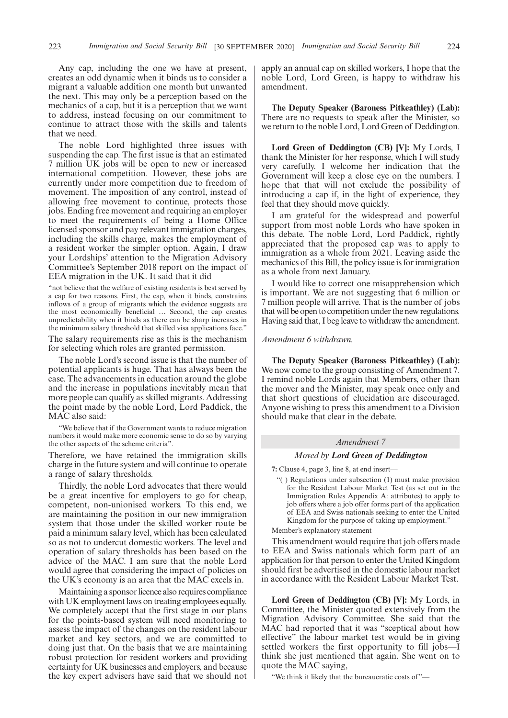Any cap, including the one we have at present, creates an odd dynamic when it binds us to consider a migrant a valuable addition one month but unwanted the next. This may only be a perception based on the mechanics of a cap, but it is a perception that we want to address, instead focusing on our commitment to continue to attract those with the skills and talents that we need.

The noble Lord highlighted three issues with suspending the cap. The first issue is that an estimated 7 million UK jobs will be open to new or increased international competition. However, these jobs are currently under more competition due to freedom of movement. The imposition of any control, instead of allowing free movement to continue, protects those jobs. Ending free movement and requiring an employer to meet the requirements of being a Home Office licensed sponsor and pay relevant immigration charges, including the skills charge, makes the employment of a resident worker the simpler option. Again, I draw your Lordships' attention to the Migration Advisory Committee's September 2018 report on the impact of EEA migration in the UK. It said that it did

"not believe that the welfare of existing residents is best served by a cap for two reasons. First, the cap, when it binds, constrains inflows of a group of migrants which the evidence suggests are the most economically beneficial … Second, the cap creates unpredictability when it binds as there can be sharp increases in the minimum salary threshold that skilled visa applications face."

The salary requirements rise as this is the mechanism for selecting which roles are granted permission.

The noble Lord's second issue is that the number of potential applicants is huge. That has always been the case. The advancements in education around the globe and the increase in populations inevitably mean that more people can qualify as skilled migrants. Addressing the point made by the noble Lord, Lord Paddick, the MAC also said:

"We believe that if the Government wants to reduce migration numbers it would make more economic sense to do so by varying the other aspects of the scheme criteria".

Therefore, we have retained the immigration skills charge in the future system and will continue to operate a range of salary thresholds.

Thirdly, the noble Lord advocates that there would be a great incentive for employers to go for cheap, competent, non-unionised workers. To this end, we are maintaining the position in our new immigration system that those under the skilled worker route be paid a minimum salary level, which has been calculated so as not to undercut domestic workers. The level and operation of salary thresholds has been based on the advice of the MAC. I am sure that the noble Lord would agree that considering the impact of policies on the UK's economy is an area that the MAC excels in.

Maintaining a sponsor licence also requires compliance with UK employment laws on treating employees equally. We completely accept that the first stage in our plans for the points-based system will need monitoring to assess the impact of the changes on the resident labour market and key sectors, and we are committed to doing just that. On the basis that we are maintaining robust protection for resident workers and providing certainty for UK businesses and employers, and because the key expert advisers have said that we should not apply an annual cap on skilled workers, I hope that the noble Lord, Lord Green, is happy to withdraw his amendment.

**The Deputy Speaker (Baroness Pitkeathley) (Lab):** There are no requests to speak after the Minister, so we return to the noble Lord, Lord Green of Deddington.

**Lord Green of Deddington (CB) [V]:** My Lords, I thank the Minister for her response, which I will study very carefully. I welcome her indication that the Government will keep a close eye on the numbers. I hope that that will not exclude the possibility of introducing a cap if, in the light of experience, they feel that they should move quickly.

I am grateful for the widespread and powerful support from most noble Lords who have spoken in this debate. The noble Lord, Lord Paddick, rightly appreciated that the proposed cap was to apply to immigration as a whole from 2021. Leaving aside the mechanics of this Bill, the policy issue is for immigration as a whole from next January.

I would like to correct one misapprehension which is important. We are not suggesting that 6 million or 7 million people will arrive. That is the number of jobs that will be open to competition under the new regulations. Having said that, I beg leave to withdraw the amendment.

#### *Amendment 6 withdrawn.*

**The Deputy Speaker (Baroness Pitkeathley) (Lab):** We now come to the group consisting of Amendment 7. I remind noble Lords again that Members, other than the mover and the Minister, may speak once only and that short questions of elucidation are discouraged. Anyone wishing to press this amendment to a Division should make that clear in the debate.

#### *Amendment 7*

#### *Moved by Lord Green of Deddington*

**7:** Clause 4, page 3, line 8, at end insert—

"( ) Regulations under subsection (1) must make provision for the Resident Labour Market Test (as set out in the Immigration Rules Appendix A: attributes) to apply to job offers where a job offer forms part of the application of EEA and Swiss nationals seeking to enter the United Kingdom for the purpose of taking up employment."

Member's explanatory statement

This amendment would require that job offers made to EEA and Swiss nationals which form part of an application for that person to enter the United Kingdom should first be advertised in the domestic labour market in accordance with the Resident Labour Market Test.

**Lord Green of Deddington (CB) [V]:** My Lords, in Committee, the Minister quoted extensively from the Migration Advisory Committee. She said that the MAC had reported that it was "sceptical about how effective" the labour market test would be in giving settled workers the first opportunity to fill jobs—I think she just mentioned that again. She went on to quote the MAC saying,

"We think it likely that the bureaucratic costs of"—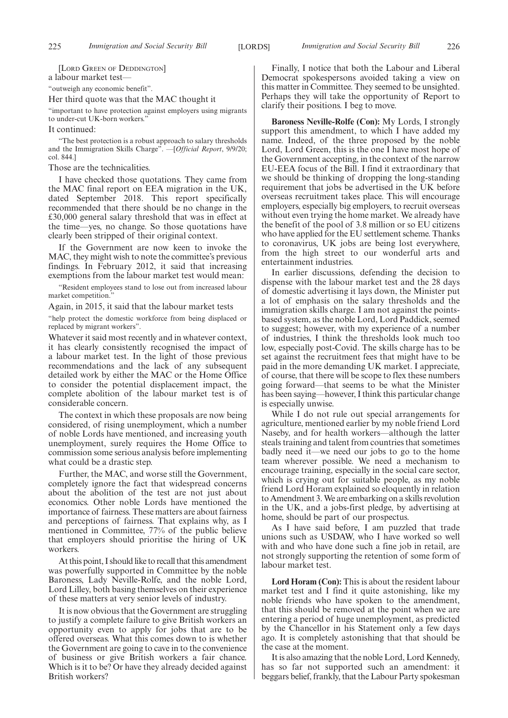[LORD GREEN OF DEDDINGTON] a labour market test— "outweigh any economic benefit".

Her third quote was that the MAC thought it

"important to have protection against employers using migrants to under-cut UK-born workers."

It continued:

"The best protection is a robust approach to salary thresholds and the Immigration Skills Charge". —[*Official Report*, 9/9/20; col. 844.]

#### Those are the technicalities.

I have checked those quotations. They came from the MAC final report on EEA migration in the UK, dated September 2018. This report specifically recommended that there should be no change in the £30,000 general salary threshold that was in effect at the time—yes, no change. So those quotations have clearly been stripped of their original context.

If the Government are now keen to invoke the MAC, they might wish to note the committee's previous findings. In February 2012, it said that increasing exemptions from the labour market test would mean:

"Resident employees stand to lose out from increased labour market competition."

Again, in 2015, it said that the labour market tests

"help protect the domestic workforce from being displaced or replaced by migrant workers".

Whatever it said most recently and in whatever context, it has clearly consistently recognised the impact of a labour market test. In the light of those previous recommendations and the lack of any subsequent detailed work by either the MAC or the Home Office to consider the potential displacement impact, the complete abolition of the labour market test is of considerable concern.

The context in which these proposals are now being considered, of rising unemployment, which a number of noble Lords have mentioned, and increasing youth unemployment, surely requires the Home Office to commission some serious analysis before implementing what could be a drastic step.

Further, the MAC, and worse still the Government, completely ignore the fact that widespread concerns about the abolition of the test are not just about economics. Other noble Lords have mentioned the importance of fairness. These matters are about fairness and perceptions of fairness. That explains why, as I mentioned in Committee, 77% of the public believe that employers should prioritise the hiring of UK workers.

At this point, I should like to recall that this amendment was powerfully supported in Committee by the noble Baroness, Lady Neville-Rolfe, and the noble Lord, Lord Lilley, both basing themselves on their experience of these matters at very senior levels of industry.

It is now obvious that the Government are struggling to justify a complete failure to give British workers an opportunity even to apply for jobs that are to be offered overseas. What this comes down to is whether the Government are going to cave in to the convenience of business or give British workers a fair chance. Which is it to be? Or have they already decided against British workers?

Finally, I notice that both the Labour and Liberal Democrat spokespersons avoided taking a view on this matter in Committee. They seemed to be unsighted. Perhaps they will take the opportunity of Report to clarify their positions. I beg to move.

**Baroness Neville-Rolfe (Con):** My Lords, I strongly support this amendment, to which I have added my name. Indeed, of the three proposed by the noble Lord, Lord Green, this is the one I have most hope of the Government accepting, in the context of the narrow EU-EEA focus of the Bill. I find it extraordinary that we should be thinking of dropping the long-standing requirement that jobs be advertised in the UK before overseas recruitment takes place. This will encourage employers, especially big employers, to recruit overseas without even trying the home market. We already have the benefit of the pool of 3.8 million or so EU citizens who have applied for the EU settlement scheme. Thanks to coronavirus, UK jobs are being lost everywhere, from the high street to our wonderful arts and entertainment industries.

In earlier discussions, defending the decision to dispense with the labour market test and the 28 days of domestic advertising it lays down, the Minister put a lot of emphasis on the salary thresholds and the immigration skills charge. I am not against the pointsbased system, as the noble Lord, Lord Paddick, seemed to suggest; however, with my experience of a number of industries, I think the thresholds look much too low, especially post-Covid. The skills charge has to be set against the recruitment fees that might have to be paid in the more demanding UK market. I appreciate, of course, that there will be scope to flex these numbers going forward—that seems to be what the Minister has been saying—however, I think this particular change is especially unwise.

While I do not rule out special arrangements for agriculture, mentioned earlier by my noble friend Lord Naseby, and for health workers—although the latter steals training and talent from countries that sometimes badly need it—we need our jobs to go to the home team wherever possible. We need a mechanism to encourage training, especially in the social care sector, which is crying out for suitable people, as my noble friend Lord Horam explained so eloquently in relation to Amendment 3. We are embarking on a skills revolution in the UK, and a jobs-first pledge, by advertising at home, should be part of our prospectus.

As I have said before, I am puzzled that trade unions such as USDAW, who I have worked so well with and who have done such a fine job in retail, are not strongly supporting the retention of some form of labour market test.

**Lord Horam (Con):** This is about the resident labour market test and I find it quite astonishing, like my noble friends who have spoken to the amendment, that this should be removed at the point when we are entering a period of huge unemployment, as predicted by the Chancellor in his Statement only a few days ago. It is completely astonishing that that should be the case at the moment.

It is also amazing that the noble Lord, Lord Kennedy, has so far not supported such an amendment: it beggars belief, frankly, that the Labour Party spokesman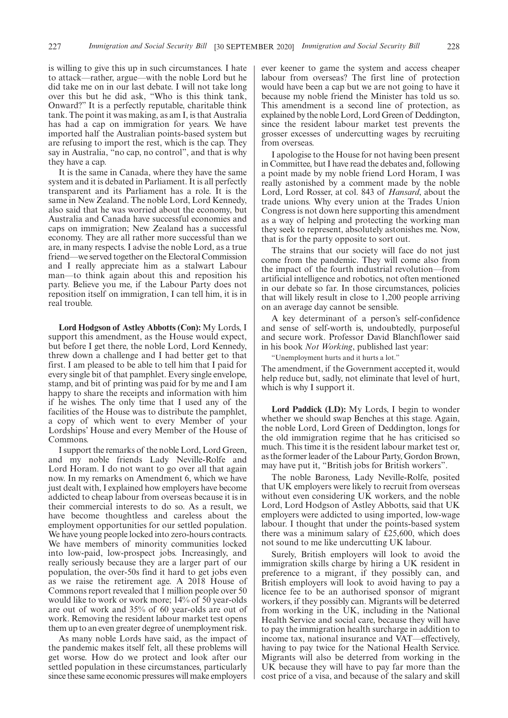is willing to give this up in such circumstances. I hate to attack—rather, argue—with the noble Lord but he did take me on in our last debate. I will not take long over this but he did ask, "Who is this think tank, Onward?" It is a perfectly reputable, charitable think tank. The point it was making, as am I, is that Australia has had a cap on immigration for years. We have imported half the Australian points-based system but are refusing to import the rest, which is the cap. They say in Australia, "no cap, no control", and that is why they have a cap.

It is the same in Canada, where they have the same system and it is debated in Parliament. It is all perfectly transparent and its Parliament has a role. It is the same in New Zealand. The noble Lord, Lord Kennedy, also said that he was worried about the economy, but Australia and Canada have successful economies and caps on immigration; New Zealand has a successful economy. They are all rather more successful than we are, in many respects. I advise the noble Lord, as a true friend—we served together on the Electoral Commission and I really appreciate him as a stalwart Labour man—to think again about this and reposition his party. Believe you me, if the Labour Party does not reposition itself on immigration, I can tell him, it is in real trouble.

**Lord Hodgson of Astley Abbotts (Con):** My Lords, I support this amendment, as the House would expect, but before I get there, the noble Lord, Lord Kennedy, threw down a challenge and I had better get to that first. I am pleased to be able to tell him that I paid for every single bit of that pamphlet. Every single envelope, stamp, and bit of printing was paid for by me and I am happy to share the receipts and information with him if he wishes. The only time that I used any of the facilities of the House was to distribute the pamphlet, a copy of which went to every Member of your Lordships' House and every Member of the House of Commons.

I support the remarks of the noble Lord, Lord Green, and my noble friends Lady Neville-Rolfe and Lord Horam. I do not want to go over all that again now. In my remarks on Amendment 6, which we have just dealt with, I explained how employers have become addicted to cheap labour from overseas because it is in their commercial interests to do so. As a result, we have become thoughtless and careless about the employment opportunities for our settled population. We have young people locked into zero-hours contracts. We have members of minority communities locked into low-paid, low-prospect jobs. Increasingly, and really seriously because they are a larger part of our population, the over-50s find it hard to get jobs even as we raise the retirement age. A 2018 House of Commons report revealed that  $\overline{1}$  million people over 50 would like to work or work more; 14% of 50 year-olds are out of work and 35% of 60 year-olds are out of work. Removing the resident labour market test opens them up to an even greater degree of unemployment risk.

As many noble Lords have said, as the impact of the pandemic makes itself felt, all these problems will get worse. How do we protect and look after our settled population in these circumstances, particularly since these same economic pressures will make employers ever keener to game the system and access cheaper labour from overseas? The first line of protection would have been a cap but we are not going to have it because my noble friend the Minister has told us so. This amendment is a second line of protection, as explained by the noble Lord, Lord Green of Deddington, since the resident labour market test prevents the grosser excesses of undercutting wages by recruiting from overseas.

I apologise to the House for not having been present in Committee, but I have read the debates and, following a point made by my noble friend Lord Horam, I was really astonished by a comment made by the noble Lord, Lord Rosser, at col. 843 of *Hansard*, about the trade unions. Why every union at the Trades Union Congress is not down here supporting this amendment as a way of helping and protecting the working man they seek to represent, absolutely astonishes me. Now, that is for the party opposite to sort out.

The strains that our society will face do not just come from the pandemic. They will come also from the impact of the fourth industrial revolution—from artificial intelligence and robotics, not often mentioned in our debate so far. In those circumstances, policies that will likely result in close to 1,200 people arriving on an average day cannot be sensible.

A key determinant of a person's self-confidence and sense of self-worth is, undoubtedly, purposeful and secure work. Professor David Blanchflower said in his book *Not Working*, published last year:

"Unemployment hurts and it hurts a lot."

The amendment, if the Government accepted it, would help reduce but, sadly, not eliminate that level of hurt, which is why I support it.

**Lord Paddick (LD):** My Lords, I begin to wonder whether we should swap Benches at this stage. Again, the noble Lord, Lord Green of Deddington, longs for the old immigration regime that he has criticised so much. This time it is the resident labour market test or, as the former leader of the Labour Party, Gordon Brown, may have put it, "British jobs for British workers".

The noble Baroness, Lady Neville-Rolfe, posited that UK employers were likely to recruit from overseas without even considering UK workers, and the noble Lord, Lord Hodgson of Astley Abbotts, said that UK employers were addicted to using imported, low-wage labour. I thought that under the points-based system there was a minimum salary of £25,600, which does not sound to me like undercutting UK labour.

Surely, British employers will look to avoid the immigration skills charge by hiring a UK resident in preference to a migrant, if they possibly can, and British employers will look to avoid having to pay a licence fee to be an authorised sponsor of migrant workers, if they possibly can. Migrants will be deterred from working in the UK, including in the National Health Service and social care, because they will have to pay the immigration health surcharge in addition to income tax, national insurance and VAT—effectively, having to pay twice for the National Health Service. Migrants will also be deterred from working in the UK because they will have to pay far more than the cost price of a visa, and because of the salary and skill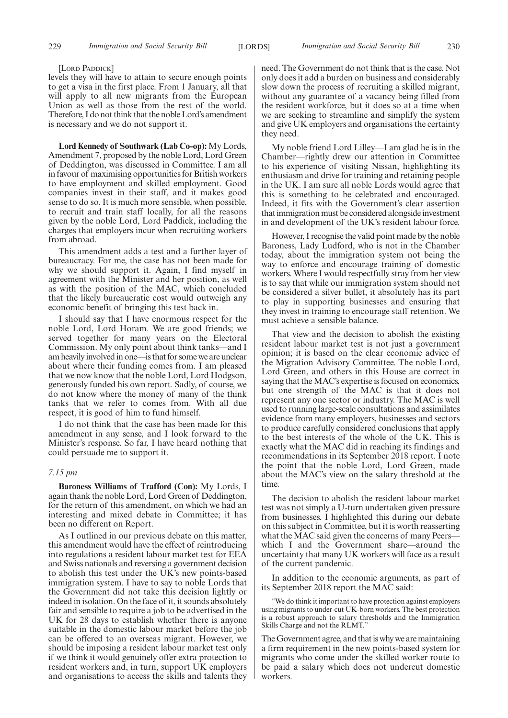#### [LORD PADDICK]

levels they will have to attain to secure enough points to get a visa in the first place. From 1 January, all that will apply to all new migrants from the European Union as well as those from the rest of the world. Therefore, I do not think that the noble Lord's amendment is necessary and we do not support it.

**Lord Kennedy of Southwark (Lab Co-op):** My Lords, Amendment 7, proposed by the noble Lord, Lord Green of Deddington, was discussed in Committee. I am all in favour of maximising opportunities for British workers to have employment and skilled employment. Good companies invest in their staff, and it makes good sense to do so. It is much more sensible, when possible, to recruit and train staff locally, for all the reasons given by the noble Lord, Lord Paddick, including the charges that employers incur when recruiting workers from abroad.

This amendment adds a test and a further layer of bureaucracy. For me, the case has not been made for why we should support it. Again, I find myself in agreement with the Minister and her position, as well as with the position of the MAC, which concluded that the likely bureaucratic cost would outweigh any economic benefit of bringing this test back in.

I should say that I have enormous respect for the noble Lord, Lord Horam. We are good friends; we served together for many years on the Electoral Commission. My only point about think tanks—and I am heavily involved in one—is that for some we are unclear about where their funding comes from. I am pleased that we now know that the noble Lord, Lord Hodgson, generously funded his own report. Sadly, of course, we do not know where the money of many of the think tanks that we refer to comes from. With all due respect, it is good of him to fund himself.

I do not think that the case has been made for this amendment in any sense, and I look forward to the Minister's response. So far, I have heard nothing that could persuade me to support it.

#### *7.15 pm*

**Baroness Williams of Trafford (Con):** My Lords, I again thank the noble Lord, Lord Green of Deddington, for the return of this amendment, on which we had an interesting and mixed debate in Committee; it has been no different on Report.

As I outlined in our previous debate on this matter, this amendment would have the effect of reintroducing into regulations a resident labour market test for EEA and Swiss nationals and reversing a government decision to abolish this test under the UK's new points-based immigration system. I have to say to noble Lords that the Government did not take this decision lightly or indeed in isolation. On the face of it, it sounds absolutely fair and sensible to require a job to be advertised in the UK for 28 days to establish whether there is anyone suitable in the domestic labour market before the job can be offered to an overseas migrant. However, we should be imposing a resident labour market test only if we think it would genuinely offer extra protection to resident workers and, in turn, support UK employers and organisations to access the skills and talents they need. The Government do not think that is the case. Not only does it add a burden on business and considerably slow down the process of recruiting a skilled migrant, without any guarantee of a vacancy being filled from the resident workforce, but it does so at a time when we are seeking to streamline and simplify the system and give UK employers and organisations the certainty they need.

My noble friend Lord Lilley—I am glad he is in the Chamber—rightly drew our attention in Committee to his experience of visiting Nissan, highlighting its enthusiasm and drive for training and retaining people in the UK. I am sure all noble Lords would agree that this is something to be celebrated and encouraged. Indeed, it fits with the Government's clear assertion that immigration must be considered alongside investment in and development of the UK's resident labour force.

However, I recognise the valid point made by the noble Baroness, Lady Ludford, who is not in the Chamber today, about the immigration system not being the way to enforce and encourage training of domestic workers. Where I would respectfully stray from her view is to say that while our immigration system should not be considered a silver bullet, it absolutely has its part to play in supporting businesses and ensuring that they invest in training to encourage staff retention. We must achieve a sensible balance.

That view and the decision to abolish the existing resident labour market test is not just a government opinion; it is based on the clear economic advice of the Migration Advisory Committee. The noble Lord, Lord Green, and others in this House are correct in saying that the MAC's expertise is focused on economics, but one strength of the MAC is that it does not represent any one sector or industry. The MAC is well used to running large-scale consultations and assimilates evidence from many employers, businesses and sectors to produce carefully considered conclusions that apply to the best interests of the whole of the UK. This is exactly what the MAC did in reaching its findings and recommendations in its September 2018 report. I note the point that the noble Lord, Lord Green, made about the MAC's view on the salary threshold at the time.

The decision to abolish the resident labour market test was not simply a U-turn undertaken given pressure from businesses. I highlighted this during our debate on this subject in Committee, but it is worth reasserting what the MAC said given the concerns of many Peers– which I and the Government share—around the uncertainty that many UK workers will face as a result of the current pandemic.

In addition to the economic arguments, as part of its September 2018 report the MAC said:

"We do think it important to have protection against employers using migrants to under-cut UK-born workers. The best protection is a robust approach to salary thresholds and the Immigration Skills Charge and not the RLMT."

The Government agree, and that is why we are maintaining a firm requirement in the new points-based system for migrants who come under the skilled worker route to be paid a salary which does not undercut domestic workers.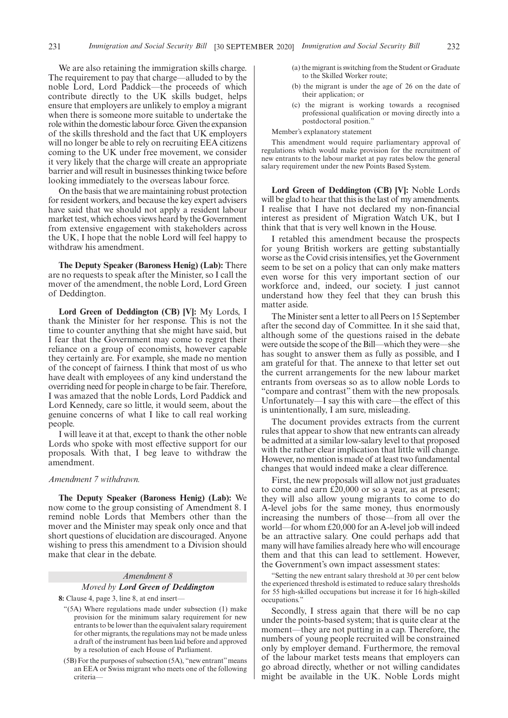We are also retaining the immigration skills charge. The requirement to pay that charge—alluded to by the noble Lord, Lord Paddick—the proceeds of which contribute directly to the UK skills budget, helps ensure that employers are unlikely to employ a migrant when there is someone more suitable to undertake the role within the domestic labour force. Given the expansion of the skills threshold and the fact that UK employers will no longer be able to rely on recruiting EEA citizens coming to the UK under free movement, we consider it very likely that the charge will create an appropriate barrier and will result in businesses thinking twice before looking immediately to the overseas labour force.

On the basis that we are maintaining robust protection for resident workers, and because the key expert advisers have said that we should not apply a resident labour market test, which echoes views heard by the Government from extensive engagement with stakeholders across the UK, I hope that the noble Lord will feel happy to withdraw his amendment.

**The Deputy Speaker (Baroness Henig) (Lab):** There are no requests to speak after the Minister, so I call the mover of the amendment, the noble Lord, Lord Green of Deddington.

**Lord Green of Deddington (CB) [V]:** My Lords, I thank the Minister for her response. This is not the time to counter anything that she might have said, but I fear that the Government may come to regret their reliance on a group of economists, however capable they certainly are. For example, she made no mention of the concept of fairness. I think that most of us who have dealt with employees of any kind understand the overriding need for people in charge to be fair. Therefore, I was amazed that the noble Lords, Lord Paddick and Lord Kennedy, care so little, it would seem, about the genuine concerns of what I like to call real working people.

I will leave it at that, except to thank the other noble Lords who spoke with most effective support for our proposals. With that, I beg leave to withdraw the amendment.

#### *Amendment 7 withdrawn.*

**The Deputy Speaker (Baroness Henig) (Lab):** We now come to the group consisting of Amendment 8. I remind noble Lords that Members other than the mover and the Minister may speak only once and that short questions of elucidation are discouraged. Anyone wishing to press this amendment to a Division should make that clear in the debate.

#### *Amendment 8*

#### *Moved by Lord Green of Deddington*

**8:** Clause 4, page 3, line 8, at end insert—

- "(5A) Where regulations made under subsection (1) make provision for the minimum salary requirement for new entrants to be lower than the equivalent salary requirement for other migrants, the regulations may not be made unless a draft of the instrument has been laid before and approved by a resolution of each House of Parliament.
- (5B) For the purposes of subsection (5A), "new entrant"means an EEA or Swiss migrant who meets one of the following criteria—
- (a) the migrant is switching from the Student or Graduate to the Skilled Worker route;
- (b) the migrant is under the age of 26 on the date of their application; or
- (c) the migrant is working towards a recognised professional qualification or moving directly into a postdoctoral position."

Member's explanatory statement

This amendment would require parliamentary approval of regulations which would make provision for the recruitment of new entrants to the labour market at pay rates below the general salary requirement under the new Points Based System.

**Lord Green of Deddington (CB) [V]:** Noble Lords will be glad to hear that this is the last of my amendments. I realise that I have not declared my non-financial interest as president of Migration Watch UK, but I think that that is very well known in the House.

I retabled this amendment because the prospects for young British workers are getting substantially worse as the Covid crisis intensifies, yet the Government seem to be set on a policy that can only make matters even worse for this very important section of our workforce and, indeed, our society. I just cannot understand how they feel that they can brush this matter aside.

The Minister sent a letter to all Peers on 15 September after the second day of Committee. In it she said that, although some of the questions raised in the debate were outside the scope of the Bill—which they were—she has sought to answer them as fully as possible, and I am grateful for that. The annexe to that letter set out the current arrangements for the new labour market entrants from overseas so as to allow noble Lords to "compare and contrast" them with the new proposals. Unfortunately—I say this with care—the effect of this is unintentionally, I am sure, misleading.

The document provides extracts from the current rules that appear to show that new entrants can already be admitted at a similar low-salary level to that proposed with the rather clear implication that little will change. However, no mention is made of at least two fundamental changes that would indeed make a clear difference.

First, the new proposals will allow not just graduates to come and earn £20,000 or so a year, as at present; they will also allow young migrants to come to do A-level jobs for the same money, thus enormously increasing the numbers of those—from all over the world—for whom £20,000 for an A-level job will indeed be an attractive salary. One could perhaps add that many will have families already here who will encourage them and that this can lead to settlement. However, the Government's own impact assessment states:

"Setting the new entrant salary threshold at 30 per cent below the experienced threshold is estimated to reduce salary thresholds for 55 high-skilled occupations but increase it for 16 high-skilled occupations."

Secondly, I stress again that there will be no cap under the points-based system; that is quite clear at the moment—they are not putting in a cap. Therefore, the numbers of young people recruited will be constrained only by employer demand. Furthermore, the removal of the labour market tests means that employers can go abroad directly, whether or not willing candidates might be available in the UK. Noble Lords might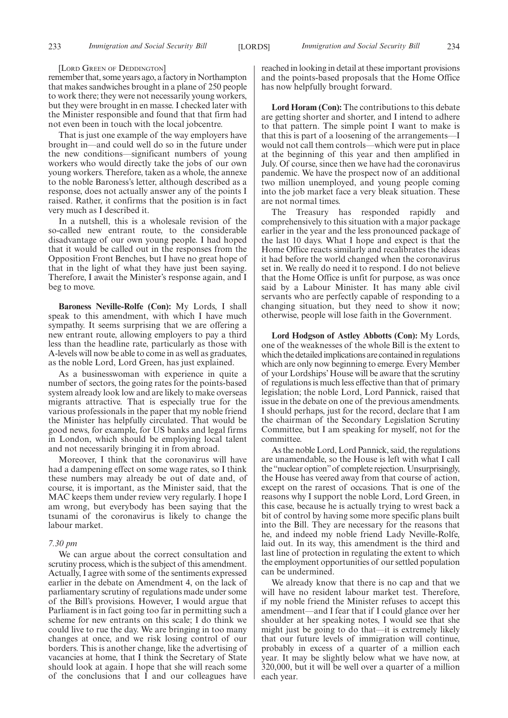#### [LORD GREEN OF DEDDINGTON]

remember that, some years ago, a factory in Northampton that makes sandwiches brought in a plane of 250 people to work there; they were not necessarily young workers, but they were brought in en masse. I checked later with the Minister responsible and found that that firm had not even been in touch with the local jobcentre.

That is just one example of the way employers have brought in—and could well do so in the future under the new conditions—significant numbers of young workers who would directly take the jobs of our own young workers. Therefore, taken as a whole, the annexe to the noble Baroness's letter, although described as a response, does not actually answer any of the points I raised. Rather, it confirms that the position is in fact very much as I described it.

In a nutshell, this is a wholesale revision of the so-called new entrant route, to the considerable disadvantage of our own young people. I had hoped that it would be called out in the responses from the Opposition Front Benches, but I have no great hope of that in the light of what they have just been saying. Therefore, I await the Minister's response again, and I beg to move.

**Baroness Neville-Rolfe (Con):** My Lords, I shall speak to this amendment, with which I have much sympathy. It seems surprising that we are offering a new entrant route, allowing employers to pay a third less than the headline rate, particularly as those with A-levels will now be able to come in as well as graduates, as the noble Lord, Lord Green, has just explained.

As a businesswoman with experience in quite a number of sectors, the going rates for the points-based system already look low and are likely to make overseas migrants attractive. That is especially true for the various professionals in the paper that my noble friend the Minister has helpfully circulated. That would be good news, for example, for US banks and legal firms in London, which should be employing local talent and not necessarily bringing it in from abroad.

Moreover, I think that the coronavirus will have had a dampening effect on some wage rates, so I think these numbers may already be out of date and, of course, it is important, as the Minister said, that the MAC keeps them under review very regularly. I hope I am wrong, but everybody has been saying that the tsunami of the coronavirus is likely to change the labour market.

#### *7.30 pm*

We can argue about the correct consultation and scrutiny process, which is the subject of this amendment. Actually, I agree with some of the sentiments expressed earlier in the debate on Amendment 4, on the lack of parliamentary scrutiny of regulations made under some of the Bill's provisions. However, I would argue that Parliament is in fact going too far in permitting such a scheme for new entrants on this scale; I do think we could live to rue the day. We are bringing in too many changes at once, and we risk losing control of our borders. This is another change, like the advertising of vacancies at home, that I think the Secretary of State should look at again. I hope that she will reach some of the conclusions that I and our colleagues have reached in looking in detail at these important provisions and the points-based proposals that the Home Office has now helpfully brought forward.

**Lord Horam (Con):** The contributions to this debate are getting shorter and shorter, and I intend to adhere to that pattern. The simple point I want to make is that this is part of a loosening of the arrangements—I would not call them controls—which were put in place at the beginning of this year and then amplified in July. Of course, since then we have had the coronavirus pandemic. We have the prospect now of an additional two million unemployed, and young people coming into the job market face a very bleak situation. These are not normal times.

The Treasury has responded rapidly and comprehensively to this situation with a major package earlier in the year and the less pronounced package of the last 10 days. What I hope and expect is that the Home Office reacts similarly and recalibrates the ideas it had before the world changed when the coronavirus set in. We really do need it to respond. I do not believe that the Home Office is unfit for purpose, as was once said by a Labour Minister. It has many able civil servants who are perfectly capable of responding to a changing situation, but they need to show it now; otherwise, people will lose faith in the Government.

**Lord Hodgson of Astley Abbotts (Con):** My Lords, one of the weaknesses of the whole Bill is the extent to which the detailed implications are contained in regulations which are only now beginning to emerge. Every Member of your Lordships' House will be aware that the scrutiny of regulations is much less effective than that of primary legislation; the noble Lord, Lord Pannick, raised that issue in the debate on one of the previous amendments. I should perhaps, just for the record, declare that I am the chairman of the Secondary Legislation Scrutiny Committee, but I am speaking for myself, not for the committee.

As the noble Lord, Lord Pannick, said, the regulations are unamendable, so the House is left with what I call the "nuclear option" of complete rejection. Unsurprisingly, the House has veered away from that course of action, except on the rarest of occasions. That is one of the reasons why I support the noble Lord, Lord Green, in this case, because he is actually trying to wrest back a bit of control by having some more specific plans built into the Bill. They are necessary for the reasons that he, and indeed my noble friend Lady Neville-Rolfe, laid out. In its way, this amendment is the third and last line of protection in regulating the extent to which the employment opportunities of our settled population can be undermined.

We already know that there is no cap and that we will have no resident labour market test. Therefore, if my noble friend the Minister refuses to accept this amendment—and I fear that if I could glance over her shoulder at her speaking notes, I would see that she might just be going to do that—it is extremely likely that our future levels of immigration will continue, probably in excess of a quarter of a million each year. It may be slightly below what we have now, at 320,000, but it will be well over a quarter of a million each year.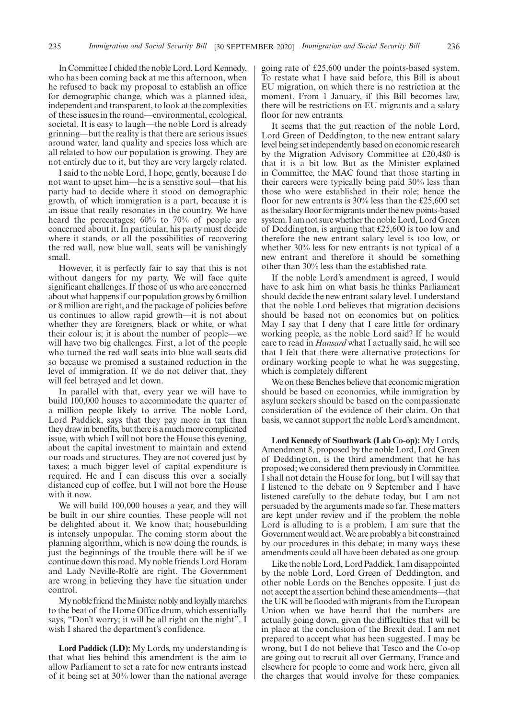In Committee I chided the noble Lord, Lord Kennedy, who has been coming back at me this afternoon, when he refused to back my proposal to establish an office for demographic change, which was a planned idea, independent and transparent, to look at the complexities of these issues in the round—environmental, ecological, societal. It is easy to laugh—the noble Lord is already grinning—but the reality is that there are serious issues around water, land quality and species loss which are all related to how our population is growing. They are not entirely due to it, but they are very largely related.

I said to the noble Lord, I hope, gently, because I do not want to upset him—he is a sensitive soul—that his party had to decide where it stood on demographic growth, of which immigration is a part, because it is an issue that really resonates in the country. We have heard the percentages; 60% to 70% of people are concerned about it. In particular, his party must decide where it stands, or all the possibilities of recovering the red wall, now blue wall, seats will be vanishingly small.

However, it is perfectly fair to say that this is not without dangers for my party. We will face quite significant challenges. If those of us who are concerned about what happens if our population grows by 6 million or 8 million are right, and the package of policies before us continues to allow rapid growth—it is not about whether they are foreigners, black or white, or what their colour is; it is about the number of people—we will have two big challenges. First, a lot of the people who turned the red wall seats into blue wall seats did so because we promised a sustained reduction in the level of immigration. If we do not deliver that, they will feel betrayed and let down.

In parallel with that, every year we will have to build 100,000 houses to accommodate the quarter of a million people likely to arrive. The noble Lord, Lord Paddick, says that they pay more in tax than they draw in benefits, but there is a much more complicated issue, with which I will not bore the House this evening, about the capital investment to maintain and extend our roads and structures. They are not covered just by taxes; a much bigger level of capital expenditure is required. He and I can discuss this over a socially distanced cup of coffee, but I will not bore the House with it now.

We will build 100,000 houses a year, and they will be built in our shire counties. These people will not be delighted about it. We know that; housebuilding is intensely unpopular. The coming storm about the planning algorithm, which is now doing the rounds, is just the beginnings of the trouble there will be if we continue down this road. My noble friends Lord Horam and Lady Neville-Rolfe are right. The Government are wrong in believing they have the situation under control.

My noble friend the Minister nobly and loyally marches to the beat of the Home Office drum, which essentially says, "Don't worry; it will be all right on the night". I wish I shared the department's confidence.

**Lord Paddick (LD):** My Lords, my understanding is that what lies behind this amendment is the aim to allow Parliament to set a rate for new entrants instead of it being set at 30% lower than the national average going rate of £25,600 under the points-based system. To restate what I have said before, this Bill is about EU migration, on which there is no restriction at the moment. From 1 January, if this Bill becomes law, there will be restrictions on EU migrants and a salary floor for new entrants.

It seems that the gut reaction of the noble Lord, Lord Green of Deddington, to the new entrant salary level being set independently based on economic research by the Migration Advisory Committee at £20,480 is that it is a bit low. But as the Minister explained in Committee, the MAC found that those starting in their careers were typically being paid 30% less than those who were established in their role; hence the floor for new entrants is 30% less than the £25,600 set as the salary floor for migrants under the new points-based system. I am not sure whether the noble Lord, Lord Green of Deddington, is arguing that £25,600 is too low and therefore the new entrant salary level is too low, or whether 30% less for new entrants is not typical of a new entrant and therefore it should be something other than 30% less than the established rate.

If the noble Lord's amendment is agreed, I would have to ask him on what basis he thinks Parliament should decide the new entrant salary level. I understand that the noble Lord believes that migration decisions should be based not on economics but on politics. May I say that I deny that I care little for ordinary working people, as the noble Lord said? If he would care to read in *Hansard* what I actually said, he will see that I felt that there were alternative protections for ordinary working people to what he was suggesting, which is completely different

We on these Benches believe that economic migration should be based on economics, while immigration by asylum seekers should be based on the compassionate consideration of the evidence of their claim. On that basis, we cannot support the noble Lord's amendment.

**Lord Kennedy of Southwark (Lab Co-op):** My Lords, Amendment 8, proposed by the noble Lord, Lord Green of Deddington, is the third amendment that he has proposed; we considered them previously in Committee. I shall not detain the House for long, but I will say that I listened to the debate on 9 September and I have listened carefully to the debate today, but I am not persuaded by the arguments made so far. These matters are kept under review and if the problem the noble Lord is alluding to is a problem, I am sure that the Government would act. We are probably a bit constrained by our procedures in this debate; in many ways these amendments could all have been debated as one group.

Like the noble Lord, Lord Paddick, I am disappointed by the noble Lord, Lord Green of Deddington, and other noble Lords on the Benches opposite. I just do not accept the assertion behind these amendments—that the UK will be flooded with migrants from the European Union when we have heard that the numbers are actually going down, given the difficulties that will be in place at the conclusion of the Brexit deal. I am not prepared to accept what has been suggested. I may be wrong, but I do not believe that Tesco and the Co-op are going out to recruit all over Germany, France and elsewhere for people to come and work here, given all the charges that would involve for these companies.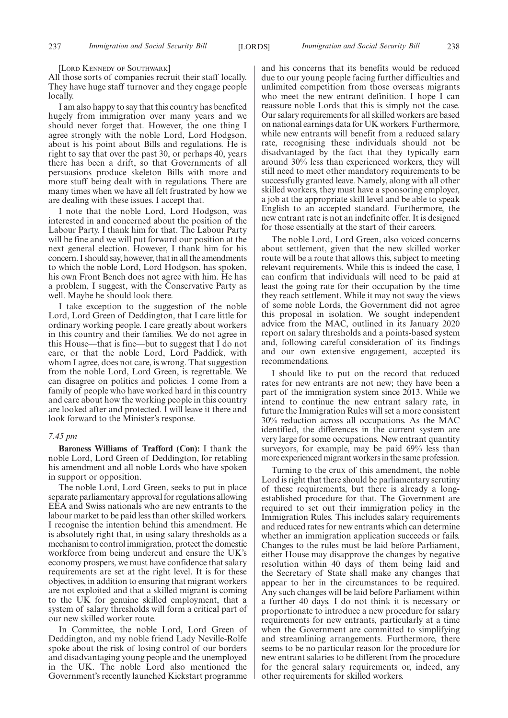[LORD KENNEDY OF SOUTHWARK]

All those sorts of companies recruit their staff locally. They have huge staff turnover and they engage people locally.

I am also happy to say that this country has benefited hugely from immigration over many years and we should never forget that. However, the one thing I agree strongly with the noble Lord, Lord Hodgson, about is his point about Bills and regulations. He is right to say that over the past 30, or perhaps 40, years there has been a drift, so that Governments of all persuasions produce skeleton Bills with more and more stuff being dealt with in regulations. There are many times when we have all felt frustrated by how we are dealing with these issues. I accept that.

I note that the noble Lord, Lord Hodgson, was interested in and concerned about the position of the Labour Party. I thank him for that. The Labour Party will be fine and we will put forward our position at the next general election. However, I thank him for his concern. I should say, however, that in all the amendments to which the noble Lord, Lord Hodgson, has spoken, his own Front Bench does not agree with him. He has a problem, I suggest, with the Conservative Party as well. Maybe he should look there.

I take exception to the suggestion of the noble Lord, Lord Green of Deddington, that I care little for ordinary working people. I care greatly about workers in this country and their families. We do not agree in this House—that is fine—but to suggest that I do not care, or that the noble Lord, Lord Paddick, with whom I agree, does not care, is wrong. That suggestion from the noble Lord, Lord Green, is regrettable. We can disagree on politics and policies. I come from a family of people who have worked hard in this country and care about how the working people in this country are looked after and protected. I will leave it there and look forward to the Minister's response.

#### *7.45 pm*

**Baroness Williams of Trafford (Con):** I thank the noble Lord, Lord Green of Deddington, for retabling his amendment and all noble Lords who have spoken in support or opposition.

The noble Lord, Lord Green, seeks to put in place separate parliamentary approval for regulations allowing EEA and Swiss nationals who are new entrants to the labour market to be paid less than other skilled workers. I recognise the intention behind this amendment. He is absolutely right that, in using salary thresholds as a mechanism to control immigration, protect the domestic workforce from being undercut and ensure the UK's economy prospers, we must have confidence that salary requirements are set at the right level. It is for these objectives, in addition to ensuring that migrant workers are not exploited and that a skilled migrant is coming to the UK for genuine skilled employment, that a system of salary thresholds will form a critical part of our new skilled worker route.

In Committee, the noble Lord, Lord Green of Deddington, and my noble friend Lady Neville-Rolfe spoke about the risk of losing control of our borders and disadvantaging young people and the unemployed in the UK. The noble Lord also mentioned the Government's recently launched Kickstart programme and his concerns that its benefits would be reduced due to our young people facing further difficulties and unlimited competition from those overseas migrants who meet the new entrant definition. I hope I can reassure noble Lords that this is simply not the case. Our salary requirements for all skilled workers are based on national earnings data for UK workers. Furthermore, while new entrants will benefit from a reduced salary rate, recognising these individuals should not be disadvantaged by the fact that they typically earn around 30% less than experienced workers, they will still need to meet other mandatory requirements to be successfully granted leave. Namely, along with all other skilled workers, they must have a sponsoring employer, a job at the appropriate skill level and be able to speak English to an accepted standard. Furthermore, the new entrant rate is not an indefinite offer. It is designed for those essentially at the start of their careers.

The noble Lord, Lord Green, also voiced concerns about settlement, given that the new skilled worker route will be a route that allows this, subject to meeting relevant requirements. While this is indeed the case, I can confirm that individuals will need to be paid at least the going rate for their occupation by the time they reach settlement. While it may not sway the views of some noble Lords, the Government did not agree this proposal in isolation. We sought independent advice from the MAC, outlined in its January 2020 report on salary thresholds and a points-based system and, following careful consideration of its findings and our own extensive engagement, accepted its recommendations.

I should like to put on the record that reduced rates for new entrants are not new; they have been a part of the immigration system since 2013. While we intend to continue the new entrant salary rate, in future the Immigration Rules will set a more consistent 30% reduction across all occupations. As the MAC identified, the differences in the current system are very large for some occupations. New entrant quantity surveyors, for example, may be paid 69% less than more experienced migrant workers in the same profession.

Turning to the crux of this amendment, the noble Lord is right that there should be parliamentary scrutiny of these requirements, but there is already a longestablished procedure for that. The Government are required to set out their immigration policy in the Immigration Rules. This includes salary requirements and reduced rates for new entrants which can determine whether an immigration application succeeds or fails. Changes to the rules must be laid before Parliament, either House may disapprove the changes by negative resolution within 40 days of them being laid and the Secretary of State shall make any changes that appear to her in the circumstances to be required. Any such changes will be laid before Parliament within a further 40 days. I do not think it is necessary or proportionate to introduce a new procedure for salary requirements for new entrants, particularly at a time when the Government are committed to simplifying and streamlining arrangements. Furthermore, there seems to be no particular reason for the procedure for new entrant salaries to be different from the procedure for the general salary requirements or, indeed, any other requirements for skilled workers.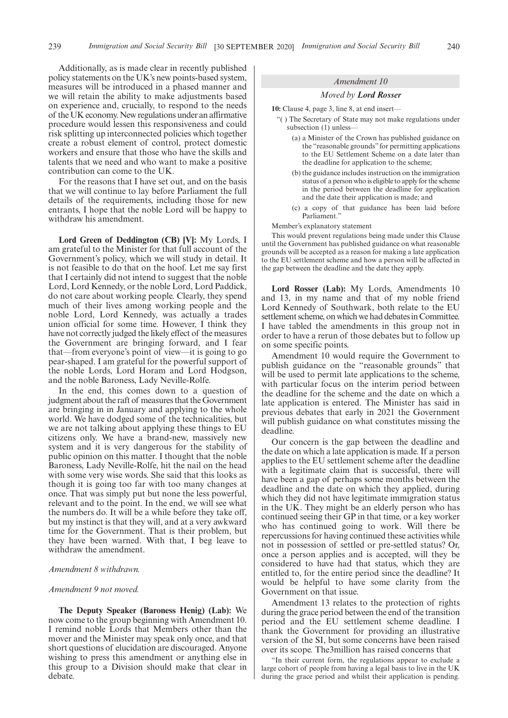Additionally, as is made clear in recently published policy statements on the UK's new points-based system, measures will be introduced in a phased manner and we will retain the ability to make adjustments based on experience and, crucially, to respond to the needs of the UK economy. New regulations under an affirmative procedure would lessen this responsiveness and could risk splitting up interconnected policies which together create a robust element of control, protect domestic workers and ensure that those who have the skills and talents that we need and who want to make a positive contribution can come to the UK.

For the reasons that I have set out, and on the basis that we will continue to lay before Parliament the full details of the requirements, including those for new entrants, I hope that the noble Lord will be happy to withdraw his amendment.

**Lord Green of Deddington (CB) [V]:** My Lords, I am grateful to the Minister for that full account of the Government's policy, which we will study in detail. It is not feasible to do that on the hoof. Let me say first that I certainly did not intend to suggest that the noble Lord, Lord Kennedy, or the noble Lord, Lord Paddick, do not care about working people. Clearly, they spend much of their lives among working people and the noble Lord, Lord Kennedy, was actually a trades union official for some time. However, I think they have not correctly judged the likely effect of the measures the Government are bringing forward, and I fear that—from everyone's point of view—it is going to go pear-shaped. I am grateful for the powerful support of the noble Lords, Lord Horam and Lord Hodgson, and the noble Baroness, Lady Neville-Rolfe.

In the end, this comes down to a question of judgment about the raft of measures that the Government are bringing in in January and applying to the whole world. We have dodged some of the technicalities, but we are not talking about applying these things to EU citizens only. We have a brand-new, massively new system and it is very dangerous for the stability of public opinion on this matter. I thought that the noble Baroness, Lady Neville-Rolfe, hit the nail on the head with some very wise words. She said that this looks as though it is going too far with too many changes at once. That was simply put but none the less powerful, relevant and to the point. In the end, we will see what the numbers do. It will be a while before they take off, but my instinct is that they will, and at a very awkward time for the Government. That is their problem, but they have been warned. With that, I beg leave to withdraw the amendment.

#### *Amendment 8 withdrawn.*

#### *Amendment 9 not moved.*

**The Deputy Speaker (Baroness Henig) (Lab):** We now come to the group beginning with Amendment 10. I remind noble Lords that Members other than the mover and the Minister may speak only once, and that short questions of elucidation are discouraged. Anyone wishing to press this amendment or anything else in this group to a Division should make that clear in debate.

#### *Amendment 10*

#### *Moved by Lord Rosser*

**10:** Clause 4, page 3, line 8, at end insert—

- "( ) The Secretary of State may not make regulations under subsection (1) unless—
	- (a) a Minister of the Crown has published guidance on the "reasonable grounds" for permitting applications to the EU Settlement Scheme on a date later than the deadline for application to the scheme;
	- (b) the guidance includes instruction on the immigration status of a person who is eligible to apply for the scheme in the period between the deadline for application and the date their application is made; and
	- (c) a copy of that guidance has been laid before Parliament.'

Member's explanatory statement

This would prevent regulations being made under this Clause until the Government has published guidance on what reasonable grounds will be accepted as a reason for making a late application to the EU settlement scheme and how a person will be affected in the gap between the deadline and the date they apply.

**Lord Rosser (Lab):** My Lords, Amendments 10 and 13, in my name and that of my noble friend Lord Kennedy of Southwark, both relate to the EU settlement scheme, on which we had debates in Committee. I have tabled the amendments in this group not in order to have a rerun of those debates but to follow up on some specific points.

Amendment 10 would require the Government to publish guidance on the "reasonable grounds" that will be used to permit late applications to the scheme, with particular focus on the interim period between the deadline for the scheme and the date on which a late application is entered. The Minister has said in previous debates that early in 2021 the Government will publish guidance on what constitutes missing the deadline.

Our concern is the gap between the deadline and the date on which a late application is made. If a person applies to the EU settlement scheme after the deadline with a legitimate claim that is successful, there will have been a gap of perhaps some months between the deadline and the date on which they applied, during which they did not have legitimate immigration status in the UK. They might be an elderly person who has continued seeing their GP in that time, or a key worker who has continued going to work. Will there be repercussions for having continued these activities while not in possession of settled or pre-settled status? Or, once a person applies and is accepted, will they be considered to have had that status, which they are entitled to, for the entire period since the deadline? It would be helpful to have some clarity from the Government on that issue.

Amendment 13 relates to the protection of rights during the grace period between the end of the transition period and the EU settlement scheme deadline. I thank the Government for providing an illustrative version of the SI, but some concerns have been raised over its scope. The3million has raised concerns that

"In their current form, the regulations appear to exclude a large cohort of people from having a legal basis to live in the UK during the grace period and whilst their application is pending.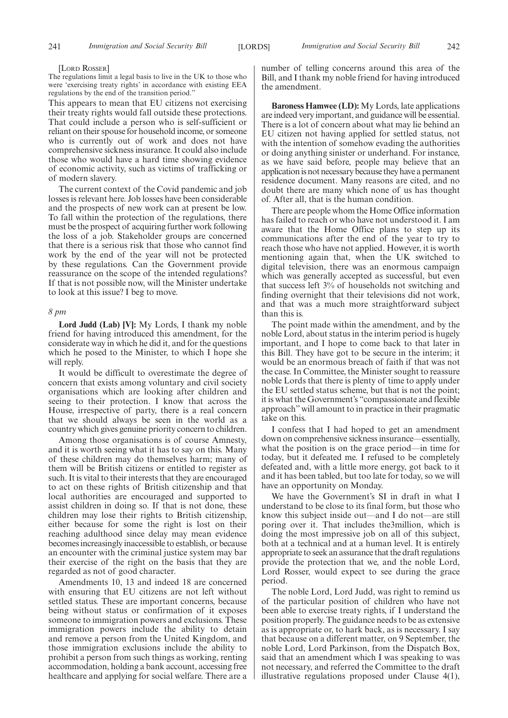#### [LORD ROSSER]

The regulations limit a legal basis to live in the UK to those who were 'exercising treaty rights' in accordance with existing EEA regulations by the end of the transition period."

This appears to mean that EU citizens not exercising their treaty rights would fall outside these protections. That could include a person who is self-sufficient or reliant on their spouse for household income, or someone who is currently out of work and does not have comprehensive sickness insurance. It could also include those who would have a hard time showing evidence of economic activity, such as victims of trafficking or of modern slavery.

The current context of the Covid pandemic and job losses is relevant here. Job losses have been considerable and the prospects of new work can at present be low. To fall within the protection of the regulations, there must be the prospect of acquiring further work following the loss of a job. Stakeholder groups are concerned that there is a serious risk that those who cannot find work by the end of the year will not be protected by these regulations. Can the Government provide reassurance on the scope of the intended regulations? If that is not possible now, will the Minister undertake to look at this issue? I beg to move.

#### *8 pm*

**Lord Judd (Lab) [V]:** My Lords, I thank my noble friend for having introduced this amendment, for the considerate way in which he did it, and for the questions which he posed to the Minister, to which I hope she will reply.

It would be difficult to overestimate the degree of concern that exists among voluntary and civil society organisations which are looking after children and seeing to their protection. I know that across the House, irrespective of party, there is a real concern that we should always be seen in the world as a country which gives genuine priority concern to children.

Among those organisations is of course Amnesty, and it is worth seeing what it has to say on this. Many of these children may do themselves harm; many of them will be British citizens or entitled to register as such. It is vital to their interests that they are encouraged to act on these rights of British citizenship and that local authorities are encouraged and supported to assist children in doing so. If that is not done, these children may lose their rights to British citizenship, either because for some the right is lost on their reaching adulthood since delay may mean evidence becomes increasingly inaccessible to establish, or because an encounter with the criminal justice system may bar their exercise of the right on the basis that they are regarded as not of good character.

Amendments 10, 13 and indeed 18 are concerned with ensuring that EU citizens are not left without settled status. These are important concerns, because being without status or confirmation of it exposes someone to immigration powers and exclusions. These immigration powers include the ability to detain and remove a person from the United Kingdom, and those immigration exclusions include the ability to prohibit a person from such things as working, renting accommodation, holding a bank account, accessing free healthcare and applying for social welfare. There are a number of telling concerns around this area of the Bill, and I thank my noble friend for having introduced the amendment.

**Baroness Hamwee (LD):** My Lords, late applications are indeed very important, and guidance will be essential. There is a lot of concern about what may lie behind an EU citizen not having applied for settled status, not with the intention of somehow evading the authorities or doing anything sinister or underhand. For instance, as we have said before, people may believe that an application is not necessary because they have a permanent residence document. Many reasons are cited, and no doubt there are many which none of us has thought of. After all, that is the human condition.

There are people whom the Home Office information has failed to reach or who have not understood it. I am aware that the Home Office plans to step up its communications after the end of the year to try to reach those who have not applied. However, it is worth mentioning again that, when the UK switched to digital television, there was an enormous campaign which was generally accepted as successful, but even that success left 3% of households not switching and finding overnight that their televisions did not work, and that was a much more straightforward subject than this is.

The point made within the amendment, and by the noble Lord, about status in the interim period is hugely important, and I hope to come back to that later in this Bill. They have got to be secure in the interim; it would be an enormous breach of faith if that was not the case. In Committee, the Minister sought to reassure noble Lords that there is plenty of time to apply under the EU settled status scheme, but that is not the point; it is what the Government's "compassionate and flexible approach" will amount to in practice in their pragmatic take on this.

I confess that I had hoped to get an amendment down on comprehensive sickness insurance—essentially, what the position is on the grace period—in time for today, but it defeated me. I refused to be completely defeated and, with a little more energy, got back to it and it has been tabled, but too late for today, so we will have an opportunity on Monday.

We have the Government's SI in draft in what I understand to be close to its final form, but those who know this subject inside out—and I do not—are still poring over it. That includes the3million, which is doing the most impressive job on all of this subject, both at a technical and at a human level. It is entirely appropriate to seek an assurance that the draft regulations provide the protection that we, and the noble Lord, Lord Rosser, would expect to see during the grace period.

The noble Lord, Lord Judd, was right to remind us of the particular position of children who have not been able to exercise treaty rights, if I understand the position properly. The guidance needs to be as extensive as is appropriate or, to hark back, as is necessary. I say that because on a different matter, on 9 September, the noble Lord, Lord Parkinson, from the Dispatch Box, said that an amendment which I was speaking to was not necessary, and referred the Committee to the draft illustrative regulations proposed under Clause 4(1),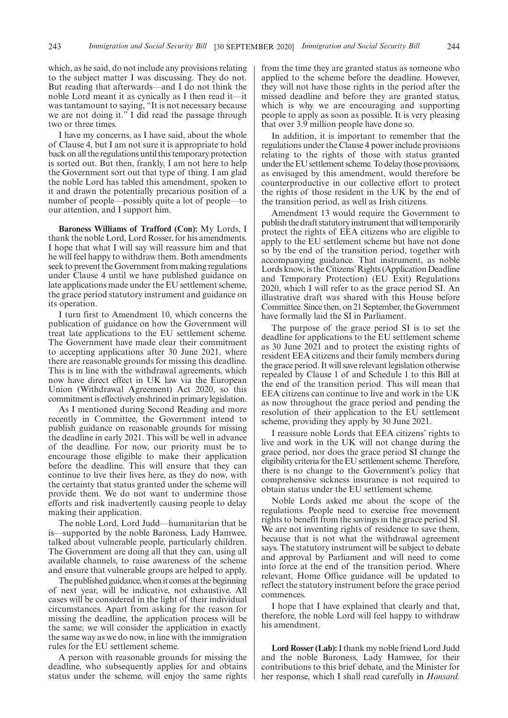which, as he said, do not include any provisions relating to the subject matter I was discussing. They do not. But reading that afterwards—and I do not think the noble Lord meant it as cynically as I then read it—it was tantamount to saying, "It is not necessary because we are not doing it." I did read the passage through two or three times.

I have my concerns, as I have said, about the whole of Clause 4, but I am not sure it is appropriate to hold back on all the regulations until this temporary protection is sorted out. But then, frankly, I am not here to help the Government sort out that type of thing. I am glad the noble Lord has tabled this amendment, spoken to it and drawn the potentially precarious position of a number of people—possibly quite a lot of people—to our attention, and I support him.

**Baroness Williams of Trafford (Con):** My Lords, I thank the noble Lord, Lord Rosser, for his amendments. I hope that what I will say will reassure him and that he will feel happy to withdraw them. Both amendments seek to prevent the Government from making regulations under Clause 4 until we have published guidance on late applications made under the EU settlement scheme, the grace period statutory instrument and guidance on its operation.

I turn first to Amendment 10, which concerns the publication of guidance on how the Government will treat late applications to the EU settlement scheme. The Government have made clear their commitment to accepting applications after 30 June 2021, where there are reasonable grounds for missing this deadline. This is in line with the withdrawal agreements, which now have direct effect in UK law via the European Union (Withdrawal Agreement) Act 2020, so this commitment is effectively enshrined in primary legislation.

As I mentioned during Second Reading and more recently in Committee, the Government intend to publish guidance on reasonable grounds for missing the deadline in early 2021. This will be well in advance of the deadline. For now, our priority must be to encourage those eligible to make their application before the deadline. This will ensure that they can continue to live their lives here, as they do now, with the certainty that status granted under the scheme will provide them. We do not want to undermine those efforts and risk inadvertently causing people to delay making their application.

The noble Lord, Lord Judd—humanitarian that he is—supported by the noble Baroness, Lady Hamwee, talked about vulnerable people, particularly children. The Government are doing all that they can, using all available channels, to raise awareness of the scheme and ensure that vulnerable groups are helped to apply.

The published guidance, when it comes at the beginning of next year, will be indicative, not exhaustive. All cases will be considered in the light of their individual circumstances. Apart from asking for the reason for missing the deadline, the application process will be the same; we will consider the application in exactly the same way as we do now, in line with the immigration rules for the EU settlement scheme.

A person with reasonable grounds for missing the deadline, who subsequently applies for and obtains status under the scheme, will enjoy the same rights from the time they are granted status as someone who applied to the scheme before the deadline. However, they will not have those rights in the period after the missed deadline and before they are granted status, which is why we are encouraging and supporting people to apply as soon as possible. It is very pleasing that over 3.9 million people have done so.

In addition, it is important to remember that the regulations under the Clause 4 power include provisions relating to the rights of those with status granted under the EU settlement scheme. To delay those provisions, as envisaged by this amendment, would therefore be counterproductive in our collective effort to protect the rights of those resident in the UK by the end of the transition period, as well as Irish citizens.

Amendment 13 would require the Government to publish the draft statutory instrument that will temporarily protect the rights of EEA citizens who are eligible to apply to the EU settlement scheme but have not done so by the end of the transition period, together with accompanying guidance. That instrument, as noble Lords know, is the Citizens'Rights (Application Deadline and Temporary Protection) (EU Exit) Regulations 2020, which I will refer to as the grace period SI. An illustrative draft was shared with this House before Committee. Since then, on 21 September, the Government have formally laid the SI in Parliament.

The purpose of the grace period SI is to set the deadline for applications to the EU settlement scheme as 30 June 2021 and to protect the existing rights of resident EEA citizens and their family members during the grace period. It will save relevant legislation otherwise repealed by Clause 1 of and Schedule 1 to this Bill at the end of the transition period. This will mean that EEA citizens can continue to live and work in the UK as now throughout the grace period and pending the resolution of their application to the EU settlement scheme, providing they apply by 30 June 2021.

I reassure noble Lords that EEA citizens' rights to live and work in the UK will not change during the grace period, nor does the grace period SI change the eligibility criteria for the EU settlement scheme. Therefore, there is no change to the Government's policy that comprehensive sickness insurance is not required to obtain status under the EU settlement scheme.

Noble Lords asked me about the scope of the regulations. People need to exercise free movement rights to benefit from the savings in the grace period SI. We are not inventing rights of residence to save them, because that is not what the withdrawal agreement says. The statutory instrument will be subject to debate and approval by Parliament and will need to come into force at the end of the transition period. Where relevant, Home Office guidance will be updated to reflect the statutory instrument before the grace period commences.

I hope that I have explained that clearly and that, therefore, the noble Lord will feel happy to withdraw his amendment.

**Lord Rosser (Lab):**I thank my noble friend Lord Judd and the noble Baroness, Lady Hamwee, for their contributions to this brief debate, and the Minister for her response, which I shall read carefully in *Hansard.*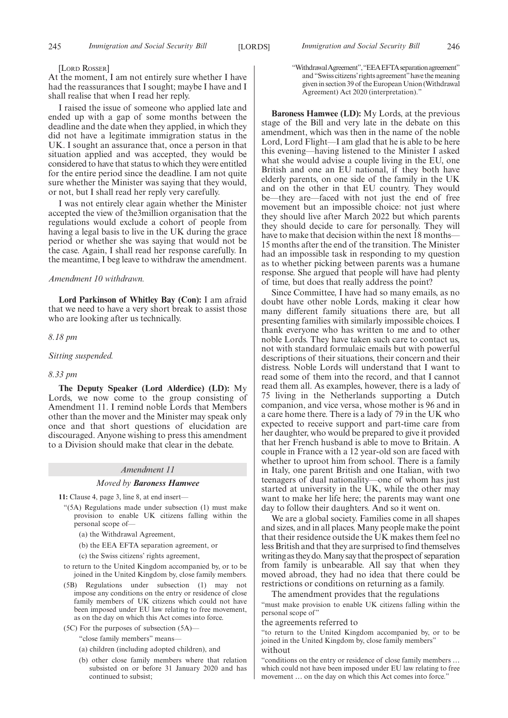#### [LORD ROSSER]

At the moment, I am not entirely sure whether I have had the reassurances that I sought; maybe I have and I shall realise that when I read her reply.

I raised the issue of someone who applied late and ended up with a gap of some months between the deadline and the date when they applied, in which they did not have a legitimate immigration status in the UK. I sought an assurance that, once a person in that situation applied and was accepted, they would be considered to have that status to which they were entitled for the entire period since the deadline. I am not quite sure whether the Minister was saying that they would, or not, but I shall read her reply very carefully.

I was not entirely clear again whether the Minister accepted the view of the3million organisation that the regulations would exclude a cohort of people from having a legal basis to live in the UK during the grace period or whether she was saying that would not be the case. Again, I shall read her response carefully. In the meantime, I beg leave to withdraw the amendment.

#### *Amendment 10 withdrawn.*

**Lord Parkinson of Whitley Bay (Con):** I am afraid that we need to have a very short break to assist those who are looking after us technically.

*8.18 pm*

*Sitting suspended.*

#### *8.33 pm*

**The Deputy Speaker (Lord Alderdice) (LD):** My Lords, we now come to the group consisting of Amendment 11. I remind noble Lords that Members other than the mover and the Minister may speak only once and that short questions of elucidation are discouraged. Anyone wishing to press this amendment to a Division should make that clear in the debate.

#### *Amendment 11*

#### *Moved by Baroness Hamwee*

**11:** Clause 4, page 3, line 8, at end insert—

- "(5A) Regulations made under subsection (1) must make provision to enable UK citizens falling within the personal scope of—
	- (a) the Withdrawal Agreement,
	- (b) the EEA EFTA separation agreement, or
	- (c) the Swiss citizens' rights agreement,
- to return to the United Kingdom accompanied by, or to be joined in the United Kingdom by, close family members.
- (5B) Regulations under subsection (1) may not impose any conditions on the entry or residence of close family members of UK citizens which could not have been imposed under EU law relating to free movement, as on the day on which this Act comes into force.
- (5C) For the purposes of subsection (5A)—
	- "close family members" means—
	- (a) children (including adopted children), and
	- (b) other close family members where that relation subsisted on or before 31 January 2020 and has continued to subsist;

"WithdrawalAgreement","EEAEFTAseparationagreement" and "Swiss citizens'rights agreement"have the meaning given in section 39 of the European Union (Withdrawal Agreement) Act 2020 (interpretation)."

**Baroness Hamwee (LD):** My Lords, at the previous stage of the Bill and very late in the debate on this amendment, which was then in the name of the noble Lord, Lord Flight—I am glad that he is able to be here this evening—having listened to the Minister I asked what she would advise a couple living in the EU, one British and one an EU national, if they both have elderly parents, on one side of the family in the UK and on the other in that EU country. They would be—they are—faced with not just the end of free movement but an impossible choice: not just where they should live after March 2022 but which parents they should decide to care for personally. They will have to make that decision within the next 18 months— 15 months after the end of the transition. The Minister had an impossible task in responding to my question as to whether picking between parents was a humane response. She argued that people will have had plenty of time, but does that really address the point?

Since Committee, I have had so many emails, as no doubt have other noble Lords, making it clear how many different family situations there are, but all presenting families with similarly impossible choices. I thank everyone who has written to me and to other noble Lords. They have taken such care to contact us, not with standard formulaic emails but with powerful descriptions of their situations, their concern and their distress. Noble Lords will understand that I want to read some of them into the record, and that I cannot read them all. As examples, however, there is a lady of 75 living in the Netherlands supporting a Dutch companion, and vice versa, whose mother is 96 and in a care home there. There is a lady of 79 in the UK who expected to receive support and part-time care from her daughter, who would be prepared to give it provided that her French husband is able to move to Britain. A couple in France with a 12 year-old son are faced with whether to uproot him from school. There is a family in Italy, one parent British and one Italian, with two teenagers of dual nationality—one of whom has just started at university in the UK, while the other may want to make her life here; the parents may want one day to follow their daughters. And so it went on.

We are a global society. Families come in all shapes and sizes, and in all places. Many people make the point that their residence outside the UK makes them feel no less British and that they are surprised to find themselves writing as they do. Many say that the prospect of separation from family is unbearable. All say that when they moved abroad, they had no idea that there could be restrictions or conditions on returning as a family.

The amendment provides that the regulations

"must make provision to enable UK citizens falling within the personal scope of"

the agreements referred to

"to return to the United Kingdom accompanied by, or to be joined in the United Kingdom by, close family members" without

"conditions on the entry or residence of close family members … which could not have been imposed under EU law relating to free movement … on the day on which this Act comes into force."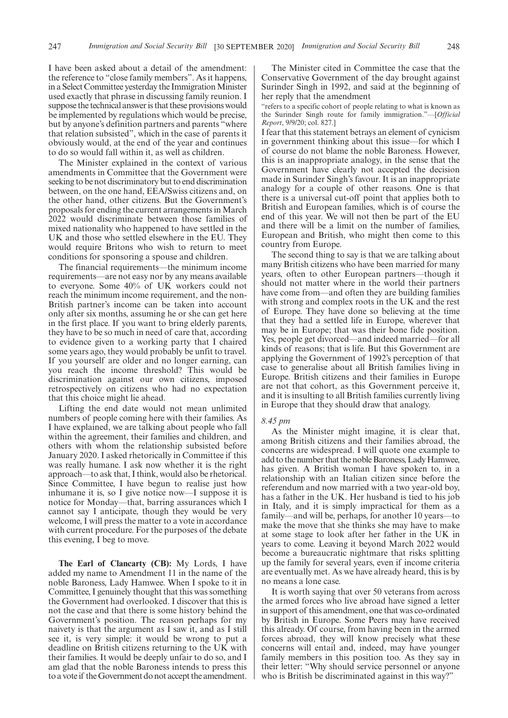I have been asked about a detail of the amendment: the reference to "close family members". As it happens, in a Select Committee yesterday the Immigration Minister used exactly that phrase in discussing family reunion. I suppose the technical answer is that these provisions would be implemented by regulations which would be precise, but by anyone's definition partners and parents "where that relation subsisted", which in the case of parents it obviously would, at the end of the year and continues to do so would fall within it, as well as children.

The Minister explained in the context of various amendments in Committee that the Government were seeking to be not discriminatory but to end discrimination between, on the one hand, EEA/Swiss citizens and, on the other hand, other citizens. But the Government's proposals for ending the current arrangements in March 2022 would discriminate between those families of mixed nationality who happened to have settled in the UK and those who settled elsewhere in the EU. They would require Britons who wish to return to meet conditions for sponsoring a spouse and children.

The financial requirements—the minimum income requirements—are not easy nor by any means available to everyone. Some 40% of UK workers could not reach the minimum income requirement, and the non-British partner's income can be taken into account only after six months, assuming he or she can get here in the first place. If you want to bring elderly parents, they have to be so much in need of care that, according to evidence given to a working party that I chaired some years ago, they would probably be unfit to travel. If you yourself are older and no longer earning, can you reach the income threshold? This would be discrimination against our own citizens, imposed retrospectively on citizens who had no expectation that this choice might lie ahead.

Lifting the end date would not mean unlimited numbers of people coming here with their families. As I have explained, we are talking about people who fall within the agreement, their families and children, and others with whom the relationship subsisted before January 2020. I asked rhetorically in Committee if this was really humane. I ask now whether it is the right approach—to ask that, I think, would also be rhetorical. Since Committee, I have begun to realise just how inhumane it is, so I give notice now—I suppose it is notice for Monday—that, barring assurances which I cannot say I anticipate, though they would be very welcome, I will press the matter to a vote in accordance with current procedure. For the purposes of the debate this evening, I beg to move.

**The Earl of Clancarty (CB):** My Lords, I have added my name to Amendment 11 in the name of the noble Baroness, Lady Hamwee. When I spoke to it in Committee, I genuinely thought that this was something the Government had overlooked. I discover that this is not the case and that there is some history behind the Government's position. The reason perhaps for my naivety is that the argument as I saw it, and as I still see it, is very simple: it would be wrong to put a deadline on British citizens returning to the UK with their families. It would be deeply unfair to do so, and I am glad that the noble Baroness intends to press this to a vote if the Government do not accept the amendment.

The Minister cited in Committee the case that the Conservative Government of the day brought against Surinder Singh in 1992, and said at the beginning of her reply that the amendment

"refers to a specific cohort of people relating to what is known as the Surinder Singh route for family immigration."—[*Official Report*, 9/9/20; col. 827.]

I fear that this statement betrays an element of cynicism in government thinking about this issue—for which I of course do not blame the noble Baroness. However, this is an inappropriate analogy, in the sense that the Government have clearly not accepted the decision made in Surinder Singh's favour. It is an inappropriate analogy for a couple of other reasons. One is that there is a universal cut-off point that applies both to British and European families, which is of course the end of this year. We will not then be part of the EU and there will be a limit on the number of families, European and British, who might then come to this country from Europe.

The second thing to say is that we are talking about many British citizens who have been married for many years, often to other European partners—though it should not matter where in the world their partners have come from—and often they are building families with strong and complex roots in the UK and the rest of Europe. They have done so believing at the time that they had a settled life in Europe, wherever that may be in Europe; that was their bone fide position. Yes, people get divorced—and indeed married—for all kinds of reasons; that is life. But this Government are applying the Government of 1992's perception of that case to generalise about all British families living in Europe. British citizens and their families in Europe are not that cohort, as this Government perceive it, and it is insulting to all British families currently living in Europe that they should draw that analogy.

#### *8.45 pm*

As the Minister might imagine, it is clear that, among British citizens and their families abroad, the concerns are widespread. I will quote one example to add to the number that the noble Baroness, Lady Hamwee, has given. A British woman I have spoken to, in a relationship with an Italian citizen since before the referendum and now married with a two year-old boy, has a father in the UK. Her husband is tied to his job in Italy, and it is simply impractical for them as a family—and will be, perhaps, for another 10 years—to make the move that she thinks she may have to make at some stage to look after her father in the UK in years to come. Leaving it beyond March 2022 would become a bureaucratic nightmare that risks splitting up the family for several years, even if income criteria are eventually met. As we have already heard, this is by no means a lone case.

It is worth saying that over 50 veterans from across the armed forces who live abroad have signed a letter in support of this amendment, one that was co-ordinated by British in Europe. Some Peers may have received this already. Of course, from having been in the armed forces abroad, they will know precisely what these concerns will entail and, indeed, may have younger family members in this position too. As they say in their letter: "Why should service personnel or anyone who is British be discriminated against in this way?"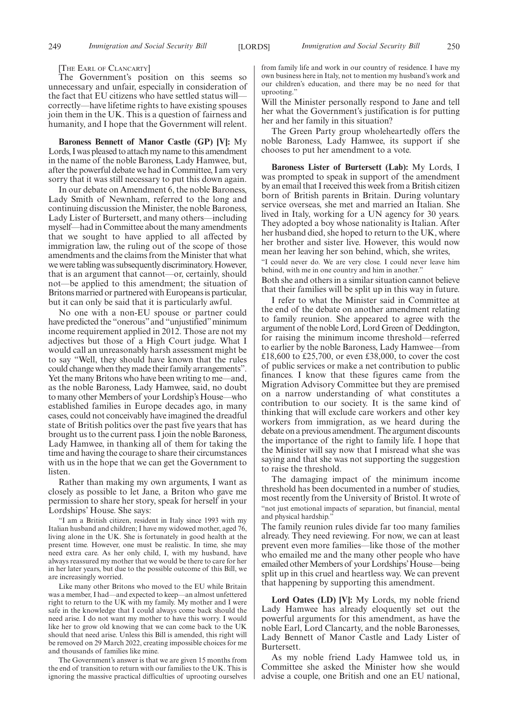[THE EARL OF CLANCARTY]

The Government's position on this seems so unnecessary and unfair, especially in consideration of the fact that EU citizens who have settled status will correctly—have lifetime rights to have existing spouses join them in the UK. This is a question of fairness and humanity, and I hope that the Government will relent.

**Baroness Bennett of Manor Castle (GP) [V]:** My Lords, I was pleased to attach my name to this amendment in the name of the noble Baroness, Lady Hamwee, but, after the powerful debate we had in Committee, I am very sorry that it was still necessary to put this down again.

In our debate on Amendment 6, the noble Baroness, Lady Smith of Newnham, referred to the long and continuing discussion the Minister, the noble Baroness, Lady Lister of Burtersett, and many others—including myself—had in Committee about the many amendments that we sought to have applied to all affected by immigration law, the ruling out of the scope of those amendments and the claims from the Minister that what we were tabling was subsequently discriminatory. However, that is an argument that cannot—or, certainly, should not—be applied to this amendment; the situation of Britons married or partnered with Europeans is particular, but it can only be said that it is particularly awful.

No one with a non-EU spouse or partner could have predicted the "onerous" and "unjustified" minimum income requirement applied in 2012. Those are not my adjectives but those of a High Court judge. What I would call an unreasonably harsh assessment might be to say "Well, they should have known that the rules could change when they made their family arrangements". Yet the many Britons who have been writing to me—and, as the noble Baroness, Lady Hamwee, said, no doubt to many other Members of your Lordship's House—who established families in Europe decades ago, in many cases, could not conceivably have imagined the dreadful state of British politics over the past five years that has brought us to the current pass. I join the noble Baroness, Lady Hamwee, in thanking all of them for taking the time and having the courage to share their circumstances with us in the hope that we can get the Government to listen.

Rather than making my own arguments, I want as closely as possible to let Jane, a Briton who gave me permission to share her story, speak for herself in your Lordships' House. She says:

"I am a British citizen, resident in Italy since 1993 with my Italian husband and children; I have my widowed mother, aged 76, living alone in the UK. She is fortunately in good health at the present time. However, one must be realistic. In time, she may need extra care. As her only child, I, with my husband, have always reassured my mother that we would be there to care for her in her later years, but due to the possible outcome of this Bill, we are increasingly worried.

Like many other Britons who moved to the EU while Britain was a member, I had—and expected to keep—an almost unfettered right to return to the UK with my family. My mother and I were safe in the knowledge that I could always come back should the need arise. I do not want my mother to have this worry. I would like her to grow old knowing that we can come back to the UK should that need arise. Unless this Bill is amended, this right will be removed on 29 March 2022, creating impossible choices for me and thousands of families like mine.

The Government's answer is that we are given 15 months from the end of transition to return with our families to the UK. This is ignoring the massive practical difficulties of uprooting ourselves from family life and work in our country of residence. I have my own business here in Italy, not to mention my husband's work and our children's education, and there may be no need for that uprooting."

Will the Minister personally respond to Jane and tell her what the Government's justification is for putting her and her family in this situation?

The Green Party group wholeheartedly offers the noble Baroness, Lady Hamwee, its support if she chooses to put her amendment to a vote.

**Baroness Lister of Burtersett (Lab):** My Lords, I was prompted to speak in support of the amendment by an email that I received this week from a British citizen born of British parents in Britain. During voluntary service overseas, she met and married an Italian. She lived in Italy, working for a UN agency for 30 years. They adopted a boy whose nationality is Italian. After her husband died, she hoped to return to the UK, where her brother and sister live. However, this would now mean her leaving her son behind, which, she writes,

"I could never do. We are very close. I could never leave him behind, with me in one country and him in another."

Both she and others in a similar situation cannot believe that their families will be split up in this way in future.

I refer to what the Minister said in Committee at the end of the debate on another amendment relating to family reunion. She appeared to agree with the argument of the noble Lord, Lord Green of Deddington, for raising the minimum income threshold—referred to earlier by the noble Baroness, Lady Hamwee—from £18,600 to £25,700, or even £38,000, to cover the cost of public services or make a net contribution to public finances. I know that these figures came from the Migration Advisory Committee but they are premised on a narrow understanding of what constitutes a contribution to our society. It is the same kind of thinking that will exclude care workers and other key workers from immigration, as we heard during the debate on a previous amendment. The argument discounts the importance of the right to family life. I hope that the Minister will say now that I misread what she was saying and that she was not supporting the suggestion to raise the threshold.

The damaging impact of the minimum income threshold has been documented in a number of studies, most recently from the University of Bristol. It wrote of "not just emotional impacts of separation, but financial, mental and physical hardship."

The family reunion rules divide far too many families already. They need reviewing. For now, we can at least prevent even more families—like those of the mother who emailed me and the many other people who have emailed other Members of your Lordships'House—being split up in this cruel and heartless way. We can prevent that happening by supporting this amendment.

**Lord Oates (LD) [V]:** My Lords, my noble friend Lady Hamwee has already eloquently set out the powerful arguments for this amendment, as have the noble Earl, Lord Clancarty, and the noble Baronesses, Lady Bennett of Manor Castle and Lady Lister of Burtersett.

As my noble friend Lady Hamwee told us, in Committee she asked the Minister how she would advise a couple, one British and one an EU national,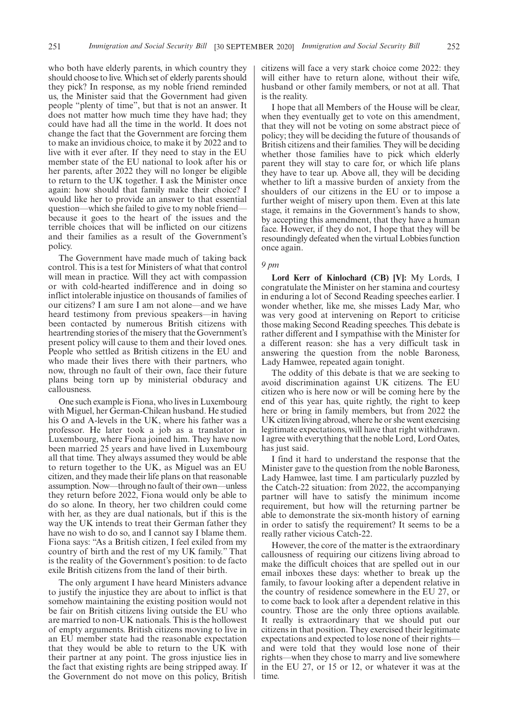who both have elderly parents, in which country they should choose to live. Which set of elderly parents should they pick? In response, as my noble friend reminded us, the Minister said that the Government had given people "plenty of time", but that is not an answer. It does not matter how much time they have had; they could have had all the time in the world. It does not change the fact that the Government are forcing them to make an invidious choice, to make it by 2022 and to live with it ever after. If they need to stay in the EU member state of the EU national to look after his or her parents, after 2022 they will no longer be eligible to return to the UK together. I ask the Minister once again: how should that family make their choice? I would like her to provide an answer to that essential question—which she failed to give to my noble friend because it goes to the heart of the issues and the terrible choices that will be inflicted on our citizens and their families as a result of the Government's policy.

The Government have made much of taking back control. This is a test for Ministers of what that control will mean in practice. Will they act with compassion or with cold-hearted indifference and in doing so inflict intolerable injustice on thousands of families of our citizens? I am sure I am not alone—and we have heard testimony from previous speakers—in having been contacted by numerous British citizens with heartrending stories of the misery that the Government's present policy will cause to them and their loved ones. People who settled as British citizens in the EU and who made their lives there with their partners, who now, through no fault of their own, face their future plans being torn up by ministerial obduracy and callousness.

One such example is Fiona, who lives in Luxembourg with Miguel, her German-Chilean husband. He studied his O and A-levels in the UK, where his father was a professor. He later took a job as a translator in Luxembourg, where Fiona joined him. They have now been married 25 years and have lived in Luxembourg all that time. They always assumed they would be able to return together to the UK, as Miguel was an EU citizen, and they made their life plans on that reasonable assumption. Now—through no fault of their own—unless they return before 2022, Fiona would only be able to do so alone. In theory, her two children could come with her, as they are dual nationals, but if this is the way the UK intends to treat their German father they have no wish to do so, and I cannot say I blame them. Fiona says: "As a British citizen, I feel exiled from my country of birth and the rest of my UK family." That is the reality of the Government's position: to de facto exile British citizens from the land of their birth.

The only argument I have heard Ministers advance to justify the injustice they are about to inflict is that somehow maintaining the existing position would not be fair on British citizens living outside the EU who are married to non-UK nationals. This is the hollowest of empty arguments. British citizens moving to live in an EU member state had the reasonable expectation that they would be able to return to the UK with their partner at any point. The gross injustice lies in the fact that existing rights are being stripped away. If the Government do not move on this policy, British citizens will face a very stark choice come 2022: they will either have to return alone, without their wife, husband or other family members, or not at all. That is the reality.

I hope that all Members of the House will be clear, when they eventually get to vote on this amendment, that they will not be voting on some abstract piece of policy; they will be deciding the future of thousands of British citizens and their families. They will be deciding whether those families have to pick which elderly parent they will stay to care for, or which life plans they have to tear up. Above all, they will be deciding whether to lift a massive burden of anxiety from the shoulders of our citizens in the EU or to impose a further weight of misery upon them. Even at this late stage, it remains in the Government's hands to show, by accepting this amendment, that they have a human face. However, if they do not, I hope that they will be resoundingly defeated when the virtual Lobbies function once again.

#### *9 pm*

**Lord Kerr of Kinlochard (CB) [V]:** My Lords, I congratulate the Minister on her stamina and courtesy in enduring a lot of Second Reading speeches earlier. I wonder whether, like me, she misses Lady Mar, who was very good at intervening on Report to criticise those making Second Reading speeches. This debate is rather different and I sympathise with the Minister for a different reason: she has a very difficult task in answering the question from the noble Baroness, Lady Hamwee, repeated again tonight.

The oddity of this debate is that we are seeking to avoid discrimination against UK citizens. The EU citizen who is here now or will be coming here by the end of this year has, quite rightly, the right to keep here or bring in family members, but from 2022 the UK citizen living abroad, where he or she went exercising legitimate expectations, will have that right withdrawn. I agree with everything that the noble Lord, Lord Oates, has just said.

I find it hard to understand the response that the Minister gave to the question from the noble Baroness, Lady Hamwee, last time. I am particularly puzzled by the Catch-22 situation: from 2022, the accompanying partner will have to satisfy the minimum income requirement, but how will the returning partner be able to demonstrate the six-month history of earning in order to satisfy the requirement? It seems to be a really rather vicious Catch-22.

However, the core of the matter is the extraordinary callousness of requiring our citizens living abroad to make the difficult choices that are spelled out in our email inboxes these days: whether to break up the family, to favour looking after a dependent relative in the country of residence somewhere in the EU 27, or to come back to look after a dependent relative in this country. Those are the only three options available. It really is extraordinary that we should put our citizens in that position. They exercised their legitimate expectations and expected to lose none of their rights and were told that they would lose none of their rights—when they chose to marry and live somewhere in the EU 27, or 15 or 12, or whatever it was at the time.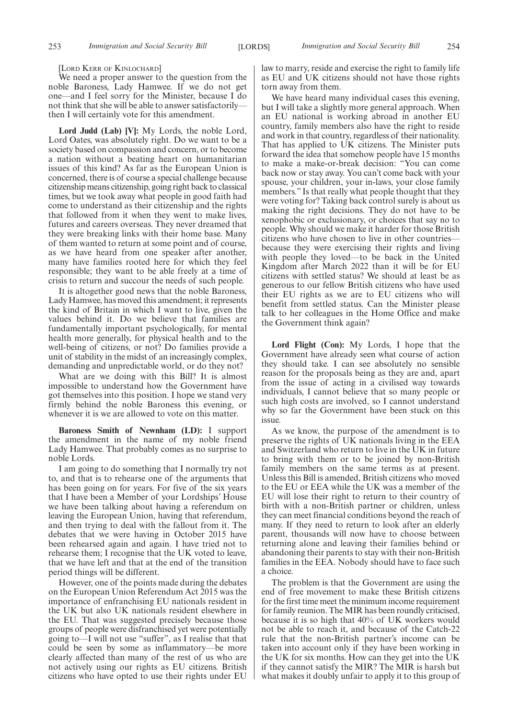[LORD KERR OF KINLOCHARD]

We need a proper answer to the question from the noble Baroness, Lady Hamwee. If we do not get one—and I feel sorry for the Minister, because I do not think that she will be able to answer satisfactorily then I will certainly vote for this amendment.

**Lord Judd (Lab) [V]:** My Lords, the noble Lord, Lord Oates, was absolutely right. Do we want to be a society based on compassion and concern, or to become a nation without a beating heart on humanitarian issues of this kind? As far as the European Union is concerned, there is of course a special challenge because citizenship means citizenship, going right back to classical times, but we took away what people in good faith had come to understand as their citizenship and the rights that followed from it when they went to make lives, futures and careers overseas. They never dreamed that they were breaking links with their home base. Many of them wanted to return at some point and of course, as we have heard from one speaker after another, many have families rooted here for which they feel responsible; they want to be able freely at a time of crisis to return and succour the needs of such people.

It is altogether good news that the noble Baroness, Lady Hamwee, has moved this amendment; it represents the kind of Britain in which I want to live, given the values behind it. Do we believe that families are fundamentally important psychologically, for mental health more generally, for physical health and to the well-being of citizens, or not? Do families provide a unit of stability in the midst of an increasingly complex, demanding and unpredictable world, or do they not?

What are we doing with this Bill? It is almost impossible to understand how the Government have got themselves into this position. I hope we stand very firmly behind the noble Baroness this evening, or whenever it is we are allowed to vote on this matter.

**Baroness Smith of Newnham (LD):** I support the amendment in the name of my noble friend Lady Hamwee. That probably comes as no surprise to noble Lords.

I am going to do something that I normally try not to, and that is to rehearse one of the arguments that has been going on for years. For five of the six years that I have been a Member of your Lordships' House we have been talking about having a referendum on leaving the European Union, having that referendum, and then trying to deal with the fallout from it. The debates that we were having in October 2015 have been rehearsed again and again. I have tried not to rehearse them; I recognise that the UK voted to leave, that we have left and that at the end of the transition period things will be different.

However, one of the points made during the debates on the European Union Referendum Act 2015 was the importance of enfranchising EU nationals resident in the UK but also UK nationals resident elsewhere in the EU. That was suggested precisely because those groups of people were disfranchised yet were potentially going to—I will not use "suffer", as I realise that that could be seen by some as inflammatory—be more clearly affected than many of the rest of us who are not actively using our rights as EU citizens. British citizens who have opted to use their rights under EU law to marry, reside and exercise the right to family life as EU and UK citizens should not have those rights torn away from them.

We have heard many individual cases this evening, but I will take a slightly more general approach. When an EU national is working abroad in another EU country, family members also have the right to reside and work in that country, regardless of their nationality. That has applied to UK citizens. The Minister puts forward the idea that somehow people have 15 months to make a make-or-break decision: "You can come back now or stay away. You can't come back with your spouse, your children, your in-laws, your close family members." Is that really what people thought that they were voting for? Taking back control surely is about us making the right decisions. They do not have to be xenophobic or exclusionary, or choices that say no to people. Why should we make it harder for those British citizens who have chosen to live in other countries because they were exercising their rights and living with people they loved—to be back in the United Kingdom after March 2022 than it will be for EU citizens with settled status? We should at least be as generous to our fellow British citizens who have used their EU rights as we are to EU citizens who will benefit from settled status. Can the Minister please talk to her colleagues in the Home Office and make the Government think again?

**Lord Flight (Con):** My Lords, I hope that the Government have already seen what course of action they should take. I can see absolutely no sensible reason for the proposals being as they are and, apart from the issue of acting in a civilised way towards individuals, I cannot believe that so many people or such high costs are involved, so I cannot understand why so far the Government have been stuck on this issue.

As we know, the purpose of the amendment is to preserve the rights of UK nationals living in the EEA and Switzerland who return to live in the UK in future to bring with them or to be joined by non-British family members on the same terms as at present. Unless this Bill is amended, British citizens who moved to the EU or EEA while the UK was a member of the EU will lose their right to return to their country of birth with a non-British partner or children, unless they can meet financial conditions beyond the reach of many. If they need to return to look after an elderly parent, thousands will now have to choose between returning alone and leaving their families behind or abandoning their parents to stay with their non-British families in the EEA. Nobody should have to face such a choice.

The problem is that the Government are using the end of free movement to make these British citizens for the first time meet the minimum income requirement for family reunion. The MIR has been roundly criticised, because it is so high that 40% of UK workers would not be able to reach it, and because of the Catch-22 rule that the non-British partner's income can be taken into account only if they have been working in the UK for six months. How can they get into the UK if they cannot satisfy the MIR? The MIR is harsh but what makes it doubly unfair to apply it to this group of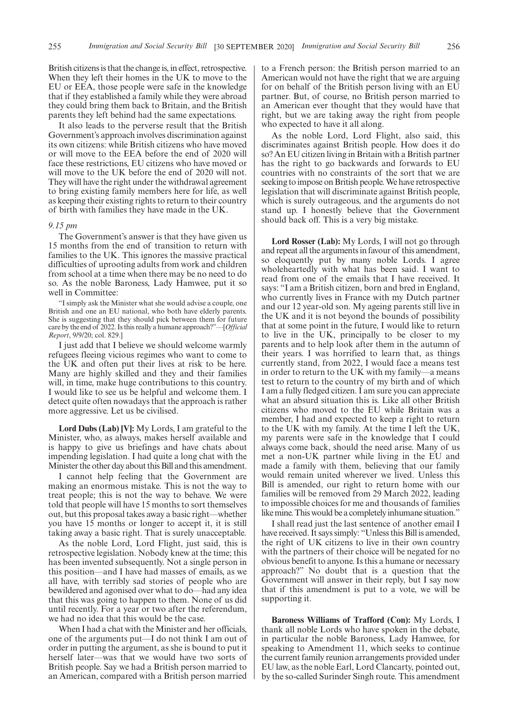British citizens is that the change is, in effect, retrospective. When they left their homes in the UK to move to the EU or EEA, those people were safe in the knowledge that if they established a family while they were abroad they could bring them back to Britain, and the British parents they left behind had the same expectations.

It also leads to the perverse result that the British Government's approach involves discrimination against its own citizens: while British citizens who have moved or will move to the EEA before the end of 2020 will face these restrictions, EU citizens who have moved or will move to the UK before the end of 2020 will not. They will have the right under the withdrawal agreement to bring existing family members here for life, as well as keeping their existing rights to return to their country of birth with families they have made in the UK.

#### *9.15 pm*

The Government's answer is that they have given us 15 months from the end of transition to return with families to the UK. This ignores the massive practical difficulties of uprooting adults from work and children from school at a time when there may be no need to do so. As the noble Baroness, Lady Hamwee, put it so well in Committee:

"I simply ask the Minister what she would advise a couple, one British and one an EU national, who both have elderly parents. She is suggesting that they should pick between them for future care by the end of 2022. Is this really a humane approach?"—[*Official Report*, 9/9/20; col. 829.]

I just add that I believe we should welcome warmly refugees fleeing vicious regimes who want to come to the UK and often put their lives at risk to be here. Many are highly skilled and they and their families will, in time, make huge contributions to this country. I would like to see us be helpful and welcome them. I detect quite often nowadays that the approach is rather more aggressive. Let us be civilised.

**Lord Dubs (Lab) [V]:** My Lords, I am grateful to the Minister, who, as always, makes herself available and is happy to give us briefings and have chats about impending legislation. I had quite a long chat with the Minister the other day about this Bill and this amendment.

I cannot help feeling that the Government are making an enormous mistake. This is not the way to treat people; this is not the way to behave. We were told that people will have 15 months to sort themselves out, but this proposal takes away a basic right—whether you have 15 months or longer to accept it, it is still taking away a basic right. That is surely unacceptable.

As the noble Lord, Lord Flight, just said, this is retrospective legislation. Nobody knew at the time; this has been invented subsequently. Not a single person in this position—and I have had masses of emails, as we all have, with terribly sad stories of people who are bewildered and agonised over what to do—had any idea that this was going to happen to them. None of us did until recently. For a year or two after the referendum, we had no idea that this would be the case.

When I had a chat with the Minister and her officials, one of the arguments put—I do not think I am out of order in putting the argument, as she is bound to put it herself later—was that we would have two sorts of British people. Say we had a British person married to an American, compared with a British person married to a French person: the British person married to an American would not have the right that we are arguing for on behalf of the British person living with an EU partner. But, of course, no British person married to an American ever thought that they would have that right, but we are taking away the right from people who expected to have it all along.

As the noble Lord, Lord Flight, also said, this discriminates against British people. How does it do so? An EU citizen living in Britain with a British partner has the right to go backwards and forwards to EU countries with no constraints of the sort that we are seeking to impose on British people. We have retrospective legislation that will discriminate against British people, which is surely outrageous, and the arguments do not stand up. I honestly believe that the Government should back off. This is a very big mistake.

**Lord Rosser (Lab):** My Lords, I will not go through and repeat all the arguments in favour of this amendment, so eloquently put by many noble Lords. I agree wholeheartedly with what has been said. I want to read from one of the emails that I have received. It says: "I am a British citizen, born and bred in England, who currently lives in France with my Dutch partner and our 12 year-old son. My ageing parents still live in the UK and it is not beyond the bounds of possibility that at some point in the future, I would like to return to live in the UK, principally to be closer to my parents and to help look after them in the autumn of their years. I was horrified to learn that, as things currently stand, from 2022, I would face a means test in order to return to the UK with my family—a means test to return to the country of my birth and of which I am a fully fledged citizen. I am sure you can appreciate what an absurd situation this is. Like all other British citizens who moved to the EU while Britain was a member, I had and expected to keep a right to return to the UK with my family. At the time I left the UK, my parents were safe in the knowledge that I could always come back, should the need arise. Many of us met a non-UK partner while living in the EU and made a family with them, believing that our family would remain united wherever we lived. Unless this Bill is amended, our right to return home with our families will be removed from 29 March 2022, leading to impossible choices for me and thousands of families like mine. This would be a completely inhumane situation."

I shall read just the last sentence of another email I have received. It says simply: "Unless this Bill is amended, the right of UK citizens to live in their own country with the partners of their choice will be negated for no obvious benefit to anyone. Is this a humane or necessary approach?" No doubt that is a question that the Government will answer in their reply, but I say now that if this amendment is put to a vote, we will be supporting it.

**Baroness Williams of Trafford (Con):** My Lords, I thank all noble Lords who have spoken in the debate, in particular the noble Baroness, Lady Hamwee, for speaking to Amendment 11, which seeks to continue the current family reunion arrangements provided under EU law, as the noble Earl, Lord Clancarty, pointed out, by the so-called Surinder Singh route. This amendment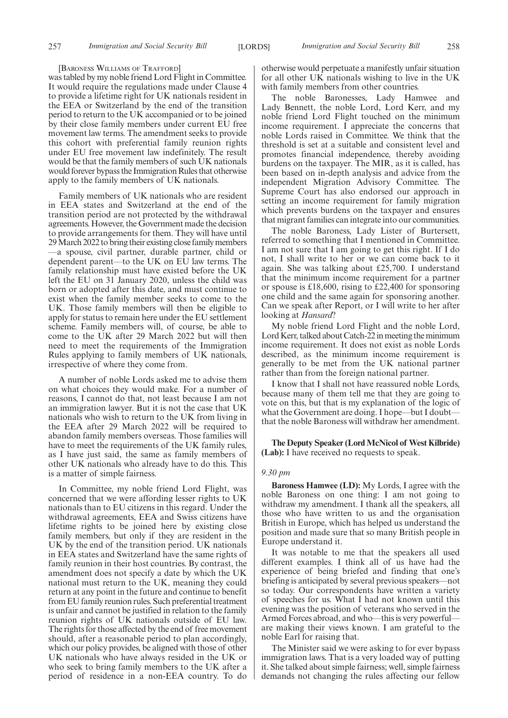[BARONESS WILLIAMS OF TRAFFORD]

was tabled by my noble friend Lord Flight in Committee. It would require the regulations made under Clause 4 to provide a lifetime right for UK nationals resident in the EEA or Switzerland by the end of the transition period to return to the UK accompanied or to be joined by their close family members under current EU free movement law terms. The amendment seeks to provide this cohort with preferential family reunion rights under EU free movement law indefinitely. The result would be that the family members of such UK nationals would forever bypass the Immigration Rules that otherwise apply to the family members of UK nationals.

Family members of UK nationals who are resident in EEA states and Switzerland at the end of the transition period are not protected by the withdrawal agreements. However, the Government made the decision to provide arrangements for them. They will have until 29 March 2022 to bring their existing close family members —a spouse, civil partner, durable partner, child or dependent parent—to the UK on EU law terms. The family relationship must have existed before the UK left the EU on 31 January 2020, unless the child was born or adopted after this date, and must continue to exist when the family member seeks to come to the UK. Those family members will then be eligible to apply for status to remain here under the EU settlement scheme. Family members will, of course, be able to come to the UK after 29 March 2022 but will then need to meet the requirements of the Immigration Rules applying to family members of UK nationals, irrespective of where they come from.

A number of noble Lords asked me to advise them on what choices they would make. For a number of reasons, I cannot do that, not least because I am not an immigration lawyer. But it is not the case that UK nationals who wish to return to the UK from living in the EEA after 29 March 2022 will be required to abandon family members overseas. Those families will have to meet the requirements of the UK family rules, as I have just said, the same as family members of other UK nationals who already have to do this. This is a matter of simple fairness.

In Committee, my noble friend Lord Flight, was concerned that we were affording lesser rights to UK nationals than to EU citizens in this regard. Under the withdrawal agreements, EEA and Swiss citizens have lifetime rights to be joined here by existing close family members, but only if they are resident in the UK by the end of the transition period. UK nationals in EEA states and Switzerland have the same rights of family reunion in their host countries. By contrast, the amendment does not specify a date by which the UK national must return to the UK, meaning they could return at any point in the future and continue to benefit from EU family reunion rules. Such preferential treatment is unfair and cannot be justified in relation to the family reunion rights of UK nationals outside of EU law. The rights for those affected by the end of free movement should, after a reasonable period to plan accordingly, which our policy provides, be aligned with those of other UK nationals who have always resided in the UK or who seek to bring family members to the UK after a period of residence in a non-EEA country. To do otherwise would perpetuate a manifestly unfair situation for all other UK nationals wishing to live in the UK with family members from other countries.

The noble Baronesses, Lady Hamwee and Lady Bennett, the noble Lord, Lord Kerr, and my noble friend Lord Flight touched on the minimum income requirement. I appreciate the concerns that noble Lords raised in Committee. We think that the threshold is set at a suitable and consistent level and promotes financial independence, thereby avoiding burdens on the taxpayer. The MIR, as it is called, has been based on in-depth analysis and advice from the independent Migration Advisory Committee. The Supreme Court has also endorsed our approach in setting an income requirement for family migration which prevents burdens on the taxpayer and ensures that migrant families can integrate into our communities.

The noble Baroness, Lady Lister of Burtersett, referred to something that I mentioned in Committee. I am not sure that I am going to get this right. If I do not, I shall write to her or we can come back to it again. She was talking about £25,700. I understand that the minimum income requirement for a partner or spouse is £18,600, rising to £22,400 for sponsoring one child and the same again for sponsoring another. Can we speak after Report, or I will write to her after looking at *Hansard*?

My noble friend Lord Flight and the noble Lord, Lord Kerr, talked about Catch-22 in meeting the minimum income requirement. It does not exist as noble Lords described, as the minimum income requirement is generally to be met from the UK national partner rather than from the foreign national partner.

I know that I shall not have reassured noble Lords, because many of them tell me that they are going to vote on this, but that is my explanation of the logic of what the Government are doing. I hope—but I doubt that the noble Baroness will withdraw her amendment.

**The Deputy Speaker (Lord McNicol of West Kilbride) (Lab):** I have received no requests to speak.

#### *9.30 pm*

**Baroness Hamwee (LD):** My Lords, I agree with the noble Baroness on one thing: I am not going to withdraw my amendment. I thank all the speakers, all those who have written to us and the organisation British in Europe, which has helped us understand the position and made sure that so many British people in Europe understand it.

It was notable to me that the speakers all used different examples. I think all of us have had the experience of being briefed and finding that one's briefing is anticipated by several previous speakers—not so today. Our correspondents have written a variety of speeches for us. What I had not known until this evening was the position of veterans who served in the Armed Forces abroad, and who—this is very powerful are making their views known. I am grateful to the noble Earl for raising that.

The Minister said we were asking to for ever bypass immigration laws. That is a very loaded way of putting it. She talked about simple fairness; well, simple fairness demands not changing the rules affecting our fellow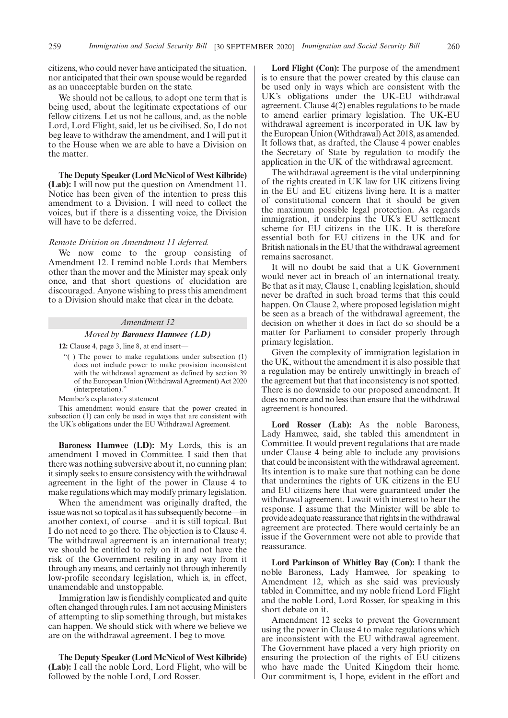citizens, who could never have anticipated the situation, nor anticipated that their own spouse would be regarded as an unacceptable burden on the state.

We should not be callous, to adopt one term that is being used, about the legitimate expectations of our fellow citizens. Let us not be callous, and, as the noble Lord, Lord Flight, said, let us be civilised. So, I do not beg leave to withdraw the amendment, and I will put it to the House when we are able to have a Division on the matter.

**The Deputy Speaker (Lord McNicol of West Kilbride) (Lab):** I will now put the question on Amendment 11. Notice has been given of the intention to press this amendment to a Division. I will need to collect the voices, but if there is a dissenting voice, the Division will have to be deferred.

#### *Remote Division on Amendment 11 deferred.*

We now come to the group consisting of Amendment 12. I remind noble Lords that Members other than the mover and the Minister may speak only once, and that short questions of elucidation are discouraged. Anyone wishing to press this amendment to a Division should make that clear in the debate.

#### *Amendment 12*

#### *Moved by Baroness Hamwee (LD)*

**12:** Clause 4, page 3, line 8, at end insert—

- "( ) The power to make regulations under subsection (1) does not include power to make provision inconsistent with the withdrawal agreement as defined by section 39 of the European Union (Withdrawal Agreement) Act 2020 (interpretation).
- Member's explanatory statement

This amendment would ensure that the power created in subsection (1) can only be used in ways that are consistent with the UK's obligations under the EU Withdrawal Agreement.

**Baroness Hamwee (LD):** My Lords, this is an amendment I moved in Committee. I said then that there was nothing subversive about it, no cunning plan; it simply seeks to ensure consistency with the withdrawal agreement in the light of the power in Clause 4 to make regulations which may modify primary legislation.

When the amendment was originally drafted, the issue was not so topical as it has subsequently become—in another context, of course—and it is still topical. But I do not need to go there. The objection is to Clause 4. The withdrawal agreement is an international treaty; we should be entitled to rely on it and not have the risk of the Government resiling in any way from it through any means, and certainly not through inherently low-profile secondary legislation, which is, in effect, unamendable and unstoppable.

Immigration law is fiendishly complicated and quite often changed through rules. I am not accusing Ministers of attempting to slip something through, but mistakes can happen. We should stick with where we believe we are on the withdrawal agreement. I beg to move.

**The Deputy Speaker (Lord McNicol of West Kilbride) (Lab):** I call the noble Lord, Lord Flight, who will be followed by the noble Lord, Lord Rosser.

**Lord Flight (Con):** The purpose of the amendment is to ensure that the power created by this clause can be used only in ways which are consistent with the UK's obligations under the UK-EU withdrawal agreement. Clause 4(2) enables regulations to be made to amend earlier primary legislation. The UK-EU withdrawal agreement is incorporated in UK law by the European Union (Withdrawal) Act 2018, as amended. It follows that, as drafted, the Clause 4 power enables the Secretary of State by regulation to modify the application in the UK of the withdrawal agreement.

The withdrawal agreement is the vital underpinning of the rights created in UK law for UK citizens living in the EU and EU citizens living here. It is a matter of constitutional concern that it should be given the maximum possible legal protection. As regards immigration, it underpins the UK's EU settlement scheme for EU citizens in the UK. It is therefore essential both for EU citizens in the UK and for British nationals in the EU that the withdrawal agreement remains sacrosanct.

It will no doubt be said that a UK Government would never act in breach of an international treaty. Be that as it may, Clause 1, enabling legislation, should never be drafted in such broad terms that this could happen. On Clause 2, where proposed legislation might be seen as a breach of the withdrawal agreement, the decision on whether it does in fact do so should be a matter for Parliament to consider properly through primary legislation.

Given the complexity of immigration legislation in the UK, without the amendment it is also possible that a regulation may be entirely unwittingly in breach of the agreement but that that inconsistency is not spotted. There is no downside to our proposed amendment. It does no more and no less than ensure that the withdrawal agreement is honoured.

**Lord Rosser (Lab):** As the noble Baroness, Lady Hamwee, said, she tabled this amendment in Committee. It would prevent regulations that are made under Clause 4 being able to include any provisions that could be inconsistent with the withdrawal agreement. Its intention is to make sure that nothing can be done that undermines the rights of UK citizens in the EU and EU citizens here that were guaranteed under the withdrawal agreement. I await with interest to hear the response. I assume that the Minister will be able to provide adequate reassurance that rights in the withdrawal agreement are protected. There would certainly be an issue if the Government were not able to provide that reassurance.

**Lord Parkinson of Whitley Bay (Con):** I thank the noble Baroness, Lady Hamwee, for speaking to Amendment 12, which as she said was previously tabled in Committee, and my noble friend Lord Flight and the noble Lord, Lord Rosser, for speaking in this short debate on it.

Amendment 12 seeks to prevent the Government using the power in Clause 4 to make regulations which are inconsistent with the EU withdrawal agreement. The Government have placed a very high priority on ensuring the protection of the rights of EU citizens who have made the United Kingdom their home. Our commitment is, I hope, evident in the effort and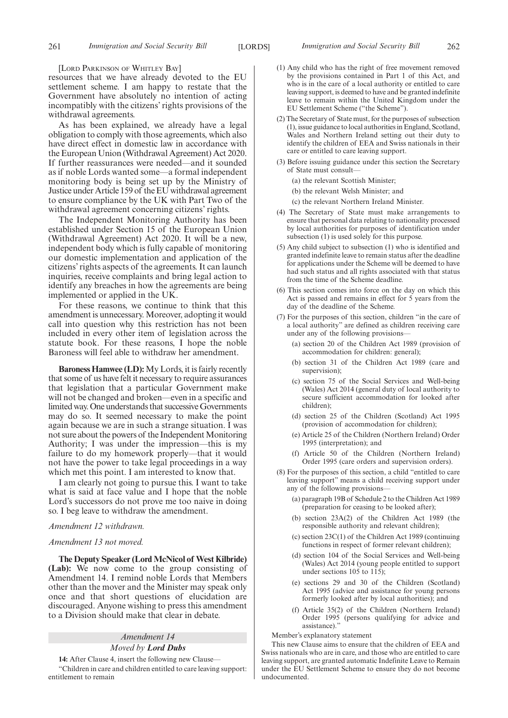[LORD PARKINSON OF WHITLEY BAY]

resources that we have already devoted to the EU settlement scheme. I am happy to restate that the Government have absolutely no intention of acting incompatibly with the citizens' rights provisions of the withdrawal agreements.

As has been explained, we already have a legal obligation to comply with those agreements, which also have direct effect in domestic law in accordance with the European Union (Withdrawal Agreement) Act 2020. If further reassurances were needed—and it sounded as if noble Lords wanted some—a formal independent monitoring body is being set up by the Ministry of Justice under Article 159 of the EU withdrawal agreement to ensure compliance by the UK with Part Two of the withdrawal agreement concerning citizens' rights.

The Independent Monitoring Authority has been established under Section 15 of the European Union (Withdrawal Agreement) Act 2020. It will be a new, independent body which is fully capable of monitoring our domestic implementation and application of the citizens' rights aspects of the agreements. It can launch inquiries, receive complaints and bring legal action to identify any breaches in how the agreements are being implemented or applied in the UK.

For these reasons, we continue to think that this amendment is unnecessary. Moreover, adopting it would call into question why this restriction has not been included in every other item of legislation across the statute book. For these reasons, I hope the noble Baroness will feel able to withdraw her amendment.

**Baroness Hamwee (LD):** My Lords, it is fairly recently that some of us have felt it necessary to require assurances that legislation that a particular Government make will not be changed and broken—even in a specific and limited way. One understands that successive Governments may do so. It seemed necessary to make the point again because we are in such a strange situation. I was not sure about the powers of the Independent Monitoring Authority; I was under the impression—this is my failure to do my homework properly—that it would not have the power to take legal proceedings in a way which met this point. I am interested to know that.

I am clearly not going to pursue this. I want to take what is said at face value and I hope that the noble Lord's successors do not prove me too naive in doing so. I beg leave to withdraw the amendment.

#### *Amendment 12 withdrawn.*

#### *Amendment 13 not moved.*

**The Deputy Speaker (Lord McNicol of West Kilbride) (Lab):** We now come to the group consisting of Amendment 14. I remind noble Lords that Members other than the mover and the Minister may speak only once and that short questions of elucidation are discouraged. Anyone wishing to press this amendment to a Division should make that clear in debate.

#### *Amendment 14 Moved by Lord Dubs*

**14:** After Clause 4, insert the following new Clause—

"Children in care and children entitled to care leaving support: entitlement to remain

- (1) Any child who has the right of free movement removed by the provisions contained in Part 1 of this Act, and who is in the care of a local authority or entitled to care leaving support, is deemed to have and be granted indefinite leave to remain within the United Kingdom under the EU Settlement Scheme ("the Scheme").
- (2) The Secretary of State must, for the purposes of subsection (1), issue guidance to local authorities in England, Scotland, Wales and Northern Ireland setting out their duty to identify the children of EEA and Swiss nationals in their care or entitled to care leaving support.
- (3) Before issuing guidance under this section the Secretary of State must consult—
	- (a) the relevant Scottish Minister;
	- (b) the relevant Welsh Minister; and
	- (c) the relevant Northern Ireland Minister.
- (4) The Secretary of State must make arrangements to ensure that personal data relating to nationality processed by local authorities for purposes of identification under subsection (1) is used solely for this purpose.
- (5) Any child subject to subsection (1) who is identified and granted indefinite leave to remain status after the deadline for applications under the Scheme will be deemed to have had such status and all rights associated with that status from the time of the Scheme deadline.
- (6) This section comes into force on the day on which this Act is passed and remains in effect for 5 years from the day of the deadline of the Scheme.
- (7) For the purposes of this section, children "in the care of a local authority" are defined as children receiving care under any of the following provisions—
	- (a) section 20 of the Children Act 1989 (provision of accommodation for children: general);
	- (b) section 31 of the Children Act 1989 (care and supervision);
	- (c) section 75 of the Social Services and Well-being (Wales) Act 2014 (general duty of local authority to secure sufficient accommodation for looked after children);
	- (d) section 25 of the Children (Scotland) Act 1995 (provision of accommodation for children);
	- (e) Article 25 of the Children (Northern Ireland) Order 1995 (interpretation); and
	- (f) Article 50 of the Children (Northern Ireland) Order 1995 (care orders and supervision orders).
- (8) For the purposes of this section, a child "entitled to care leaving support" means a child receiving support under any of the following provisions—
	- (a) paragraph 19B of Schedule 2 to the Children Act 1989 (preparation for ceasing to be looked after);
	- (b) section 23A(2) of the Children Act 1989 (the responsible authority and relevant children);
	- (c) section 23C(1) of the Children Act 1989 (continuing functions in respect of former relevant children);
	- (d) section 104 of the Social Services and Well-being (Wales) Act 2014 (young people entitled to support under sections 105 to 115);
	- (e) sections 29 and 30 of the Children (Scotland) Act 1995 (advice and assistance for young persons formerly looked after by local authorities); and
	- (f) Article 35(2) of the Children (Northern Ireland) Order 1995 (persons qualifying for advice and assistance).'

Member's explanatory statement

This new Clause aims to ensure that the children of EEA and Swiss nationals who are in care, and those who are entitled to care leaving support, are granted automatic Indefinite Leave to Remain under the EU Settlement Scheme to ensure they do not become undocumented.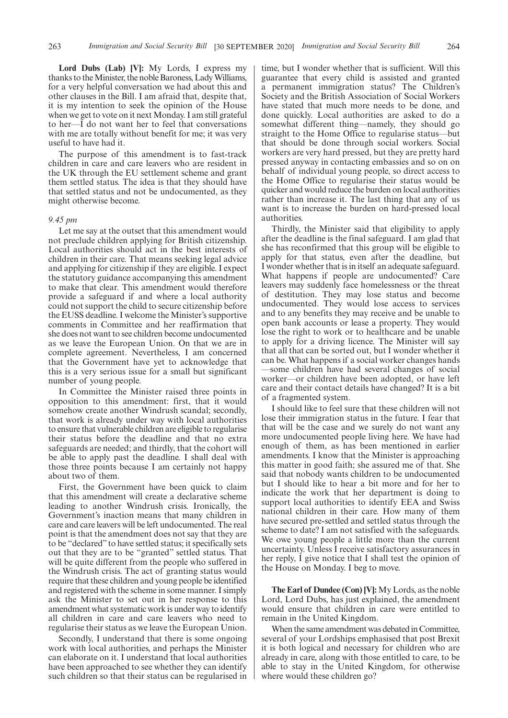**Lord Dubs (Lab) [V]:** My Lords, I express my thanks to the Minister, the noble Baroness, Lady Williams, for a very helpful conversation we had about this and other clauses in the Bill. I am afraid that, despite that, it is my intention to seek the opinion of the House when we get to vote on it next Monday. I am still grateful to her—I do not want her to feel that conversations with me are totally without benefit for me; it was very useful to have had it.

The purpose of this amendment is to fast-track children in care and care leavers who are resident in the UK through the EU settlement scheme and grant them settled status. The idea is that they should have that settled status and not be undocumented, as they might otherwise become.

#### *9.45 pm*

Let me say at the outset that this amendment would not preclude children applying for British citizenship. Local authorities should act in the best interests of children in their care. That means seeking legal advice and applying for citizenship if they are eligible. I expect the statutory guidance accompanying this amendment to make that clear. This amendment would therefore provide a safeguard if and where a local authority could not support the child to secure citizenship before the EUSS deadline. I welcome the Minister's supportive comments in Committee and her reaffirmation that she does not want to see children become undocumented as we leave the European Union. On that we are in complete agreement. Nevertheless, I am concerned that the Government have yet to acknowledge that this is a very serious issue for a small but significant number of young people.

In Committee the Minister raised three points in opposition to this amendment: first, that it would somehow create another Windrush scandal; secondly, that work is already under way with local authorities to ensure that vulnerable children are eligible to regularise their status before the deadline and that no extra safeguards are needed; and thirdly, that the cohort will be able to apply past the deadline. I shall deal with those three points because I am certainly not happy about two of them.

First, the Government have been quick to claim that this amendment will create a declarative scheme leading to another Windrush crisis. Ironically, the Government's inaction means that many children in care and care leavers will be left undocumented. The real point is that the amendment does not say that they are to be "declared" to have settled status; it specifically sets out that they are to be "granted" settled status. That will be quite different from the people who suffered in the Windrush crisis. The act of granting status would require that these children and young people be identified and registered with the scheme in some manner. I simply ask the Minister to set out in her response to this amendment what systematic work is under way to identify all children in care and care leavers who need to regularise their status as we leave the European Union.

Secondly, I understand that there is some ongoing work with local authorities, and perhaps the Minister can elaborate on it. I understand that local authorities have been approached to see whether they can identify such children so that their status can be regularised in time, but I wonder whether that is sufficient. Will this guarantee that every child is assisted and granted a permanent immigration status? The Children's Society and the British Association of Social Workers have stated that much more needs to be done, and done quickly. Local authorities are asked to do a somewhat different thing—namely, they should go straight to the Home Office to regularise status—but that should be done through social workers. Social workers are very hard pressed, but they are pretty hard pressed anyway in contacting embassies and so on on behalf of individual young people, so direct access to the Home Office to regularise their status would be quicker and would reduce the burden on local authorities rather than increase it. The last thing that any of us want is to increase the burden on hard-pressed local authorities.

Thirdly, the Minister said that eligibility to apply after the deadline is the final safeguard. I am glad that she has reconfirmed that this group will be eligible to apply for that status, even after the deadline, but I wonder whether that is in itself an adequate safeguard. What happens if people are undocumented? Care leavers may suddenly face homelessness or the threat of destitution. They may lose status and become undocumented. They would lose access to services and to any benefits they may receive and be unable to open bank accounts or lease a property. They would lose the right to work or to healthcare and be unable to apply for a driving licence. The Minister will say that all that can be sorted out, but I wonder whether it can be. What happens if a social worker changes hands —some children have had several changes of social worker—or children have been adopted, or have left care and their contact details have changed? It is a bit of a fragmented system.

I should like to feel sure that these children will not lose their immigration status in the future. I fear that that will be the case and we surely do not want any more undocumented people living here. We have had enough of them, as has been mentioned in earlier amendments. I know that the Minister is approaching this matter in good faith; she assured me of that. She said that nobody wants children to be undocumented but I should like to hear a bit more and for her to indicate the work that her department is doing to support local authorities to identify EEA and Swiss national children in their care. How many of them have secured pre-settled and settled status through the scheme to date? I am not satisfied with the safeguards. We owe young people a little more than the current uncertainty. Unless I receive satisfactory assurances in her reply, I give notice that I shall test the opinion of the House on Monday. I beg to move.

**The Earl of Dundee (Con) [V]:** My Lords, as the noble Lord, Lord Dubs, has just explained, the amendment would ensure that children in care were entitled to remain in the United Kingdom.

When the same amendment was debated in Committee, several of your Lordships emphasised that post Brexit it is both logical and necessary for children who are already in care, along with those entitled to care, to be able to stay in the United Kingdom, for otherwise where would these children go?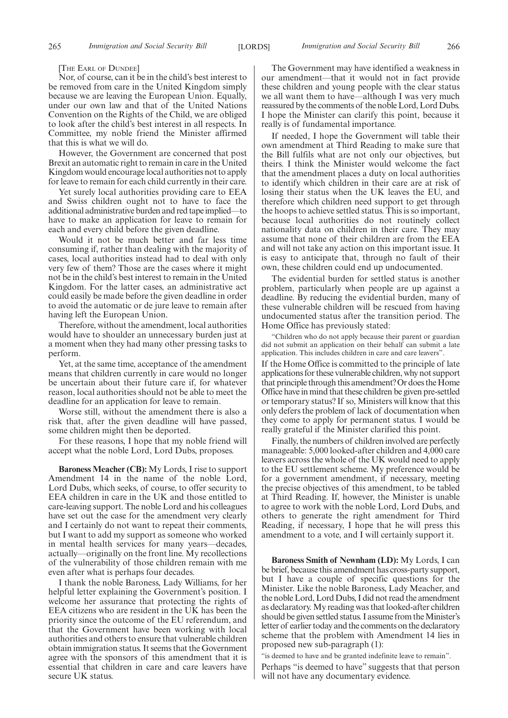[THE EARL OF DUNDEE]

Nor, of course, can it be in the child's best interest to be removed from care in the United Kingdom simply because we are leaving the European Union. Equally, under our own law and that of the United Nations Convention on the Rights of the Child, we are obliged to look after the child's best interest in all respects. In Committee, my noble friend the Minister affirmed that this is what we will do.

However, the Government are concerned that post Brexit an automatic right to remain in care in the United Kingdom would encourage local authorities not to apply for leave to remain for each child currently in their care.

Yet surely local authorities providing care to EEA and Swiss children ought not to have to face the additional administrative burden and red tape implied—to have to make an application for leave to remain for each and every child before the given deadline.

Would it not be much better and far less time consuming if, rather than dealing with the majority of cases, local authorities instead had to deal with only very few of them? Those are the cases where it might not be in the child's best interest to remain in the United Kingdom. For the latter cases, an administrative act could easily be made before the given deadline in order to avoid the automatic or de jure leave to remain after having left the European Union.

Therefore, without the amendment, local authorities would have to shoulder an unnecessary burden just at a moment when they had many other pressing tasks to perform.

Yet, at the same time, acceptance of the amendment means that children currently in care would no longer be uncertain about their future care if, for whatever reason, local authorities should not be able to meet the deadline for an application for leave to remain.

Worse still, without the amendment there is also a risk that, after the given deadline will have passed, some children might then be deported.

For these reasons, I hope that my noble friend will accept what the noble Lord, Lord Dubs, proposes.

**Baroness Meacher (CB):** My Lords, I rise to support Amendment 14 in the name of the noble Lord, Lord Dubs, which seeks, of course, to offer security to EEA children in care in the UK and those entitled to care-leaving support. The noble Lord and his colleagues have set out the case for the amendment very clearly and I certainly do not want to repeat their comments, but I want to add my support as someone who worked in mental health services for many years—decades, actually—originally on the front line. My recollections of the vulnerability of those children remain with me even after what is perhaps four decades.

I thank the noble Baroness, Lady Williams, for her helpful letter explaining the Government's position. I welcome her assurance that protecting the rights of EEA citizens who are resident in the UK has been the priority since the outcome of the EU referendum, and that the Government have been working with local authorities and others to ensure that vulnerable children obtain immigration status. It seems that the Government agree with the sponsors of this amendment that it is essential that children in care and care leavers have secure UK status.

The Government may have identified a weakness in our amendment—that it would not in fact provide these children and young people with the clear status we all want them to have—although I was very much reassured by the comments of the noble Lord, Lord Dubs. I hope the Minister can clarify this point, because it really is of fundamental importance.

If needed, I hope the Government will table their own amendment at Third Reading to make sure that the Bill fulfils what are not only our objectives, but theirs. I think the Minister would welcome the fact that the amendment places a duty on local authorities to identify which children in their care are at risk of losing their status when the UK leaves the EU, and therefore which children need support to get through the hoops to achieve settled status. This is so important, because local authorities do not routinely collect nationality data on children in their care. They may assume that none of their children are from the EEA and will not take any action on this important issue. It is easy to anticipate that, through no fault of their own, these children could end up undocumented.

The evidential burden for settled status is another problem, particularly when people are up against a deadline. By reducing the evidential burden, many of these vulnerable children will be rescued from having undocumented status after the transition period. The Home Office has previously stated:

"Children who do not apply because their parent or guardian did not submit an application on their behalf can submit a late application. This includes children in care and care leavers".

If the Home Office is committed to the principle of late applications for these vulnerable children, why not support that principle through this amendment? Or does the Home Office have in mind that these children be given pre-settled or temporary status? If so, Ministers will know that this only defers the problem of lack of documentation when they come to apply for permanent status. I would be really grateful if the Minister clarified this point.

Finally, the numbers of children involved are perfectly manageable: 5,000 looked-after children and 4,000 care leavers across the whole of the UK would need to apply to the EU settlement scheme. My preference would be for a government amendment, if necessary, meeting the precise objectives of this amendment, to be tabled at Third Reading. If, however, the Minister is unable to agree to work with the noble Lord, Lord Dubs, and others to generate the right amendment for Third Reading, if necessary, I hope that he will press this amendment to a vote, and I will certainly support it.

**Baroness Smith of Newnham (LD):** My Lords, I can be brief, because this amendment has cross-party support, but I have a couple of specific questions for the Minister. Like the noble Baroness, Lady Meacher, and the noble Lord, Lord Dubs, I did not read the amendment as declaratory. My reading was that looked-after children should be given settled status. I assume from the Minister's letter of earlier today and the comments on the declaratory scheme that the problem with Amendment 14 lies in proposed new sub-paragraph (1):

"is deemed to have and be granted indefinite leave to remain". Perhaps "is deemed to have" suggests that that person will not have any documentary evidence.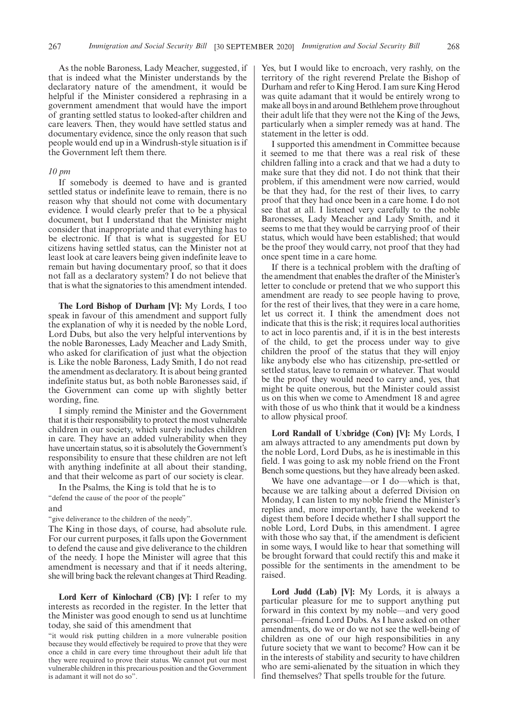As the noble Baroness, Lady Meacher, suggested, if that is indeed what the Minister understands by the declaratory nature of the amendment, it would be helpful if the Minister considered a rephrasing in a government amendment that would have the import of granting settled status to looked-after children and care leavers. Then, they would have settled status and documentary evidence, since the only reason that such people would end up in a Windrush-style situation is if the Government left them there.

#### *10 pm*

If somebody is deemed to have and is granted settled status or indefinite leave to remain, there is no reason why that should not come with documentary evidence. I would clearly prefer that to be a physical document, but I understand that the Minister might consider that inappropriate and that everything has to be electronic. If that is what is suggested for EU citizens having settled status, can the Minister not at least look at care leavers being given indefinite leave to remain but having documentary proof, so that it does not fall as a declaratory system? I do not believe that that is what the signatories to this amendment intended.

**The Lord Bishop of Durham [V]:** My Lords, I too speak in favour of this amendment and support fully the explanation of why it is needed by the noble Lord, Lord Dubs, but also the very helpful interventions by the noble Baronesses, Lady Meacher and Lady Smith, who asked for clarification of just what the objection is. Like the noble Baroness, Lady Smith, I do not read the amendment as declaratory. It is about being granted indefinite status but, as both noble Baronesses said, if the Government can come up with slightly better wording, fine.

I simply remind the Minister and the Government that it is their responsibility to protect the most vulnerable children in our society, which surely includes children in care. They have an added vulnerability when they have uncertain status, so it is absolutely the Government's responsibility to ensure that these children are not left with anything indefinite at all about their standing, and that their welcome as part of our society is clear.

In the Psalms, the King is told that he is to "defend the cause of the poor of the people" and

"give deliverance to the children of the needy".

The King in those days, of course, had absolute rule. For our current purposes, it falls upon the Government to defend the cause and give deliverance to the children of the needy. I hope the Minister will agree that this amendment is necessary and that if it needs altering, she will bring back the relevant changes at Third Reading.

**Lord Kerr of Kinlochard (CB) [V]:** I refer to my interests as recorded in the register. In the letter that the Minister was good enough to send us at lunchtime today, she said of this amendment that

"it would risk putting children in a more vulnerable position because they would effectively be required to prove that they were once a child in care every time throughout their adult life that they were required to prove their status. We cannot put our most vulnerable children in this precarious position and the Government is adamant it will not do so".

Yes, but I would like to encroach, very rashly, on the territory of the right reverend Prelate the Bishop of Durham and refer to King Herod. I am sure King Herod was quite adamant that it would be entirely wrong to make all boys in and around Bethlehem prove throughout their adult life that they were not the King of the Jews, particularly when a simpler remedy was at hand. The statement in the letter is odd.

I supported this amendment in Committee because it seemed to me that there was a real risk of these children falling into a crack and that we had a duty to make sure that they did not. I do not think that their problem, if this amendment were now carried, would be that they had, for the rest of their lives, to carry proof that they had once been in a care home. I do not see that at all. I listened very carefully to the noble Baronesses, Lady Meacher and Lady Smith, and it seems to me that they would be carrying proof of their status, which would have been established; that would be the proof they would carry, not proof that they had once spent time in a care home.

If there is a technical problem with the drafting of the amendment that enables the drafter of the Minister's letter to conclude or pretend that we who support this amendment are ready to see people having to prove, for the rest of their lives, that they were in a care home, let us correct it. I think the amendment does not indicate that this is the risk; it requires local authorities to act in loco parentis and, if it is in the best interests of the child, to get the process under way to give children the proof of the status that they will enjoy like anybody else who has citizenship, pre-settled or settled status, leave to remain or whatever. That would be the proof they would need to carry and, yes, that might be quite onerous, but the Minister could assist us on this when we come to Amendment 18 and agree with those of us who think that it would be a kindness to allow physical proof.

**Lord Randall of Uxbridge (Con) [V]:** My Lords, I am always attracted to any amendments put down by the noble Lord, Lord Dubs, as he is inestimable in this field. I was going to ask my noble friend on the Front Bench some questions, but they have already been asked.

We have one advantage—or I do—which is that, because we are talking about a deferred Division on Monday, I can listen to my noble friend the Minister's replies and, more importantly, have the weekend to digest them before I decide whether I shall support the noble Lord, Lord Dubs, in this amendment. I agree with those who say that, if the amendment is deficient in some ways, I would like to hear that something will be brought forward that could rectify this and make it possible for the sentiments in the amendment to be raised.

**Lord Judd (Lab) [V]:** My Lords, it is always a particular pleasure for me to support anything put forward in this context by my noble—and very good personal—friend Lord Dubs. As I have asked on other amendments, do we or do we not see the well-being of children as one of our high responsibilities in any future society that we want to become? How can it be in the interests of stability and security to have children who are semi-alienated by the situation in which they find themselves? That spells trouble for the future.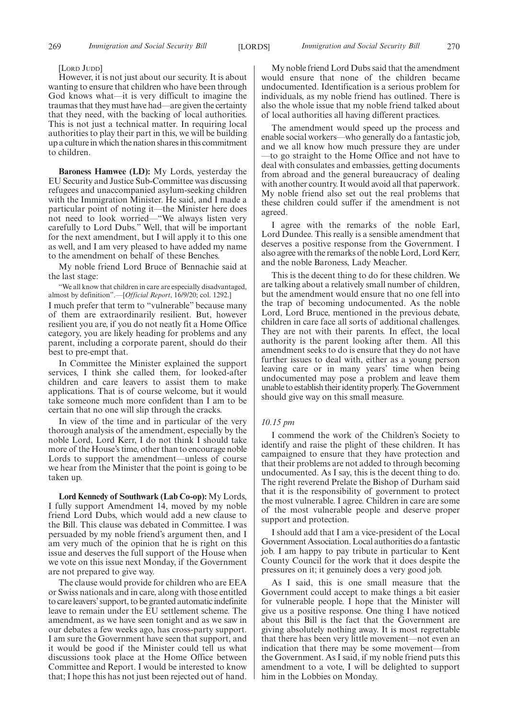#### [LORD JUDD]

However, it is not just about our security. It is about wanting to ensure that children who have been through God knows what—it is very difficult to imagine the traumas that they must have had—are given the certainty that they need, with the backing of local authorities. This is not just a technical matter. In requiring local authorities to play their part in this, we will be building up a culture in which the nation shares in this commitment to children.

**Baroness Hamwee (LD):** My Lords, yesterday the EU Security and Justice Sub-Committee was discussing refugees and unaccompanied asylum-seeking children with the Immigration Minister. He said, and I made a particular point of noting it—the Minister here does not need to look worried—"We always listen very carefully to Lord Dubs." Well, that will be important for the next amendment, but I will apply it to this one as well, and I am very pleased to have added my name to the amendment on behalf of these Benches.

My noble friend Lord Bruce of Bennachie said at the last stage:

"We all know that children in care are especially disadvantaged, almost by definition".—[*Official Report*, 16/9/20; col. 1292.]

I much prefer that term to "vulnerable" because many of them are extraordinarily resilient. But, however resilient you are, if you do not neatly fit a Home Office category, you are likely heading for problems and any parent, including a corporate parent, should do their best to pre-empt that.

In Committee the Minister explained the support services, I think she called them, for looked-after children and care leavers to assist them to make applications. That is of course welcome, but it would take someone much more confident than I am to be certain that no one will slip through the cracks.

In view of the time and in particular of the very thorough analysis of the amendment, especially by the noble Lord, Lord Kerr, I do not think I should take more of the House's time, other than to encourage noble Lords to support the amendment—unless of course we hear from the Minister that the point is going to be taken up.

**Lord Kennedy of Southwark (Lab Co-op):** My Lords, I fully support Amendment 14, moved by my noble friend Lord Dubs, which would add a new clause to the Bill. This clause was debated in Committee. I was persuaded by my noble friend's argument then, and I am very much of the opinion that he is right on this issue and deserves the full support of the House when we vote on this issue next Monday, if the Government are not prepared to give way.

The clause would provide for children who are EEA or Swiss nationals and in care, along with those entitled to care leavers'support, to be granted automatic indefinite leave to remain under the EU settlement scheme. The amendment, as we have seen tonight and as we saw in our debates a few weeks ago, has cross-party support. I am sure the Government have seen that support, and it would be good if the Minister could tell us what discussions took place at the Home Office between Committee and Report. I would be interested to know that; I hope this has not just been rejected out of hand.

My noble friend Lord Dubs said that the amendment would ensure that none of the children became undocumented. Identification is a serious problem for individuals, as my noble friend has outlined. There is also the whole issue that my noble friend talked about of local authorities all having different practices.

The amendment would speed up the process and enable social workers—who generally do a fantastic job, and we all know how much pressure they are under —to go straight to the Home Office and not have to deal with consulates and embassies, getting documents from abroad and the general bureaucracy of dealing with another country. It would avoid all that paperwork. My noble friend also set out the real problems that these children could suffer if the amendment is not agreed.

I agree with the remarks of the noble Earl, Lord Dundee. This really is a sensible amendment that deserves a positive response from the Government. I also agree with the remarks of the noble Lord, Lord Kerr, and the noble Baroness, Lady Meacher.

This is the decent thing to do for these children. We are talking about a relatively small number of children, but the amendment would ensure that no one fell into the trap of becoming undocumented. As the noble Lord, Lord Bruce, mentioned in the previous debate, children in care face all sorts of additional challenges. They are not with their parents. In effect, the local authority is the parent looking after them. All this amendment seeks to do is ensure that they do not have further issues to deal with, either as a young person leaving care or in many years' time when being undocumented may pose a problem and leave them unable to establish their identity properly. The Government should give way on this small measure.

#### *10.15 pm*

I commend the work of the Children's Society to identify and raise the plight of these children. It has campaigned to ensure that they have protection and that their problems are not added to through becoming undocumented. As I say, this is the decent thing to do. The right reverend Prelate the Bishop of Durham said that it is the responsibility of government to protect the most vulnerable. I agree. Children in care are some of the most vulnerable people and deserve proper support and protection.

I should add that I am a vice-president of the Local Government Association. Local authorities do a fantastic job. I am happy to pay tribute in particular to Kent County Council for the work that it does despite the pressures on it; it genuinely does a very good job.

As I said, this is one small measure that the Government could accept to make things a bit easier for vulnerable people. I hope that the Minister will give us a positive response. One thing I have noticed about this Bill is the fact that the Government are giving absolutely nothing away. It is most regrettable that there has been very little movement—not even an indication that there may be some movement—from the Government. As I said, if my noble friend puts this amendment to a vote, I will be delighted to support him in the Lobbies on Monday.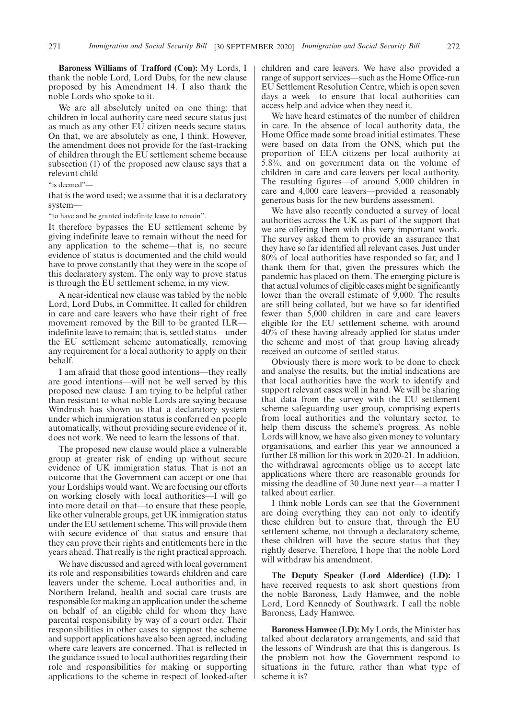**Baroness Williams of Trafford (Con):** My Lords, I thank the noble Lord, Lord Dubs, for the new clause proposed by his Amendment 14. I also thank the noble Lords who spoke to it.

We are all absolutely united on one thing: that children in local authority care need secure status just as much as any other EU citizen needs secure status. On that, we are absolutely as one, I think. However, the amendment does not provide for the fast-tracking of children through the EU settlement scheme because subsection (1) of the proposed new clause says that a relevant child

"is deemed"—

that is the word used; we assume that it is a declaratory system—

"to have and be granted indefinite leave to remain".

It therefore bypasses the EU settlement scheme by giving indefinite leave to remain without the need for any application to the scheme—that is, no secure evidence of status is documented and the child would have to prove constantly that they were in the scope of this declaratory system. The only way to prove status is through the EU settlement scheme, in my view.

A near-identical new clause was tabled by the noble Lord, Lord Dubs, in Committee. It called for children in care and care leavers who have their right of free movement removed by the Bill to be granted ILR indefinite leave to remain; that is, settled status—under the EU settlement scheme automatically, removing any requirement for a local authority to apply on their behalf.

I am afraid that those good intentions—they really are good intentions—will not be well served by this proposed new clause. I am trying to be helpful rather than resistant to what noble Lords are saying because Windrush has shown us that a declaratory system under which immigration status is conferred on people automatically, without providing secure evidence of it, does not work. We need to learn the lessons of that.

The proposed new clause would place a vulnerable group at greater risk of ending up without secure evidence of UK immigration status. That is not an outcome that the Government can accept or one that your Lordships would want. We are focusing our efforts on working closely with local authorities—I will go into more detail on that—to ensure that these people, like other vulnerable groups, get UK immigration status under the EU settlement scheme. This will provide them with secure evidence of that status and ensure that they can prove their rights and entitlements here in the years ahead. That really is the right practical approach.

We have discussed and agreed with local government its role and responsibilities towards children and care leavers under the scheme. Local authorities and, in Northern Ireland, health and social care trusts are responsible for making an application under the scheme on behalf of an eligible child for whom they have parental responsibility by way of a court order. Their responsibilities in other cases to signpost the scheme and support applications have also been agreed, including where care leavers are concerned. That is reflected in the guidance issued to local authorities regarding their role and responsibilities for making or supporting applications to the scheme in respect of looked-after

children and care leavers. We have also provided a range of support services—such as the Home Office-run EU Settlement Resolution Centre, which is open seven days a week—to ensure that local authorities can access help and advice when they need it.

We have heard estimates of the number of children in care. In the absence of local authority data, the Home Office made some broad initial estimates. These were based on data from the ONS, which put the proportion of EEA citizens per local authority at 5.8%, and on government data on the volume of children in care and care leavers per local authority. The resulting figures—of around 5,000 children in care and 4,000 care leavers—provided a reasonably generous basis for the new burdens assessment.

We have also recently conducted a survey of local authorities across the UK as part of the support that we are offering them with this very important work. The survey asked them to provide an assurance that they have so far identified all relevant cases. Just under 80% of local authorities have responded so far, and I thank them for that, given the pressures which the pandemic has placed on them. The emerging picture is that actual volumes of eligible cases might be significantly lower than the overall estimate of 9,000. The results are still being collated, but we have so far identified fewer than 5,000 children in care and care leavers eligible for the EU settlement scheme, with around 40% of these having already applied for status under the scheme and most of that group having already received an outcome of settled status.

Obviously there is more work to be done to check and analyse the results, but the initial indications are that local authorities have the work to identify and support relevant cases well in hand. We will be sharing that data from the survey with the EU settlement scheme safeguarding user group, comprising experts from local authorities and the voluntary sector, to help them discuss the scheme's progress. As noble Lords will know, we have also given money to voluntary organisations, and earlier this year we announced a further £8 million for this work in 2020-21. In addition, the withdrawal agreements oblige us to accept late applications where there are reasonable grounds for missing the deadline of 30 June next year—a matter I talked about earlier.

I think noble Lords can see that the Government are doing everything they can not only to identify these children but to ensure that, through the EU settlement scheme, not through a declaratory scheme, these children will have the secure status that they rightly deserve. Therefore, I hope that the noble Lord will withdraw his amendment.

**The Deputy Speaker (Lord Alderdice) (LD):** I have received requests to ask short questions from the noble Baroness, Lady Hamwee, and the noble Lord, Lord Kennedy of Southwark. I call the noble Baroness, Lady Hamwee.

**Baroness Hamwee (LD):** My Lords, the Minister has talked about declaratory arrangements, and said that the lessons of Windrush are that this is dangerous. Is the problem not how the Government respond to situations in the future, rather than what type of scheme it is?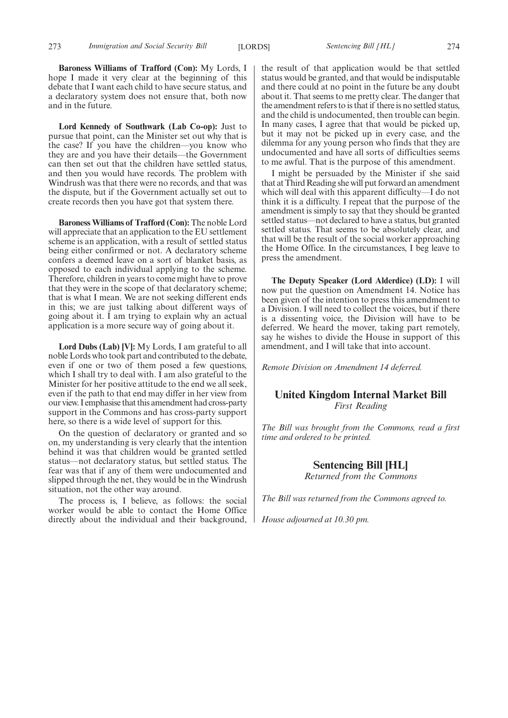**Baroness Williams of Trafford (Con):** My Lords, I hope I made it very clear at the beginning of this debate that I want each child to have secure status, and a declaratory system does not ensure that, both now and in the future.

**Lord Kennedy of Southwark (Lab Co-op):** Just to pursue that point, can the Minister set out why that is the case? If you have the children—you know who they are and you have their details—the Government can then set out that the children have settled status, and then you would have records. The problem with Windrush was that there were no records, and that was the dispute, but if the Government actually set out to create records then you have got that system there.

**Baroness Williams of Trafford (Con):** The noble Lord will appreciate that an application to the EU settlement scheme is an application, with a result of settled status being either confirmed or not. A declaratory scheme confers a deemed leave on a sort of blanket basis, as opposed to each individual applying to the scheme. Therefore, children in years to come might have to prove that they were in the scope of that declaratory scheme; that is what I mean. We are not seeking different ends in this; we are just talking about different ways of going about it. I am trying to explain why an actual application is a more secure way of going about it.

**Lord Dubs (Lab) [V]:** My Lords, I am grateful to all noble Lords who took part and contributed to the debate, even if one or two of them posed a few questions, which I shall try to deal with. I am also grateful to the Minister for her positive attitude to the end we all seek, even if the path to that end may differ in her view from our view. I emphasise that this amendment had cross-party support in the Commons and has cross-party support here, so there is a wide level of support for this.

On the question of declaratory or granted and so on, my understanding is very clearly that the intention behind it was that children would be granted settled status—not declaratory status, but settled status. The fear was that if any of them were undocumented and slipped through the net, they would be in the Windrush situation, not the other way around.

The process is, I believe, as follows: the social worker would be able to contact the Home Office directly about the individual and their background, the result of that application would be that settled status would be granted, and that would be indisputable and there could at no point in the future be any doubt about it. That seems to me pretty clear. The danger that the amendment refers to is that if there is no settled status, and the child is undocumented, then trouble can begin. In many cases, I agree that that would be picked up, but it may not be picked up in every case, and the dilemma for any young person who finds that they are undocumented and have all sorts of difficulties seems to me awful. That is the purpose of this amendment.

I might be persuaded by the Minister if she said that at Third Reading she will put forward an amendment which will deal with this apparent difficulty—I do not think it is a difficulty. I repeat that the purpose of the amendment is simply to say that they should be granted settled status—not declared to have a status, but granted settled status. That seems to be absolutely clear, and that will be the result of the social worker approaching the Home Office. In the circumstances, I beg leave to press the amendment.

**The Deputy Speaker (Lord Alderdice) (LD):** I will now put the question on Amendment 14. Notice has been given of the intention to press this amendment to a Division. I will need to collect the voices, but if there is a dissenting voice, the Division will have to be deferred. We heard the mover, taking part remotely, say he wishes to divide the House in support of this amendment, and I will take that into account.

*Remote Division on Amendment 14 deferred.*

### **United Kingdom Internal Market Bill** *First Reading*

*The Bill was brought from the Commons, read a first time and ordered to be printed.*

#### **Sentencing Bill [HL]**

*Returned from the Commons*

*The Bill was returned from the Commons agreed to.*

*House adjourned at 10.30 pm.*